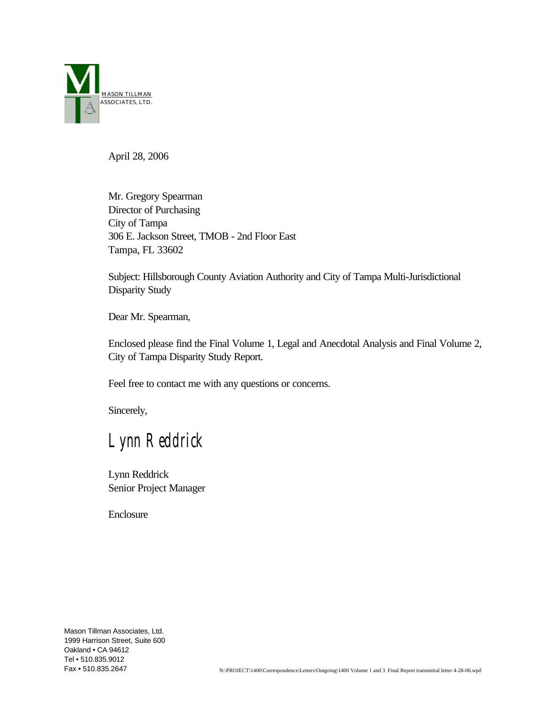

April 28, 2006

Mr. Gregory Spearman Director of Purchasing City of Tampa 306 E. Jackson Street, TMOB - 2nd Floor East Tampa, FL 33602

Subject: Hillsborough County Aviation Authority and City of Tampa Multi-Jurisdictional Disparity Study

Dear Mr. Spearman,

Enclosed please find the Final Volume 1, Legal and Anecdotal Analysis and Final Volume 2, City of Tampa Disparity Study Report.

Feel free to contact me with any questions or concerns.

Sincerely,

*Lynn Reddrick* 

Lynn Reddrick Senior Project Manager

Enclosure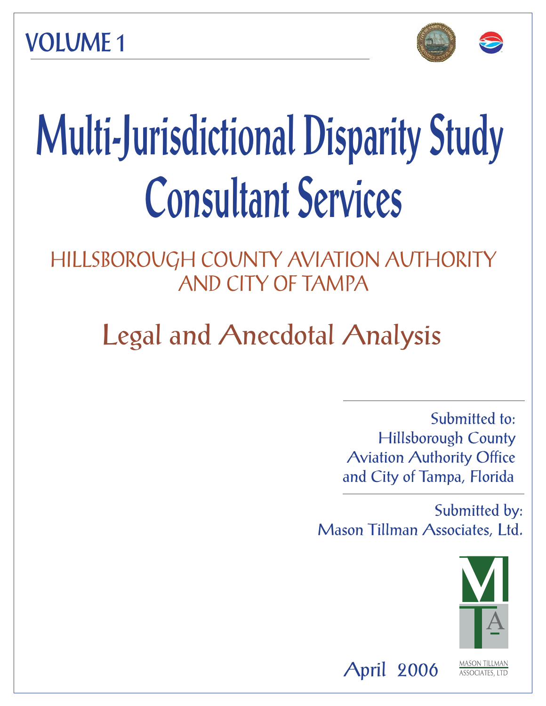**VOLUME 1** 





# **Multi-Jurisdictional Disparity Study Consultant Services**

HILLSBOROUGH COUNTY AVIATION AUTHORITY AND CITY OF TAMPA

Legal and Anecdotal Analysis

Submitted to: Hillsborough County Aviation Authority Office and City of Tampa, Florida

Submitted by: Mason Tillman Associates, Ltd.



**ASSOCIATES, LTD** 

April 2006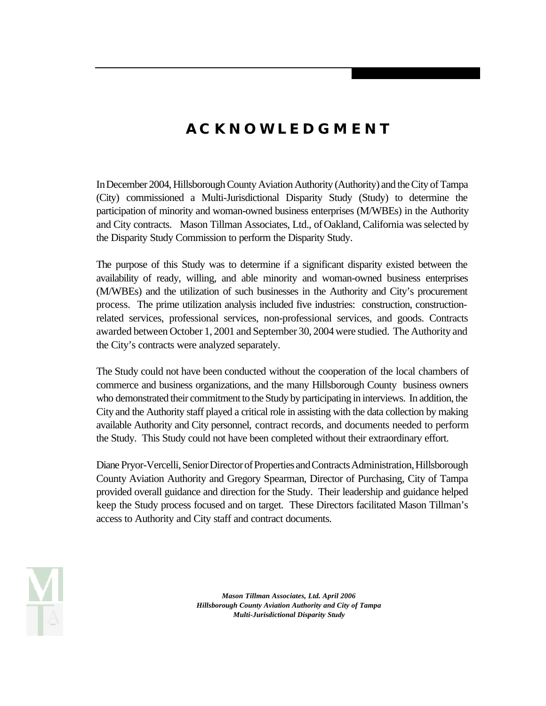# *ACKNOWLEDGMENT*

In December 2004, Hillsborough County Aviation Authority (Authority) and the City of Tampa (City) commissioned a Multi-Jurisdictional Disparity Study (Study) to determine the participation of minority and woman-owned business enterprises (M/WBEs) in the Authority and City contracts. Mason Tillman Associates, Ltd., of Oakland, California was selected by the Disparity Study Commission to perform the Disparity Study.

The purpose of this Study was to determine if a significant disparity existed between the availability of ready, willing, and able minority and woman-owned business enterprises (M/WBEs) and the utilization of such businesses in the Authority and City's procurement process. The prime utilization analysis included five industries: construction, constructionrelated services, professional services, non-professional services, and goods. Contracts awarded between October 1, 2001 and September 30, 2004 were studied. The Authority and the City's contracts were analyzed separately.

The Study could not have been conducted without the cooperation of the local chambers of commerce and business organizations, and the many Hillsborough County business owners who demonstrated their commitment to the Study by participating in interviews. In addition, the City and the Authority staff played a critical role in assisting with the data collection by making available Authority and City personnel, contract records, and documents needed to perform the Study. This Study could not have been completed without their extraordinary effort.

Diane Pryor-Vercelli, Senior Director of Properties and Contracts Administration, Hillsborough County Aviation Authority and Gregory Spearman, Director of Purchasing, City of Tampa provided overall guidance and direction for the Study. Their leadership and guidance helped keep the Study process focused and on target. These Directors facilitated Mason Tillman's access to Authority and City staff and contract documents.

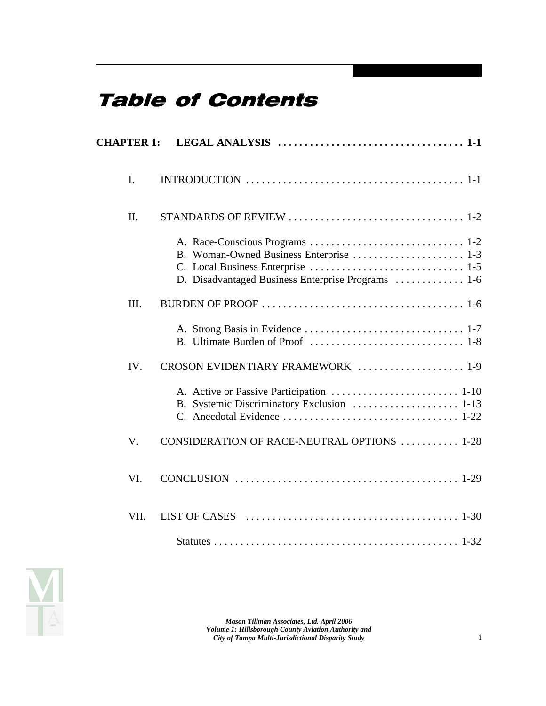# Table of Contents

| I.      |                                                                                               |
|---------|-----------------------------------------------------------------------------------------------|
| $\Pi$ . |                                                                                               |
|         | B. Woman-Owned Business Enterprise  1-3<br>D. Disadvantaged Business Enterprise Programs  1-6 |
| III.    |                                                                                               |
|         |                                                                                               |
| IV.     | CROSON EVIDENTIARY FRAMEWORK  1-9                                                             |
|         |                                                                                               |
| V.      | CONSIDERATION OF RACE-NEUTRAL OPTIONS  1-28                                                   |
| VI.     |                                                                                               |
| VII.    |                                                                                               |
|         |                                                                                               |

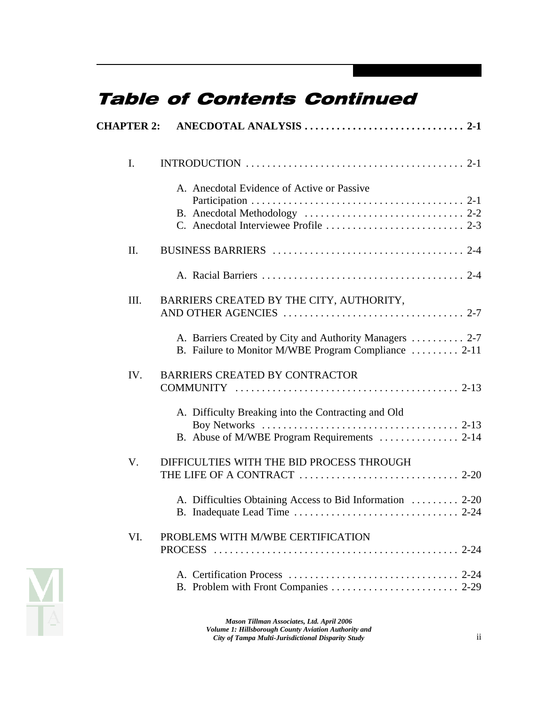# Table of Contents Continued

| I.   |                                                                                                                 |
|------|-----------------------------------------------------------------------------------------------------------------|
|      | A. Anecdotal Evidence of Active or Passive                                                                      |
| II.  |                                                                                                                 |
|      |                                                                                                                 |
| III. | BARRIERS CREATED BY THE CITY, AUTHORITY,                                                                        |
|      | A. Barriers Created by City and Authority Managers  2-7<br>B. Failure to Monitor M/WBE Program Compliance  2-11 |
| IV.  | <b>BARRIERS CREATED BY CONTRACTOR</b>                                                                           |
|      | A. Difficulty Breaking into the Contracting and Old                                                             |
| V.   | DIFFICULTIES WITH THE BID PROCESS THROUGH                                                                       |
|      | A. Difficulties Obtaining Access to Bid Information  2-20                                                       |
| VI.  | PROBLEMS WITH M/WBE CERTIFICATION                                                                               |
|      |                                                                                                                 |

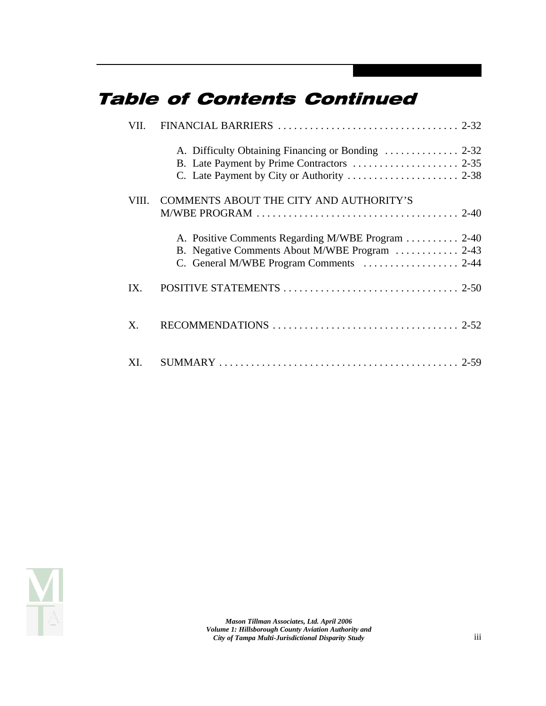# Table of Contents Continued

| VII.  |                                                                                                                                                |
|-------|------------------------------------------------------------------------------------------------------------------------------------------------|
|       |                                                                                                                                                |
| VIII. | COMMENTS ABOUT THE CITY AND AUTHORITY'S<br>$M/WBE$ PROGRAM $\ldots \ldots \ldots \ldots \ldots \ldots \ldots \ldots \ldots \ldots \ldots 2-40$ |
|       | A. Positive Comments Regarding M/WBE Program  2-40<br>B. Negative Comments About M/WBE Program  2-43                                           |
| IX.   |                                                                                                                                                |
| X.    |                                                                                                                                                |
| XL    |                                                                                                                                                |

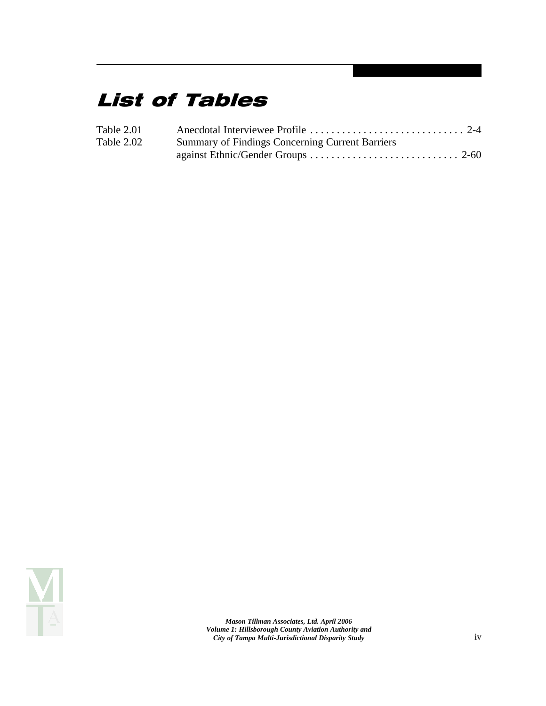# List of Tables

| Table 2.01 |                                                        |
|------------|--------------------------------------------------------|
| Table 2.02 | <b>Summary of Findings Concerning Current Barriers</b> |
|            |                                                        |

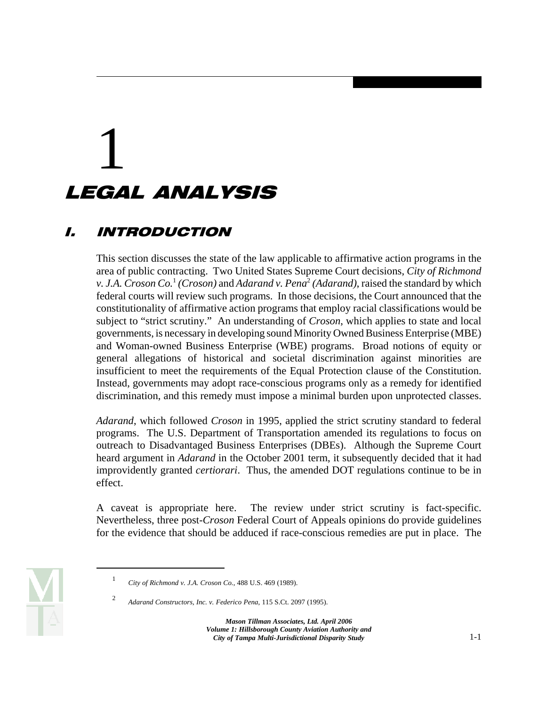# 1 LEGAL ANALYSIS

# I. INTRODUCTION

This section discusses the state of the law applicable to affirmative action programs in the area of public contracting. Two United States Supreme Court decisions, *City of Richmond v. J.A. Croson Co.*<sup>1</sup>*(Croson)* and *Adarand v. Pena*<sup>2</sup>*(Adarand)*, raised the standard by which federal courts will review such programs. In those decisions, the Court announced that the constitutionality of affirmative action programs that employ racial classifications would be subject to "strict scrutiny." An understanding of *Croson*, which applies to state and local governments, is necessary in developing sound Minority Owned Business Enterprise (MBE) and Woman-owned Business Enterprise (WBE) programs. Broad notions of equity or general allegations of historical and societal discrimination against minorities are insufficient to meet the requirements of the Equal Protection clause of the Constitution. Instead, governments may adopt race-conscious programs only as a remedy for identified discrimination, and this remedy must impose a minimal burden upon unprotected classes.

*Adarand*, which followed *Croson* in 1995, applied the strict scrutiny standard to federal programs. The U.S. Department of Transportation amended its regulations to focus on outreach to Disadvantaged Business Enterprises (DBEs). Although the Supreme Court heard argument in *Adarand* in the October 2001 term, it subsequently decided that it had improvidently granted *certiorari*. Thus, the amended DOT regulations continue to be in effect.

A caveat is appropriate here. The review under strict scrutiny is fact-specific. Nevertheless, three post-*Croson* Federal Court of Appeals opinions do provide guidelines for the evidence that should be adduced if race-conscious remedies are put in place. The



<sup>1</sup>*City of Richmond v. J.A. Croson Co.*, 488 U.S. 469 (1989).

<sup>2</sup>*Adarand Constructors, Inc. v. Federico Pena*, 115 S.Ct. 2097 (1995).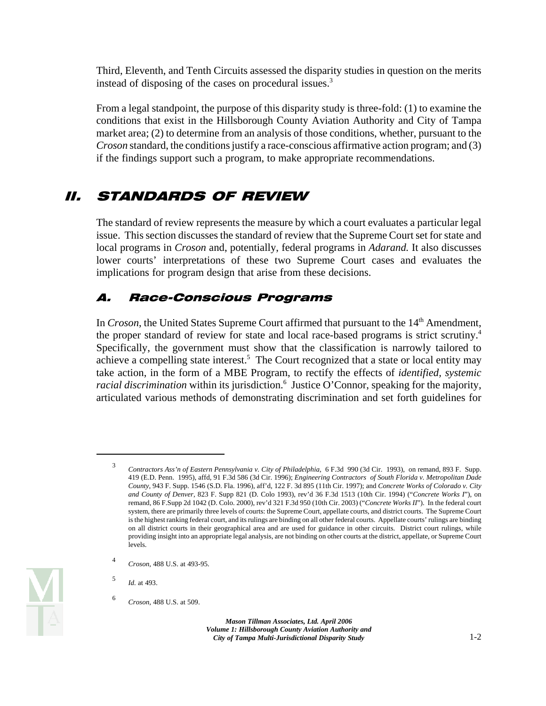Third, Eleventh, and Tenth Circuits assessed the disparity studies in question on the merits instead of disposing of the cases on procedural issues.<sup>3</sup>

From a legal standpoint, the purpose of this disparity study is three-fold: (1) to examine the conditions that exist in the Hillsborough County Aviation Authority and City of Tampa market area; (2) to determine from an analysis of those conditions, whether, pursuant to the *Croson* standard, the conditions justify a race-conscious affirmative action program; and (3) if the findings support such a program, to make appropriate recommendations.

# II. STANDARDS OF REVIEW

The standard of review represents the measure by which a court evaluates a particular legal issue. This section discusses the standard of review that the Supreme Court set for state and local programs in *Croson* and, potentially, federal programs in *Adarand.* It also discusses lower courts' interpretations of these two Supreme Court cases and evaluates the implications for program design that arise from these decisions.

# A. Race-Conscious Programs

In *Croson*, the United States Supreme Court affirmed that pursuant to the 14<sup>th</sup> Amendment, the proper standard of review for state and local race-based programs is strict scrutiny.4 Specifically, the government must show that the classification is narrowly tailored to achieve a compelling state interest.<sup>5</sup> The Court recognized that a state or local entity may take action, in the form of a MBE Program, to rectify the effects of *identified, systemic*  racial discrimination within its jurisdiction.<sup>6</sup> Justice O'Connor, speaking for the majority, articulated various methods of demonstrating discrimination and set forth guidelines for



 *County*, 943 F. Supp. 1546 (S.D. Fla. 1996), aff'd, 122 F. 3d 895 (11th Cir. 1997); and *Concrete Works of Colorado v. City*  remand, 86 F.Supp 2d 1042 (D. Colo. 2000), rev'd 321 F.3d 950 (10th Cir. 2003) ("*Concrete Works II*"). In the federal court <sup>3</sup>*Contractors Ass'n of Eastern Pennsylvania v. City of Philadelphia*, 6 F.3d 990 (3d Cir. 1993), on remand, 893 F. Supp. 419 (E.D. Penn. 1995), affd, 91 F.3d 586 (3d Cir. 1996); *Engineering Contractors of South Florida v. Metropolitan Dade and County of Denver*, 823 F. Supp 821 (D. Colo 1993), rev'd 36 F.3d 1513 (10th Cir. 1994) ("*Concrete Works I*"), on system, there are primarily three levels of courts: the Supreme Court, appellate courts, and district courts. The Supreme Court is the highest ranking federal court, and its rulings are binding on all other federal courts. Appellate courts' rulings are binding on all district courts in their geographical area and are used for guidance in other circuits. District court rulings, while providing insight into an appropriate legal analysis, are not binding on other courts at the district, appellate, or Supreme Court levels.

<sup>4</sup>*Croson*, 488 U.S. at 493-95.

<sup>5</sup>*Id.* at 493.

<sup>6</sup>*Croson*, 488 U.S. at 509.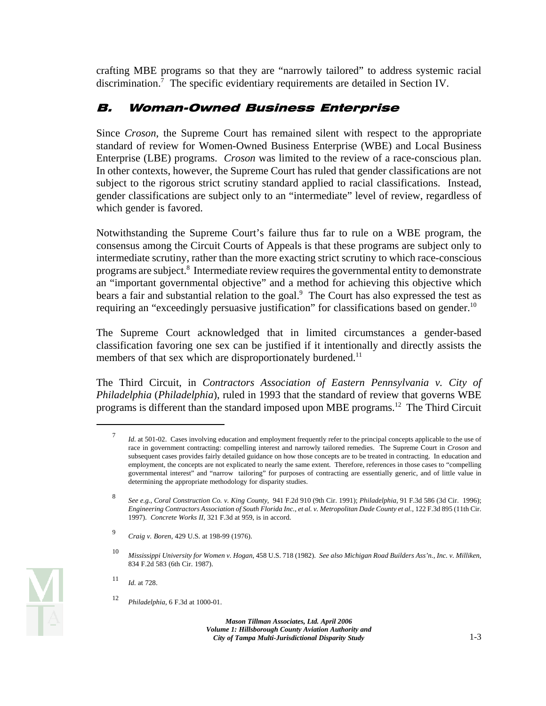crafting MBE programs so that they are "narrowly tailored" to address systemic racial discrimination.7 The specific evidentiary requirements are detailed in Section IV.

### B. Woman-Owned Business Enterprise

Since *Croson*, the Supreme Court has remained silent with respect to the appropriate standard of review for Women-Owned Business Enterprise (WBE) and Local Business Enterprise (LBE) programs. *Croson* was limited to the review of a race-conscious plan. In other contexts, however, the Supreme Court has ruled that gender classifications are not subject to the rigorous strict scrutiny standard applied to racial classifications. Instead, gender classifications are subject only to an "intermediate" level of review, regardless of which gender is favored.

Notwithstanding the Supreme Court's failure thus far to rule on a WBE program, the consensus among the Circuit Courts of Appeals is that these programs are subject only to intermediate scrutiny, rather than the more exacting strict scrutiny to which race-conscious programs are subject.<sup>8</sup> Intermediate review requires the governmental entity to demonstrate an "important governmental objective" and a method for achieving this objective which bears a fair and substantial relation to the goal.<sup>9</sup> The Court has also expressed the test as requiring an "exceedingly persuasive justification" for classifications based on gender.<sup>10</sup>

members of that sex which are disproportionately burdened.<sup>11</sup> The Supreme Court acknowledged that in limited circumstances a gender-based classification favoring one sex can be justified if it intentionally and directly assists the

The Third Circuit, in *Contractors Association of Eastern Pennsylvania v. City of Philadelphia* (*Philadelphia*), ruled in 1993 that the standard of review that governs WBE programs is different than the standard imposed upon MBE programs.12 The Third Circuit

<sup>11</sup>*Id.* at 728.



<sup>7</sup>*Id.* at 501-02. Cases involving education and employment frequently refer to the principal concepts applicable to the use of race in government contracting: compelling interest and narrowly tailored remedies. The Supreme Court in *Croson* and subsequent cases provides fairly detailed guidance on how those concepts are to be treated in contracting. In education and employment, the concepts are not explicated to nearly the same extent. Therefore, references in those cases to "compelling governmental interest" and "narrow tailoring" for purposes of contracting are essentially generic, and of little value in determining the appropriate methodology for disparity studies.

 1997). *Concrete Works II*, 321 F.3d at 959, is in accord. <sup>8</sup>*See e.g.*, *Coral Construction Co. v. King County*, 941 F.2d 910 (9th Cir. 1991); *Philadelphia*, 91 F.3d 586 (3d Cir. 1996); *Engineering Contractors Association of South Florida Inc., et al. v. Metropolitan Dade County et al.,* 122 F.3d 895 (11th Cir.

*Craig v. Boren*, 429 U.S. at 198-99 (1976). 9

 <sup>10</sup>*Mississippi University for Women v. Hogan*, 458 U.S. 718 (1982). *See also Michigan Road Builders Ass'n., Inc. v. Milliken*, 834 F.2d 583 (6th Cir. 1987).

<sup>12</sup>*Philadelphia*, 6 F.3d at 1000-01.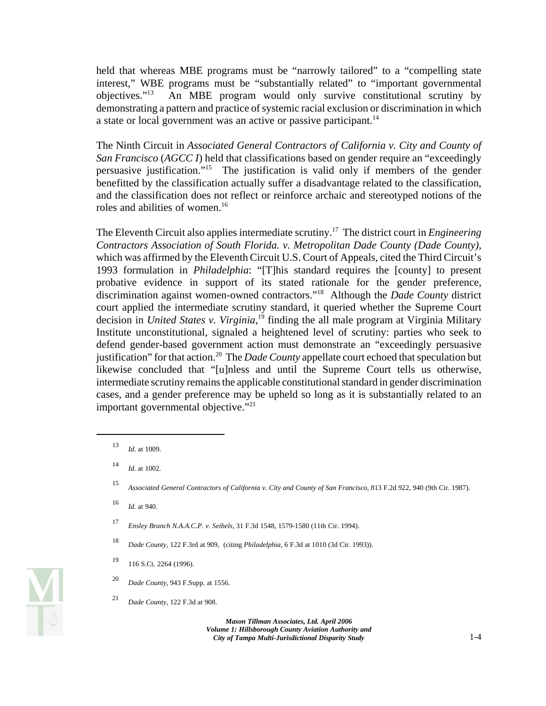held that whereas MBE programs must be "narrowly tailored" to a "compelling state interest," WBE programs must be "substantially related" to "important governmental objectives."13 An MBE program would only survive constitutional scrutiny by demonstrating a pattern and practice of systemic racial exclusion or discrimination in which a state or local government was an active or passive participant.<sup>14</sup>

The Ninth Circuit in *Associated General Contractors of California v. City and County of San Francisco* (*AGCC I*) held that classifications based on gender require an "exceedingly persuasive justification."15 The justification is valid only if members of the gender benefitted by the classification actually suffer a disadvantage related to the classification, and the classification does not reflect or reinforce archaic and stereotyped notions of the roles and abilities of women.<sup>16</sup>

The Eleventh Circuit also applies intermediate scrutiny.17 The district court in *Engineering Contractors Association of South Florida. v. Metropolitan Dade County (Dade County),*  which was affirmed by the Eleventh Circuit U.S. Court of Appeals, cited the Third Circuit's 1993 formulation in *Philadelphia*: "[T]his standard requires the [county] to present probative evidence in support of its stated rationale for the gender preference, discrimination against women-owned contractors."18 Although the *Dade County* district court applied the intermediate scrutiny standard, it queried whether the Supreme Court decision in *United States v. Virginia*, 19 finding the all male program at Virginia Military Institute unconstitutional, signaled a heightened level of scrutiny: parties who seek to defend gender-based government action must demonstrate an "exceedingly persuasive justification" for that action.<sup>20</sup> The *Dade County* appellate court echoed that speculation but likewise concluded that "[u]nless and until the Supreme Court tells us otherwise, intermediate scrutiny remains the applicable constitutional standard in gender discrimination cases, and a gender preference may be upheld so long as it is substantially related to an important governmental objective."<sup>21</sup>

- <sup>18</sup>*Dade County*, 122 F.3rd at 909, (citing *Philadelphia*, 6 F.3d at 1010 (3d Cir. 1993)).
- 19 116 S.Ct. 2264 (1996).
- <sup>20</sup>*Dade County*, 943 F.Supp. at 1556.
- <sup>21</sup>*Dade County,* 122 F.3d at 908.



<sup>13</sup>*Id.* at 1009.

<sup>14</sup>*Id.* at 1002.

<sup>15</sup>*Associated General Contractors of California v. City and County of San Francisco*, 813 F.2d 922, 940 (9th Cir. 1987).

<sup>16</sup>*Id.* at 940.

<sup>17</sup>*Ensley Branch N.A.A.C.P. v. Seibels*, 31 F.3d 1548, 1579-1580 (11th Cir. 1994).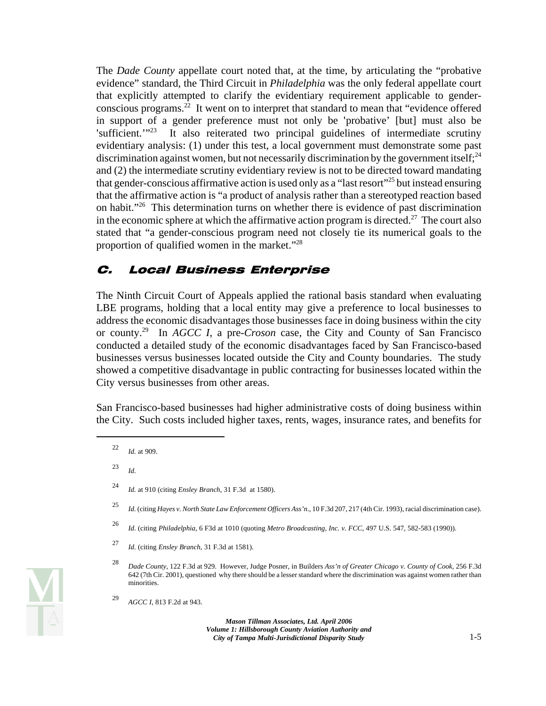The *Dade County* appellate court noted that, at the time, by articulating the "probative evidence" standard, the Third Circuit in *Philadelphia* was the only federal appellate court that explicitly attempted to clarify the evidentiary requirement applicable to genderconscious programs.<sup>22</sup> It went on to interpret that standard to mean that "evidence offered in support of a gender preference must not only be 'probative' [but] must also be 'sufficient. $1^{23}$  It also reiterated two principal guidelines of intermediate scrutiny evidentiary analysis: (1) under this test, a local government must demonstrate some past discrimination against women, but not necessarily discrimination by the government itself;  $24$ and (2) the intermediate scrutiny evidentiary review is not to be directed toward mandating that gender-conscious affirmative action is used only as a "last resort"<sup>25</sup> but instead ensuring that the affirmative action is "a product of analysis rather than a stereotyped reaction based on habit."26 This determination turns on whether there is evidence of past discrimination in the economic sphere at which the affirmative action program is directed.<sup>27</sup> The court also stated that "a gender-conscious program need not closely tie its numerical goals to the proportion of qualified women in the market."<sup>28</sup>

#### C. Local Business Enterprise

The Ninth Circuit Court of Appeals applied the rational basis standard when evaluating LBE programs, holding that a local entity may give a preference to local businesses to address the economic disadvantages those businesses face in doing business within the city or county.29 In *AGCC I*, a pre-*Croson* case, the City and County of San Francisco conducted a detailed study of the economic disadvantages faced by San Francisco-based businesses versus businesses located outside the City and County boundaries. The study showed a competitive disadvantage in public contracting for businesses located within the City versus businesses from other areas.

San Francisco-based businesses had higher administrative costs of doing business within the City. Such costs included higher taxes, rents, wages, insurance rates, and benefits for

<sup>23</sup>*Id.* 



<sup>22</sup>*Id.* at 909.

<sup>24</sup>*Id.* at 910 (citing *Ensley Branch*, 31 F.3d at 1580).

 <sup>25</sup>*Id.* (citing *Hayes v. North State Law Enforcement Officers Ass'n*., 10 F.3d 207, 217 (4th Cir. 1993), racial discrimination case).

<sup>26</sup>*Id.* (citing *Philadelphia*, 6 F3d at 1010 (quoting *Metro Broadcasting, Inc. v. FCC*, 497 U.S. 547, 582-583 (1990)).

<sup>27</sup>*Id.* (citing *Ensley Branch*, 31 F.3d at 1581).

<sup>28</sup>*Dade County*, 122 F.3d at 929. However, Judge Posner, in Builders *Ass'n of Greater Chicago v. County of Cook*, 256 F.3d 642 (7th Cir. 2001), questioned why there should be a lesser standard where the discrimination was against women rather than minorities.

<sup>29</sup>*AGCC I*, 813 F.2d at 943.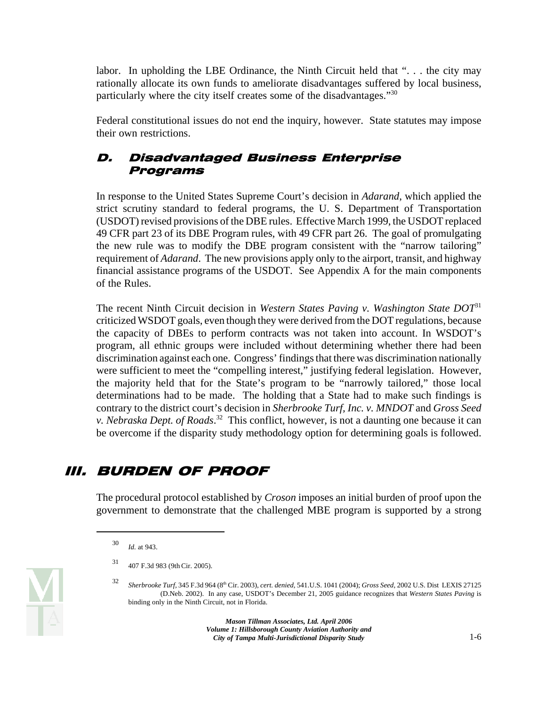labor. In upholding the LBE Ordinance, the Ninth Circuit held that "... the city may rationally allocate its own funds to ameliorate disadvantages suffered by local business, particularly where the city itself creates some of the disadvantages."30

Federal constitutional issues do not end the inquiry, however. State statutes may impose their own restrictions.

#### D. Disadvantaged Business Enterprise Programs

In response to the United States Supreme Court's decision in *Adarand*, which applied the strict scrutiny standard to federal programs, the U. S. Department of Transportation (USDOT) revised provisions of the DBE rules. Effective March 1999, the USDOT replaced 49 CFR part 23 of its DBE Program rules, with 49 CFR part 26. The goal of promulgating the new rule was to modify the DBE program consistent with the "narrow tailoring" requirement of *Adarand*. The new provisions apply only to the airport, transit, and highway financial assistance programs of the USDOT. See Appendix A for the main components of the Rules.

The recent Ninth Circuit decision in *Western States Paving v. Washington State DOT*<sup>31</sup> criticized WSDOT goals, even though they were derived from the DOT regulations, because the capacity of DBEs to perform contracts was not taken into account. In WSDOT's program, all ethnic groups were included without determining whether there had been discrimination against each one. Congress' findings that there was discrimination nationally were sufficient to meet the "compelling interest," justifying federal legislation. However, the majority held that for the State's program to be "narrowly tailored," those local determinations had to be made. The holding that a State had to make such findings is contrary to the district court's decision in *Sherbrooke Turf, Inc. v. MNDOT* and *Gross Seed v. Nebraska Dept. of Roads*. 32 This conflict, however, is not a daunting one because it can be overcome if the disparity study methodology option for determining goals is followed.

# III. BURDEN OF PROOF

The procedural protocol established by *Croson* imposes an initial burden of proof upon the government to demonstrate that the challenged MBE program is supported by a strong



<sup>30</sup>*Id.* at 943.

<sup>31 407</sup> F.3d 983 (9th Cir. 2005).

<sup>32</sup>*Sherbrooke Turf,* 345 F.3d 964 (8th Cir. 2003), *cert. denied,* 541.U.S. 1041 (2004); *Gross Seed*, 2002 U.S. Dist LEXIS 27125 (D.Neb. 2002). In any case, USDOT's December 21, 2005 guidance recognizes that *Western States Paving* is binding only in the Ninth Circuit, not in Florida.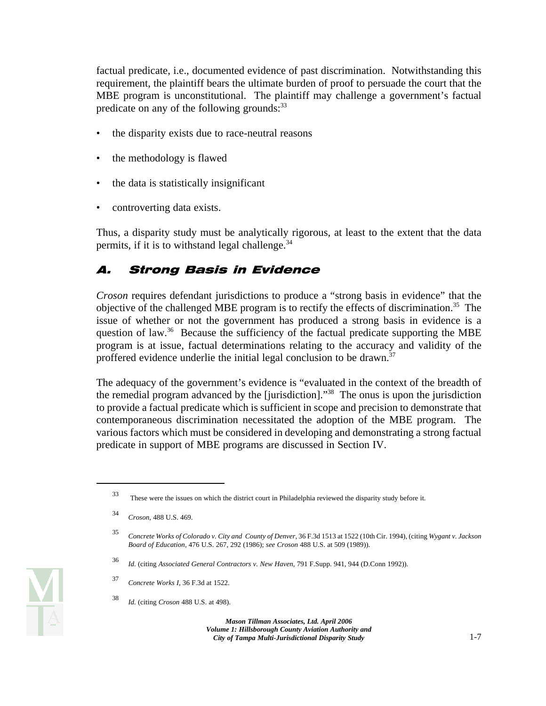factual predicate, i.e., documented evidence of past discrimination. Notwithstanding this requirement, the plaintiff bears the ultimate burden of proof to persuade the court that the MBE program is unconstitutional. The plaintiff may challenge a government's factual predicate on any of the following grounds: $33$ 

- the disparity exists due to race-neutral reasons
- the methodology is flawed
- the data is statistically insignificant
- controverting data exists.

Thus, a disparity study must be analytically rigorous, at least to the extent that the data permits, if it is to withstand legal challenge. $34$ 

# A. Strong Basis in Evidence

*Croson* requires defendant jurisdictions to produce a "strong basis in evidence" that the objective of the challenged MBE program is to rectify the effects of discrimination.<sup>35</sup> The issue of whether or not the government has produced a strong basis in evidence is a question of law.<sup>36</sup> Because the sufficiency of the factual predicate supporting the MBE program is at issue, factual determinations relating to the accuracy and validity of the proffered evidence underlie the initial legal conclusion to be drawn.<sup>37</sup>

The adequacy of the government's evidence is "evaluated in the context of the breadth of the remedial program advanced by the [jurisdiction]."38 The onus is upon the jurisdiction to provide a factual predicate which is sufficient in scope and precision to demonstrate that contemporaneous discrimination necessitated the adoption of the MBE program. The various factors which must be considered in developing and demonstrating a strong factual predicate in support of MBE programs are discussed in Section IV.



<sup>33</sup> These were the issues on which the district court in Philadelphia reviewed the disparity study before it.

<sup>34</sup>*Croson*, 488 U.S. 469.

<sup>35</sup>*Concrete Works of Colorado v. City and County of Denver*, 36 F.3d 1513 at 1522 (10th Cir. 1994), (citing *Wygant v. Jackson Board of Education*, 476 U.S. 267, 292 (1986); *see Croson* 488 U.S. at 509 (1989)).

<sup>36</sup>*Id.* (citing *Associated General Contractors v. New Haven*, 791 F.Supp. 941, 944 (D.Conn 1992)).

<sup>37</sup>*Concrete Works I*, 36 F.3d at 1522.

<sup>38</sup>*Id.* (citing *Croson* 488 U.S. at 498).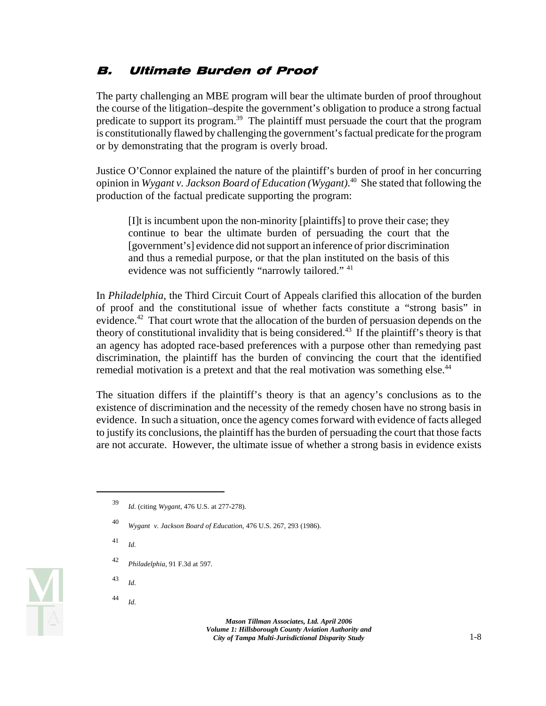#### B. Ultimate Burden of Proof

The party challenging an MBE program will bear the ultimate burden of proof throughout the course of the litigation–despite the government's obligation to produce a strong factual predicate to support its program.39 The plaintiff must persuade the court that the program is constitutionally flawed by challenging the government's factual predicate for the program or by demonstrating that the program is overly broad.

Justice O'Connor explained the nature of the plaintiff's burden of proof in her concurring opinion in *Wygant v. Jackson Board of Education (Wygant)*. 40 She stated that following the production of the factual predicate supporting the program:

[I]t is incumbent upon the non-minority [plaintiffs] to prove their case; they continue to bear the ultimate burden of persuading the court that the [government's] evidence did not support an inference of prior discrimination and thus a remedial purpose, or that the plan instituted on the basis of this evidence was not sufficiently "narrowly tailored." 41

In *Philadelphia*, the Third Circuit Court of Appeals clarified this allocation of the burden of proof and the constitutional issue of whether facts constitute a "strong basis" in evidence.<sup>42</sup> That court wrote that the allocation of the burden of persuasion depends on the theory of constitutional invalidity that is being considered.<sup>43</sup> If the plaintiff's theory is that an agency has adopted race-based preferences with a purpose other than remedying past discrimination, the plaintiff has the burden of convincing the court that the identified remedial motivation is a pretext and that the real motivation was something else.<sup>44</sup>

The situation differs if the plaintiff's theory is that an agency's conclusions as to the existence of discrimination and the necessity of the remedy chosen have no strong basis in evidence. In such a situation, once the agency comes forward with evidence of facts alleged to justify its conclusions, the plaintiff has the burden of persuading the court that those facts are not accurate. However, the ultimate issue of whether a strong basis in evidence exists

- <sup>41</sup>*Id.*
- <sup>42</sup>*Philadelphia*, 91 F.3d at 597.
- <sup>43</sup>*Id.*
- <sup>44</sup>*Id.*



<sup>39</sup>*Id.* (citing *Wygant*, 476 U.S. at 277-278).

<sup>40</sup>*Wygant v. Jackson Board of Education*, 476 U.S. 267, 293 (1986).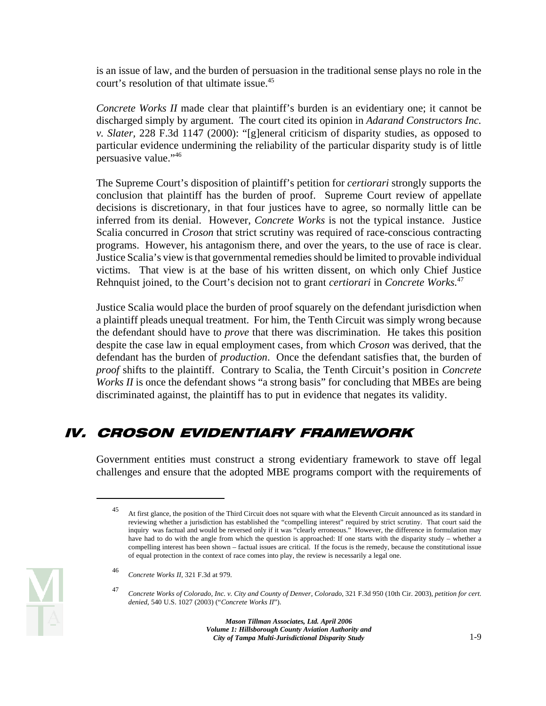is an issue of law, and the burden of persuasion in the traditional sense plays no role in the court's resolution of that ultimate issue.<sup>45</sup>

*Concrete Works II* made clear that plaintiff's burden is an evidentiary one; it cannot be discharged simply by argument. The court cited its opinion in *Adarand Constructors Inc. v. Slater,* 228 F.3d 1147 (2000): "[g]eneral criticism of disparity studies, as opposed to particular evidence undermining the reliability of the particular disparity study is of little persuasive value."46

The Supreme Court's disposition of plaintiff's petition for *certiorari* strongly supports the conclusion that plaintiff has the burden of proof. Supreme Court review of appellate decisions is discretionary, in that four justices have to agree, so normally little can be inferred from its denial. However, *Concrete Works* is not the typical instance. Justice Scalia concurred in *Croson* that strict scrutiny was required of race-conscious contracting programs. However, his antagonism there, and over the years, to the use of race is clear. Justice Scalia's view is that governmental remedies should be limited to provable individual victims. That view is at the base of his written dissent, on which only Chief Justice Rehnquist joined, to the Court's decision not to grant *certiorari* in *Concrete Works.*<sup>47</sup>

Justice Scalia would place the burden of proof squarely on the defendant jurisdiction when a plaintiff pleads unequal treatment. For him, the Tenth Circuit was simply wrong because the defendant should have to *prove* that there was discrimination. He takes this position despite the case law in equal employment cases, from which *Croson* was derived, that the defendant has the burden of *production*. Once the defendant satisfies that, the burden of *proof* shifts to the plaintiff. Contrary to Scalia, the Tenth Circuit's position in *Concrete Works II* is once the defendant shows "a strong basis" for concluding that MBEs are being discriminated against, the plaintiff has to put in evidence that negates its validity.

# IV. CROSON EVIDENTIARY FRAMEWORK

Government entities must construct a strong evidentiary framework to stave off legal challenges and ensure that the adopted MBE programs comport with the requirements of



 inquiry was factual and would be reversed only if it was "clearly erroneous." However, the difference in formulation may 45 At first glance, the position of the Third Circuit does not square with what the Eleventh Circuit announced as its standard in reviewing whether a jurisdiction has established the "compelling interest" required by strict scrutiny. That court said the have had to do with the angle from which the question is approached: If one starts with the disparity study – whether a compelling interest has been shown – factual issues are critical. If the focus is the remedy, because the constitutional issue of equal protection in the context of race comes into play, the review is necessarily a legal one.

<sup>46</sup>*Concrete Works II*, 321 F.3d at 979.

<sup>47</sup>*Concrete Works of Colorado, Inc. v. City and County of Denver, Colorado*, 321 F.3d 950 (10th Cir. 2003), *petition for cert. denied*, 540 U.S. 1027 (2003) ("*Concrete Works II*").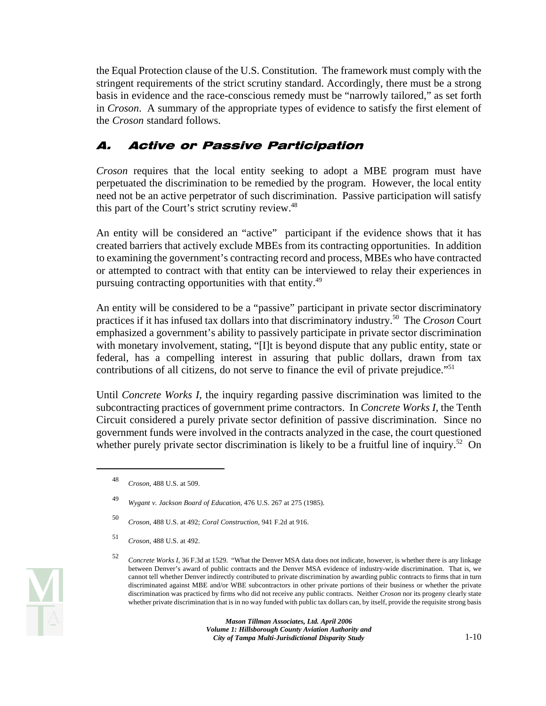the Equal Protection clause of the U.S. Constitution. The framework must comply with the stringent requirements of the strict scrutiny standard. Accordingly, there must be a strong basis in evidence and the race-conscious remedy must be "narrowly tailored," as set forth in *Croson*. A summary of the appropriate types of evidence to satisfy the first element of the *Croson* standard follows.

# A. Active or Passive Participation

*Croson* requires that the local entity seeking to adopt a MBE program must have perpetuated the discrimination to be remedied by the program. However, the local entity need not be an active perpetrator of such discrimination. Passive participation will satisfy this part of the Court's strict scrutiny review.<sup>48</sup>

An entity will be considered an "active" participant if the evidence shows that it has created barriers that actively exclude MBEs from its contracting opportunities. In addition to examining the government's contracting record and process, MBEs who have contracted or attempted to contract with that entity can be interviewed to relay their experiences in pursuing contracting opportunities with that entity.<sup>49</sup>

An entity will be considered to be a "passive" participant in private sector discriminatory practices if it has infused tax dollars into that discriminatory industry.50 The *Croson* Court emphasized a government's ability to passively participate in private sector discrimination with monetary involvement, stating, "[I]t is beyond dispute that any public entity, state or federal, has a compelling interest in assuring that public dollars, drawn from tax contributions of all citizens, do not serve to finance the evil of private prejudice."<sup>51</sup>

Until *Concrete Works I*, the inquiry regarding passive discrimination was limited to the subcontracting practices of government prime contractors. In *Concrete Works I*, the Tenth Circuit considered a purely private sector definition of passive discrimination. Since no government funds were involved in the contracts analyzed in the case, the court questioned whether purely private sector discrimination is likely to be a fruitful line of inquiry.<sup>52</sup> On

<sup>48</sup>*Croson*, 488 U.S. at 509.

<sup>49</sup>*Wygant v. Jackson Board of Education*, 476 U.S. 267 at 275 (1985).

<sup>50</sup>*Croson*, 488 U.S. at 492; *Coral Construction*, 941 F.2d at 916.

<sup>51</sup>*Croson*, 488 U.S. at 492.

 cannot tell whether Denver indirectly contributed to private discrimination by awarding public contracts to firms that in turn <sup>52</sup>*Concrete Works I*, 36 F.3d at 1529. "What the Denver MSA data does not indicate, however, is whether there is any linkage between Denver's award of public contracts and the Denver MSA evidence of industry-wide discrimination. That is, we discriminated against MBE and/or WBE subcontractors in other private portions of their business or whether the private discrimination was practiced by firms who did not receive any public contracts. Neither *Croson* nor its progeny clearly state whether private discrimination that is in no way funded with public tax dollars can, by itself, provide the requisite strong basis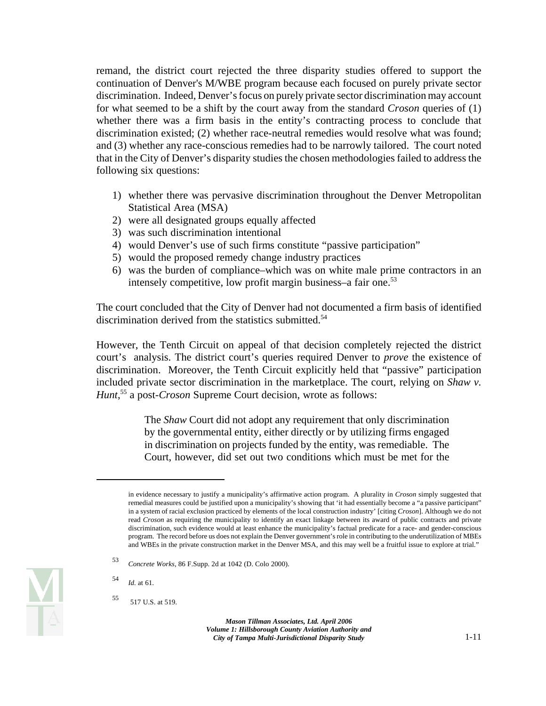remand, the district court rejected the three disparity studies offered to support the continuation of Denver's M/WBE program because each focused on purely private sector discrimination. Indeed, Denver's focus on purely private sector discrimination may account for what seemed to be a shift by the court away from the standard *Croson* queries of (1) whether there was a firm basis in the entity's contracting process to conclude that discrimination existed; (2) whether race-neutral remedies would resolve what was found; and (3) whether any race-conscious remedies had to be narrowly tailored. The court noted that in the City of Denver's disparity studies the chosen methodologies failed to address the following six questions:

- 1) whether there was pervasive discrimination throughout the Denver Metropolitan Statistical Area (MSA)
- 2) were all designated groups equally affected
- 3) was such discrimination intentional
- 4) would Denver's use of such firms constitute "passive participation"
- 5) would the proposed remedy change industry practices
- 6) was the burden of compliance–which was on white male prime contractors in an intensely competitive, low profit margin business–a fair one.<sup>53</sup>

The court concluded that the City of Denver had not documented a firm basis of identified discrimination derived from the statistics submitted.<sup>54</sup>

However, the Tenth Circuit on appeal of that decision completely rejected the district court's analysis. The district court's queries required Denver to *prove* the existence of discrimination. Moreover, the Tenth Circuit explicitly held that "passive" participation included private sector discrimination in the marketplace. The court, relying on *Shaw v. Hunt*, 55 a post-*Croson* Supreme Court decision, wrote as follows:

> The *Shaw* Court did not adopt any requirement that only discrimination by the governmental entity, either directly or by utilizing firms engaged in discrimination on projects funded by the entity, was remediable. The Court, however, did set out two conditions which must be met for the



 read *Croson* as requiring the municipality to identify an exact linkage between its award of public contracts and private in evidence necessary to justify a municipality's affirmative action program. A plurality in *Croson* simply suggested that remedial measures could be justified upon a municipality's showing that 'it had essentially become a "a passive participant" in a system of racial exclusion practiced by elements of the local construction industry' [citing *Croson*]. Although we do not discrimination, such evidence would at least enhance the municipality's factual predicate for a race- and gender-conscious program. The record before us does not explain the Denver government's role in contributing to the underutilization of MBEs and WBEs in the private construction market in the Denver MSA, and this may well be a fruitful issue to explore at trial."

<sup>53</sup>*Concrete Works*, 86 F.Supp. 2d at 1042 (D. Colo 2000).

<sup>54</sup>*Id.* at 61.

<sup>55 517</sup> U.S. at 519.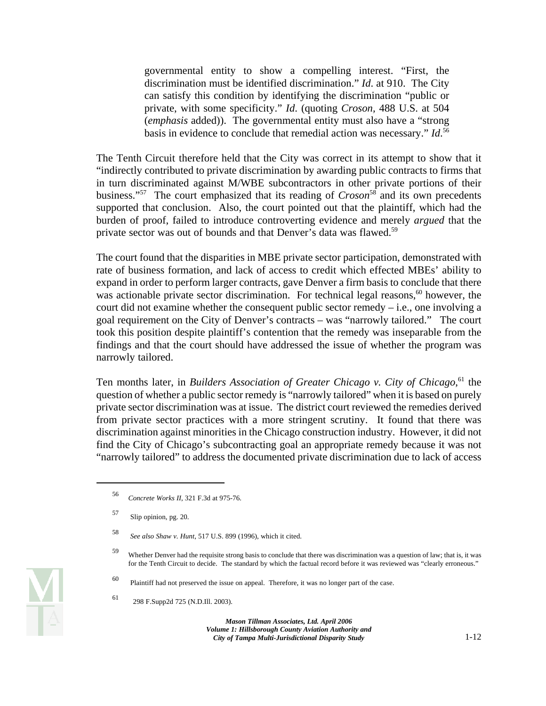governmental entity to show a compelling interest. "First, the discrimination must be identified discrimination." *Id*. at 910. The City can satisfy this condition by identifying the discrimination "public or private, with some specificity." *Id*. (quoting *Croson,* 488 U.S. at 504 (*emphasis* added)). The governmental entity must also have a "strong basis in evidence to conclude that remedial action was necessary." *Id*. 56

The Tenth Circuit therefore held that the City was correct in its attempt to show that it "indirectly contributed to private discrimination by awarding public contracts to firms that in turn discriminated against M/WBE subcontractors in other private portions of their business."<sup>57</sup> The court emphasized that its reading of *Croson*<sup>58</sup> and its own precedents supported that conclusion. Also, the court pointed out that the plaintiff, which had the burden of proof, failed to introduce controverting evidence and merely *argued* that the private sector was out of bounds and that Denver's data was flawed.<sup>59</sup>

The court found that the disparities in MBE private sector participation, demonstrated with rate of business formation, and lack of access to credit which effected MBEs' ability to expand in order to perform larger contracts, gave Denver a firm basis to conclude that there was actionable private sector discrimination. For technical legal reasons, $60$  however, the court did not examine whether the consequent public sector remedy – i.e., one involving a goal requirement on the City of Denver's contracts – was "narrowly tailored." The court took this position despite plaintiff's contention that the remedy was inseparable from the findings and that the court should have addressed the issue of whether the program was narrowly tailored.

Ten months later, in *Builders Association of Greater Chicago v. City of Chicago*,<sup>61</sup> the question of whether a public sector remedy is "narrowly tailored" when it is based on purely private sector discrimination was at issue. The district court reviewed the remedies derived from private sector practices with a more stringent scrutiny. It found that there was discrimination against minorities in the Chicago construction industry. However, it did not find the City of Chicago's subcontracting goal an appropriate remedy because it was not "narrowly tailored" to address the documented private discrimination due to lack of access

<sup>56</sup>*Concrete Works II*, 321 F.3d at 975-76.

<sup>57</sup> Slip opinion, pg. 20.

 <sup>58</sup>*See also Shaw v. Hunt*, 517 U.S. 899 (1996), which it cited.

<sup>59</sup> Whether Denver had the requisite strong basis to conclude that there was discrimination was a question of law; that is, it was for the Tenth Circuit to decide. The standard by which the factual record before it was reviewed was "clearly erroneous."

<sup>60</sup> Plaintiff had not preserved the issue on appeal. Therefore, it was no longer part of the case.

<sup>61 298</sup> F.Supp2d 725 (N.D.Ill. 2003).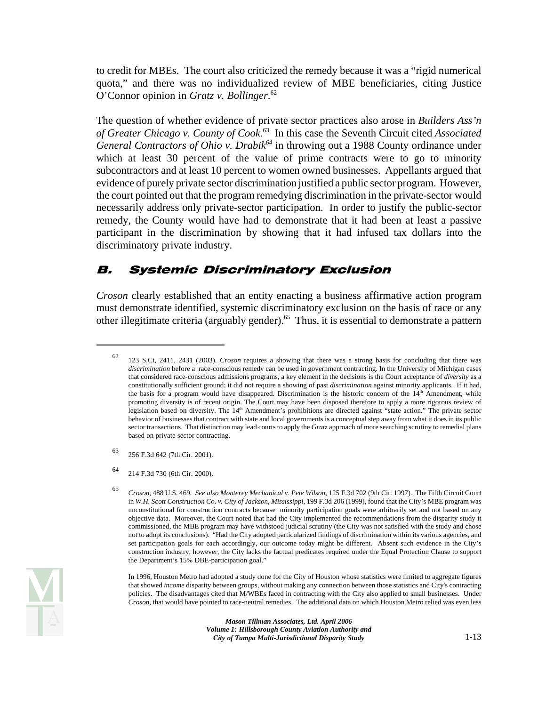O'Connor opinion in *Gratz v. Bollinger*. 62 to credit for MBEs. The court also criticized the remedy because it was a "rigid numerical quota," and there was no individualized review of MBE beneficiaries, citing Justice

The question of whether evidence of private sector practices also arose in *Builders Ass'n of Greater Chicago v. County of Cook*. 63 In this case the Seventh Circuit cited *Associated General Contractors of Ohio v. Drabik*<sup>64</sup> in throwing out a 1988 County ordinance under which at least 30 percent of the value of prime contracts were to go to minority subcontractors and at least 10 percent to women owned businesses. Appellants argued that evidence of purely private sector discrimination justified a public sector program. However, the court pointed out that the program remedying discrimination in the private-sector would necessarily address only private-sector participation. In order to justify the public-sector remedy, the County would have had to demonstrate that it had been at least a passive participant in the discrimination by showing that it had infused tax dollars into the discriminatory private industry.

#### B. Systemic Discriminatory Exclusion

*Croson* clearly established that an entity enacting a business affirmative action program must demonstrate identified, systemic discriminatory exclusion on the basis of race or any other illegitimate criteria (arguably gender).65 Thus, it is essential to demonstrate a pattern

- 63 256 F.3d 642 (7th Cir. 2001).
- 64 214 F.3d 730 (6th Cir. 2000).

 In 1996, Houston Metro had adopted a study done for the City of Houston whose statistics were limited to aggregate figures that showed *income* disparity between groups, without making any connection between those statistics and City's contracting policies. The disadvantages cited that M/WBEs faced in contracting with the City also applied to small businesses. Under *Croson*, that would have pointed to race-neutral remedies. The additional data on which Houston Metro relied was even less

<sup>62 123</sup> S.Ct, 2411, 2431 (2003). *Croson* requires a showing that there was a strong basis for concluding that there was *discrimination* before a race-conscious remedy can be used in government contracting. In the University of Michigan cases that considered race-conscious admissions programs, a key element in the decisions is the Court acceptance of *diversity* as a constitutionally sufficient ground; it did not require a showing of past *discrimination* against minority applicants. If it had, the basis for a program would have disappeared. Discrimination is the historic concern of the  $14<sup>th</sup>$  Amendment, while promoting diversity is of recent origin. The Court may have been disposed therefore to apply a more rigorous review of legislation based on diversity. The 14<sup>th</sup> Amendment's prohibitions are directed against "state action." The private sector behavior of businesses that contract with state and local governments is a conceptual step away from what it does in its public sector transactions. That distinction may lead courts to apply the *Gratz* approach of more searching scrutiny to remedial plans based on private sector contracting.

 <sup>65</sup>*Croson*, 488 U.S. 469. *See also Monterey Mechanical v. Pete Wilson*, 125 F.3d 702 (9th Cir. 1997). The Fifth Circuit Court in *W.H. Scott Construction Co. v. City of Jackson, Mississippi*, 199 F.3d 206 (1999), found that the City's MBE program was unconstitutional for construction contracts because minority participation goals were arbitrarily set and not based on any objective data. Moreover, the Court noted that had the City implemented the recommendations from the disparity study it commissioned, the MBE program may have withstood judicial scrutiny (the City was not satisfied with the study and chose not to adopt its conclusions). "Had the City adopted particularized findings of discrimination within its various agencies, and set participation goals for each accordingly, our outcome today might be different. Absent such evidence in the City's construction industry, however, the City lacks the factual predicates required under the Equal Protection Clause to support the Department's 15% DBE-participation goal."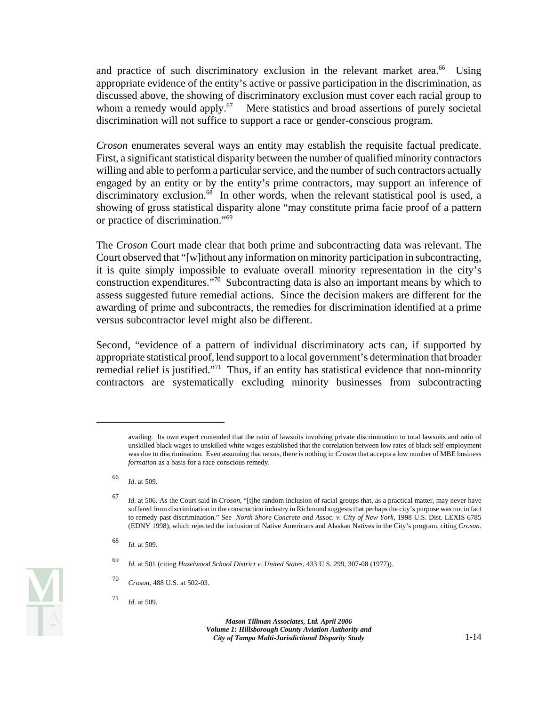and practice of such discriminatory exclusion in the relevant market area.<sup>66</sup> Using appropriate evidence of the entity's active or passive participation in the discrimination, as discussed above, the showing of discriminatory exclusion must cover each racial group to whom a remedy would apply.<sup>67</sup> Mere statistics and broad assertions of purely societal discrimination will not suffice to support a race or gender-conscious program.

*Croson* enumerates several ways an entity may establish the requisite factual predicate. First, a significant statistical disparity between the number of qualified minority contractors willing and able to perform a particular service, and the number of such contractors actually engaged by an entity or by the entity's prime contractors, may support an inference of discriminatory exclusion.<sup>68</sup> In other words, when the relevant statistical pool is used, a showing of gross statistical disparity alone "may constitute prima facie proof of a pattern or practice of discrimination."69

The *Croson* Court made clear that both prime and subcontracting data was relevant. The Court observed that "[w]ithout any information on minority participation in subcontracting, it is quite simply impossible to evaluate overall minority representation in the city's construction expenditures."70 Subcontracting data is also an important means by which to assess suggested future remedial actions. Since the decision makers are different for the awarding of prime and subcontracts, the remedies for discrimination identified at a prime versus subcontractor level might also be different.

Second, "evidence of a pattern of individual discriminatory acts can, if supported by appropriate statistical proof, lend support to a local government's determination that broader remedial relief is justified."71 Thus, if an entity has statistical evidence that non-minority contractors are systematically excluding minority businesses from subcontracting

availing. Its own expert contended that the ratio of lawsuits involving private discrimination to total lawsuits and ratio of unskilled black wages to unskilled white wages established that the correlation between low rates of black self-employment was due to discrimination. Even assuming that nexus, there is nothing in *Croson* that accepts a low number of MBE business *formation* as a basis for a race conscious remedy.

<sup>66</sup>*Id*. at 509.

<sup>67</sup>*Id.* at 506. As the Court said in *Croson*, "[t]he random inclusion of racial groups that, as a practical matter, may never have suffered from discrimination in the construction industry in Richmond suggests that perhaps the city's purpose was not in fact to remedy past discrimination." See *North Shore Concrete and Assoc. v. City of New York,* 1998 U.S. Dist. LEXIS 6785 (EDNY 1998), which rejected the inclusion of Native Americans and Alaskan Natives in the City's program, citing *Croson*.

<sup>68</sup>*Id.* at 509.

<sup>69</sup>*Id.* at 501 (citing *Hazelwood School District v. United States*, 433 U.S. 299, 307-08 (1977)).

<sup>70</sup>*Croson*, 488 U.S. at 502-03.

<sup>71</sup>*Id.* at 509.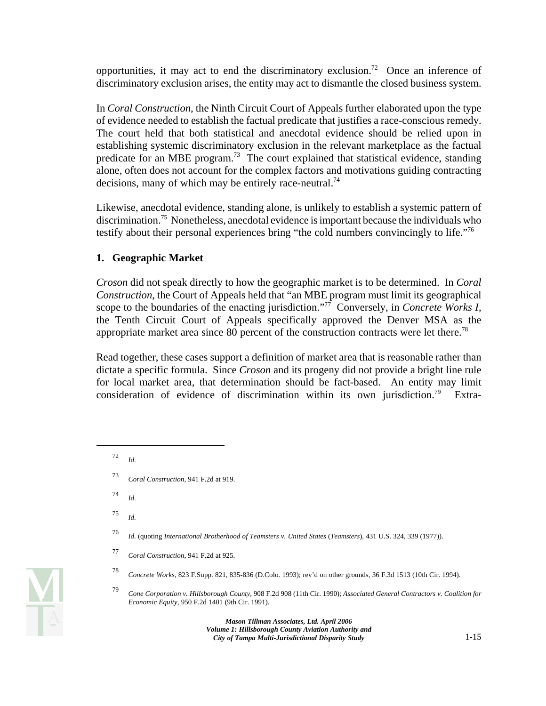opportunities, it may act to end the discriminatory exclusion.<sup>72</sup> Once an inference of discriminatory exclusion arises, the entity may act to dismantle the closed business system.

In *Coral Construction*, the Ninth Circuit Court of Appeals further elaborated upon the type of evidence needed to establish the factual predicate that justifies a race-conscious remedy. The court held that both statistical and anecdotal evidence should be relied upon in establishing systemic discriminatory exclusion in the relevant marketplace as the factual predicate for an MBE program.<sup>73</sup> The court explained that statistical evidence, standing alone, often does not account for the complex factors and motivations guiding contracting decisions, many of which may be entirely race-neutral.<sup>74</sup>

Likewise, anecdotal evidence, standing alone, is unlikely to establish a systemic pattern of discrimination.75 Nonetheless, anecdotal evidence is important because the individuals who testify about their personal experiences bring "the cold numbers convincingly to life."76

#### **1. Geographic Market**

*Croson* did not speak directly to how the geographic market is to be determined. In *Coral Construction*, the Court of Appeals held that "an MBE program must limit its geographical scope to the boundaries of the enacting jurisdiction.<sup>"77</sup> Conversely, in *Concrete Works I*, the Tenth Circuit Court of Appeals specifically approved the Denver MSA as the appropriate market area since 80 percent of the construction contracts were let there.<sup>78</sup>

Read together, these cases support a definition of market area that is reasonable rather than dictate a specific formula. Since *Croson* and its progeny did not provide a bright line rule for local market area, that determination should be fact-based. An entity may limit consideration of evidence of discrimination within its own jurisdiction.<sup>79</sup> Extra-

 $72$ *Id.* 

- <sup>74</sup>*Id.*
- <sup>75</sup>*Id.*
- <sup>76</sup>*Id.* (quoting *International Brotherhood of Teamsters v. United States* (*Teamsters*), 431 U.S. 324, 339 (1977)).



<sup>73</sup>*Coral Construction*, 941 F.2d at 919.

<sup>77</sup>*Coral Construction*, 941 F.2d at 925.

<sup>78</sup>*Concrete Works*, 823 F.Supp. 821, 835-836 (D.Colo. 1993); rev'd on other grounds, 36 F.3d 1513 (10th Cir. 1994).

<sup>79</sup>*Cone Corporation v. Hillsborough County*, 908 F.2d 908 (11th Cir. 1990); *Associated General Contractors v. Coalition for Economic Equity*, 950 F.2d 1401 (9th Cir. 1991).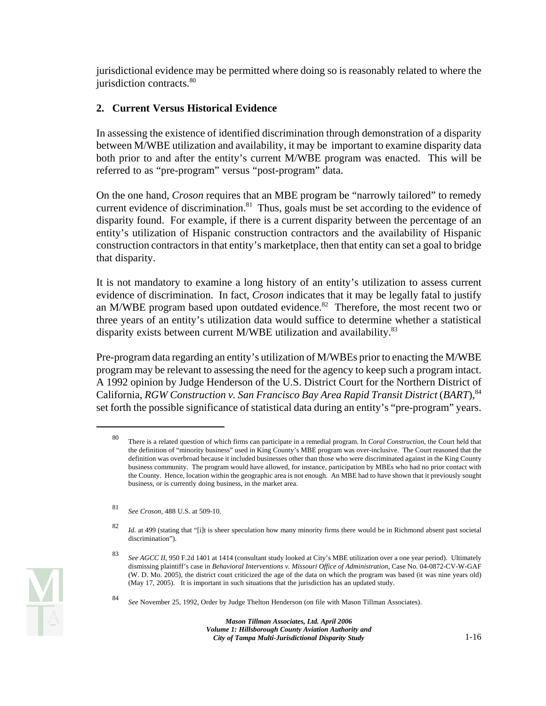jurisdictional evidence may be permitted where doing so is reasonably related to where the jurisdiction contracts.<sup>80</sup>

#### **2. Current Versus Historical Evidence**

In assessing the existence of identified discrimination through demonstration of a disparity between M/WBE utilization and availability, it may be important to examine disparity data both prior to and after the entity's current M/WBE program was enacted. This will be referred to as "pre-program" versus "post-program" data.

On the one hand, *Croson* requires that an MBE program be "narrowly tailored" to remedy current evidence of discrimination. $81$  Thus, goals must be set according to the evidence of disparity found. For example, if there is a current disparity between the percentage of an entity's utilization of Hispanic construction contractors and the availability of Hispanic construction contractors in that entity's marketplace, then that entity can set a goal to bridge that disparity.

It is not mandatory to examine a long history of an entity's utilization to assess current evidence of discrimination. In fact, *Croson* indicates that it may be legally fatal to justify an M/WBE program based upon outdated evidence.<sup>82</sup> Therefore, the most recent two or three years of an entity's utilization data would suffice to determine whether a statistical disparity exists between current M/WBE utilization and availability.<sup>83</sup>

Pre-program data regarding an entity's utilization of M/WBEs prior to enacting the M/WBE program may be relevant to assessing the need for the agency to keep such a program intact. A 1992 opinion by Judge Henderson of the U.S. District Court for the Northern District of California, RGW Construction v. San Francisco Bay Area Rapid Transit District (BART), <sup>84</sup> set forth the possible significance of statistical data during an entity's "pre-program" years.

 business community. The program would have allowed, for instance, participation by MBEs who had no prior contact with 80 There is a related question of which firms can participate in a remedial program. In *Coral Construction*, the Court held that the definition of "minority business" used in King County's MBE program was over-inclusive. The Court reasoned that the definition was overbroad because it included businesses other than those who were discriminated against in the King County the County. Hence, location within the geographic area is not enough. An MBE had to have shown that it previously sought business, or is currently doing business, in the market area.

<sup>81</sup>*See Croson*, 488 U.S. at 509-10.

<sup>82</sup>*Id.* at 499 (stating that "[i]t is sheer speculation how many minority firms there would be in Richmond absent past societal discrimination").

<sup>83</sup>*See AGCC II*, 950 F.2d 1401 at 1414 (consultant study looked at City's MBE utilization over a one year period). Ultimately dismissing plaintiff's case in *Behavioral Interventions v. Missouri Office of Administration*, Case No. 04-0872-CV-W-GAF (W. D. Mo. 2005), the district court criticized the age of the data on which the program was based (it was nine years old) (May 17, 2005). It is important in such situations that the jurisdiction has an updated study.

<sup>84</sup>*See* November 25, 1992, Order by Judge Thelton Henderson (on file with Mason Tillman Associates).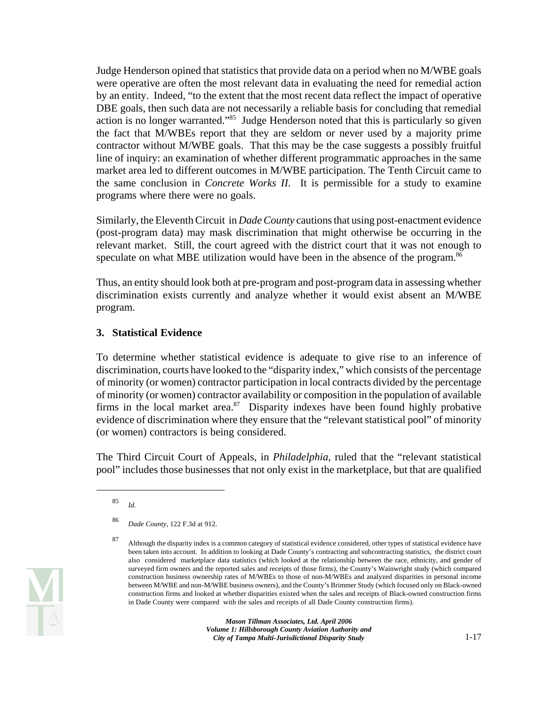Judge Henderson opined that statistics that provide data on a period when no M/WBE goals were operative are often the most relevant data in evaluating the need for remedial action by an entity. Indeed, "to the extent that the most recent data reflect the impact of operative DBE goals, then such data are not necessarily a reliable basis for concluding that remedial action is no longer warranted."85 Judge Henderson noted that this is particularly so given the fact that M/WBEs report that they are seldom or never used by a majority prime contractor without M/WBE goals. That this may be the case suggests a possibly fruitful line of inquiry: an examination of whether different programmatic approaches in the same market area led to different outcomes in M/WBE participation. The Tenth Circuit came to the same conclusion in *Concrete Works II*. It is permissible for a study to examine programs where there were no goals.

Similarly, the Eleventh Circuit in *Dade County* cautions that using post-enactment evidence (post-program data) may mask discrimination that might otherwise be occurring in the relevant market. Still, the court agreed with the district court that it was not enough to speculate on what MBE utilization would have been in the absence of the program.<sup>86</sup>

Thus, an entity should look both at pre-program and post-program data in assessing whether discrimination exists currently and analyze whether it would exist absent an M/WBE program.

#### **3. Statistical Evidence**

To determine whether statistical evidence is adequate to give rise to an inference of discrimination, courts have looked to the "disparity index," which consists of the percentage of minority (or women) contractor participation in local contracts divided by the percentage of minority (or women) contractor availability or composition in the population of available firms in the local market area. $87$  Disparity indexes have been found highly probative evidence of discrimination where they ensure that the "relevant statistical pool" of minority (or women) contractors is being considered.

The Third Circuit Court of Appeals, in *Philadelphia*, ruled that the "relevant statistical pool" includes those businesses that not only exist in the marketplace, but that are qualified

<sup>85</sup>*Id.* 

<sup>86</sup>*Dade County*, 122 F.3d at 912.

<sup>87</sup> Although the disparity index is a common category of statistical evidence considered, other types of statistical evidence have been taken into account. In addition to looking at Dade County's contracting and subcontracting statistics, the district court also considered marketplace data statistics (which looked at the relationship between the race, ethnicity, and gender of surveyed firm owners and the reported sales and receipts of those firms), the County's Wainwright study (which compared construction business ownership rates of M/WBEs to those of non-M/WBEs and analyzed disparities in personal income between M/WBE and non-M/WBE business owners), and the County's Brimmer Study (which focused only on Black-owned construction firms and looked at whether disparities existed when the sales and receipts of Black-owned construction firms in Dade County were compared with the sales and receipts of all Dade County construction firms).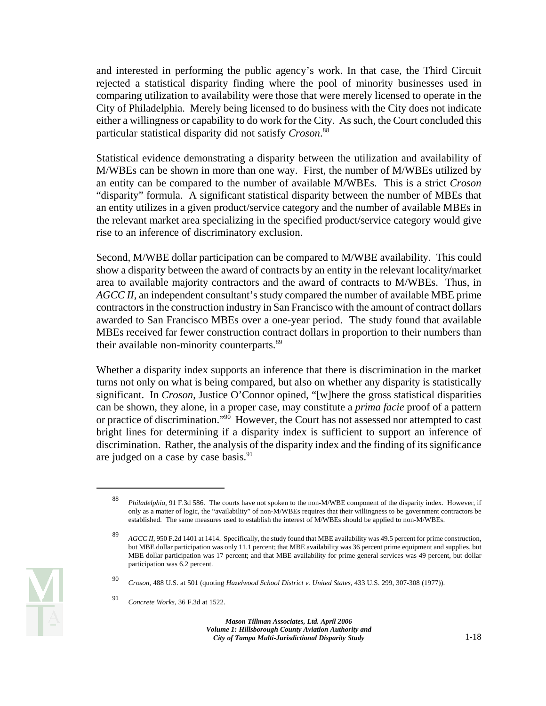and interested in performing the public agency's work. In that case, the Third Circuit rejected a statistical disparity finding where the pool of minority businesses used in comparing utilization to availability were those that were merely licensed to operate in the City of Philadelphia. Merely being licensed to do business with the City does not indicate either a willingness or capability to do work for the City. As such, the Court concluded this particular statistical disparity did not satisfy *Croson*. 88

Statistical evidence demonstrating a disparity between the utilization and availability of M/WBEs can be shown in more than one way. First, the number of M/WBEs utilized by an entity can be compared to the number of available M/WBEs. This is a strict *Croson*  "disparity" formula. A significant statistical disparity between the number of MBEs that an entity utilizes in a given product/service category and the number of available MBEs in the relevant market area specializing in the specified product/service category would give rise to an inference of discriminatory exclusion.

Second, M/WBE dollar participation can be compared to M/WBE availability. This could show a disparity between the award of contracts by an entity in the relevant locality/market area to available majority contractors and the award of contracts to M/WBEs. Thus, in *AGCC II*, an independent consultant's study compared the number of available MBE prime contractors in the construction industry in San Francisco with the amount of contract dollars awarded to San Francisco MBEs over a one-year period. The study found that available MBEs received far fewer construction contract dollars in proportion to their numbers than their available non-minority counterparts.<sup>89</sup>

Whether a disparity index supports an inference that there is discrimination in the market turns not only on what is being compared, but also on whether any disparity is statistically significant. In *Croson*, Justice O'Connor opined, "[w]here the gross statistical disparities can be shown, they alone, in a proper case, may constitute a *prima facie* proof of a pattern or practice of discrimination."90 However, the Court has not assessed nor attempted to cast bright lines for determining if a disparity index is sufficient to support an inference of discrimination. Rather, the analysis of the disparity index and the finding of its significance are judged on a case by case basis. $91$ 

<sup>88</sup>*Philadelphia*, 91 F.3d 586. The courts have not spoken to the non-M/WBE component of the disparity index. However, if only as a matter of logic, the "availability" of non-M/WBEs requires that their willingness to be government contractors be established. The same measures used to establish the interest of M/WBEs should be applied to non-M/WBEs.

<sup>89</sup>*AGCC II*, 950 F.2d 1401 at 1414. Specifically, the study found that MBE availability was 49.5 percent for prime construction, but MBE dollar participation was only 11.1 percent; that MBE availability was 36 percent prime equipment and supplies, but MBE dollar participation was 17 percent; and that MBE availability for prime general services was 49 percent, but dollar participation was 6.2 percent.

<sup>90</sup>*Croson*, 488 U.S. at 501 (quoting *Hazelwood School District v. United States*, 433 U.S. 299, 307-308 (1977)).

<sup>91</sup>*Concrete Works*, 36 F.3d at 1522.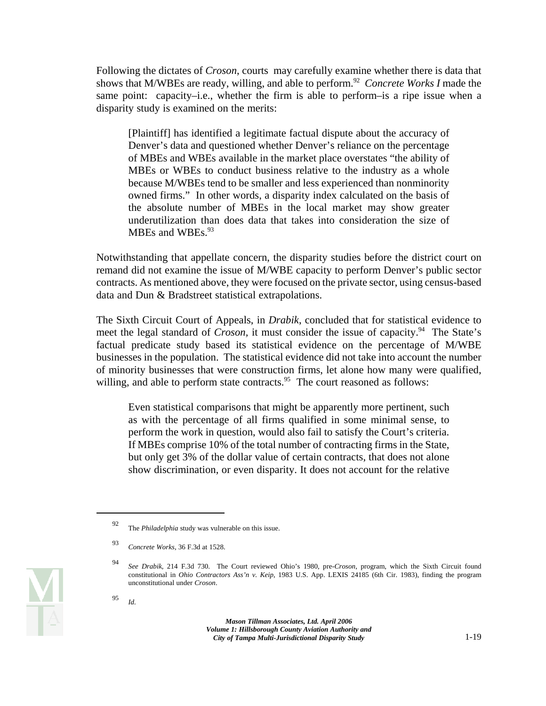shows that M/WBEs are ready, willing, and able to perform.<sup>92</sup> *Concrete Works I* made the Following the dictates of *Croson*, courts may carefully examine whether there is data that same point: capacity–i.e., whether the firm is able to perform–is a ripe issue when a disparity study is examined on the merits:

[Plaintiff] has identified a legitimate factual dispute about the accuracy of Denver's data and questioned whether Denver's reliance on the percentage of MBEs and WBEs available in the market place overstates "the ability of MBEs or WBEs to conduct business relative to the industry as a whole because M/WBEs tend to be smaller and less experienced than nonminority owned firms." In other words, a disparity index calculated on the basis of the absolute number of MBEs in the local market may show greater underutilization than does data that takes into consideration the size of MBEs and WBEs.<sup>93</sup>

Notwithstanding that appellate concern, the disparity studies before the district court on remand did not examine the issue of M/WBE capacity to perform Denver's public sector contracts. As mentioned above, they were focused on the private sector, using census-based data and Dun & Bradstreet statistical extrapolations.

The Sixth Circuit Court of Appeals, in *Drabik*, concluded that for statistical evidence to meet the legal standard of *Croson*, it must consider the issue of capacity.<sup>94</sup> The State's factual predicate study based its statistical evidence on the percentage of M/WBE businesses in the population. The statistical evidence did not take into account the number of minority businesses that were construction firms, let alone how many were qualified, willing, and able to perform state contracts.<sup>95</sup> The court reasoned as follows:

Even statistical comparisons that might be apparently more pertinent, such as with the percentage of all firms qualified in some minimal sense, to perform the work in question, would also fail to satisfy the Court's criteria. If MBEs comprise 10% of the total number of contracting firms in the State, but only get 3% of the dollar value of certain contracts, that does not alone show discrimination, or even disparity. It does not account for the relative



<sup>92</sup> The *Philadelphia* study was vulnerable on this issue.

<sup>93</sup>*Concrete Works*, 36 F.3d at 1528.

<sup>94</sup>*See Drabik*, 214 F.3d 730. The Court reviewed Ohio's 1980, pre-*Croson*, program, which the Sixth Circuit found constitutional in *Ohio Contractors Ass'n v. Keip*, 1983 U.S. App. LEXIS 24185 (6th Cir. 1983), finding the program unconstitutional under *Croson*.

<sup>95</sup>*Id.*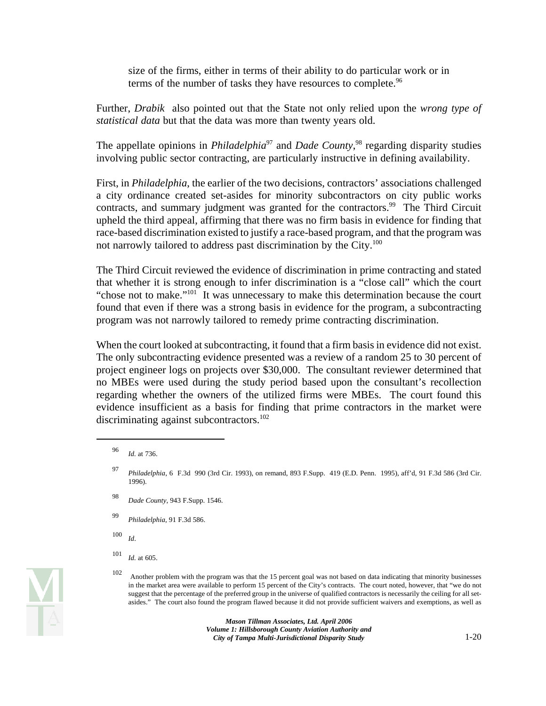size of the firms, either in terms of their ability to do particular work or in terms of the number of tasks they have resources to complete.<sup>96</sup>

Further, *Drabik* also pointed out that the State not only relied upon the *wrong type of statistical data* but that the data was more than twenty years old.

The appellate opinions in *Philadelphia*<sup>97</sup> and *Dade County*,<sup>98</sup> regarding disparity studies involving public sector contracting, are particularly instructive in defining availability.

not narrowly tailored to address past discrimination by the City.<sup>100</sup> First, in *Philadelphia*, the earlier of the two decisions, contractors' associations challenged a city ordinance created set-asides for minority subcontractors on city public works contracts, and summary judgment was granted for the contractors.<sup>99</sup> The Third Circuit upheld the third appeal, affirming that there was no firm basis in evidence for finding that race-based discrimination existed to justify a race-based program, and that the program was

The Third Circuit reviewed the evidence of discrimination in prime contracting and stated that whether it is strong enough to infer discrimination is a "close call" which the court "chose not to make."<sup>101</sup> It was unnecessary to make this determination because the court found that even if there was a strong basis in evidence for the program, a subcontracting program was not narrowly tailored to remedy prime contracting discrimination.

When the court looked at subcontracting, it found that a firm basis in evidence did not exist. The only subcontracting evidence presented was a review of a random 25 to 30 percent of project engineer logs on projects over \$30,000. The consultant reviewer determined that no MBEs were used during the study period based upon the consultant's recollection regarding whether the owners of the utilized firms were MBEs. The court found this evidence insufficient as a basis for finding that prime contractors in the market were discriminating against subcontractors.<sup>102</sup>

- <sup>98</sup>*Dade County*, 943 F.Supp. 1546.
- <sup>99</sup>*Philadelphia*, 91 F.3d 586.
- <sup>100</sup>*Id*.
- <sup>101</sup>*Id.* at 605.

 102 Another problem with the program was that the 15 percent goal was not based on data indicating that minority businesses in the market area were available to perform 15 percent of the City's contracts. The court noted, however, that "we do not suggest that the percentage of the preferred group in the universe of qualified contractors is necessarily the ceiling for all setasides." The court also found the program flawed because it did not provide sufficient waivers and exemptions, as well as

<sup>96</sup>*Id.* at 736.

 <sup>97</sup>*Philadelphia*, 6 F.3d 990 (3rd Cir. 1993), on remand, 893 F.Supp. 419 (E.D. Penn. 1995), aff'd, 91 F.3d 586 (3rd Cir. 1996).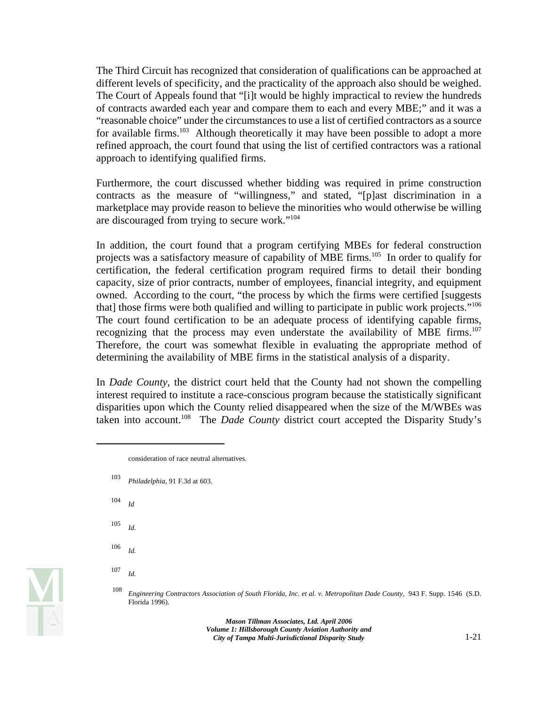The Third Circuit has recognized that consideration of qualifications can be approached at different levels of specificity, and the practicality of the approach also should be weighed. The Court of Appeals found that "[i]t would be highly impractical to review the hundreds of contracts awarded each year and compare them to each and every MBE;" and it was a "reasonable choice" under the circumstances to use a list of certified contractors as a source for available firms.<sup>103</sup> Although theoretically it may have been possible to adopt a more refined approach, the court found that using the list of certified contractors was a rational approach to identifying qualified firms.

Furthermore, the court discussed whether bidding was required in prime construction contracts as the measure of "willingness," and stated, "[p]ast discrimination in a marketplace may provide reason to believe the minorities who would otherwise be willing are discouraged from trying to secure work."104

In addition, the court found that a program certifying MBEs for federal construction projects was a satisfactory measure of capability of MBE firms.<sup>105</sup> In order to qualify for certification, the federal certification program required firms to detail their bonding capacity, size of prior contracts, number of employees, financial integrity, and equipment owned. According to the court, "the process by which the firms were certified [suggests that] those firms were both qualified and willing to participate in public work projects."106 The court found certification to be an adequate process of identifying capable firms, recognizing that the process may even understate the availability of MBE firms.<sup>107</sup> Therefore, the court was somewhat flexible in evaluating the appropriate method of determining the availability of MBE firms in the statistical analysis of a disparity.

In *Dade County*, the district court held that the County had not shown the compelling interest required to institute a race-conscious program because the statistically significant disparities upon which the County relied disappeared when the size of the M/WBEs was taken into account.<sup>108</sup> The *Dade County* district court accepted the Disparity Study's

- <sup>103</sup>*Philadelphia*, 91 F.3d at 603.
- $104$ <sup>Id</sup>
- $105$  *Id.*
- <sup>106</sup>*Id.*

<sup>107</sup>*Id.* 

consideration of race neutral alternatives.

<sup>108</sup>*Engineering Contractors Association of South Florida, Inc. et al. v. Metropolitan Dade County*, 943 F. Supp. 1546 (S.D. Florida 1996).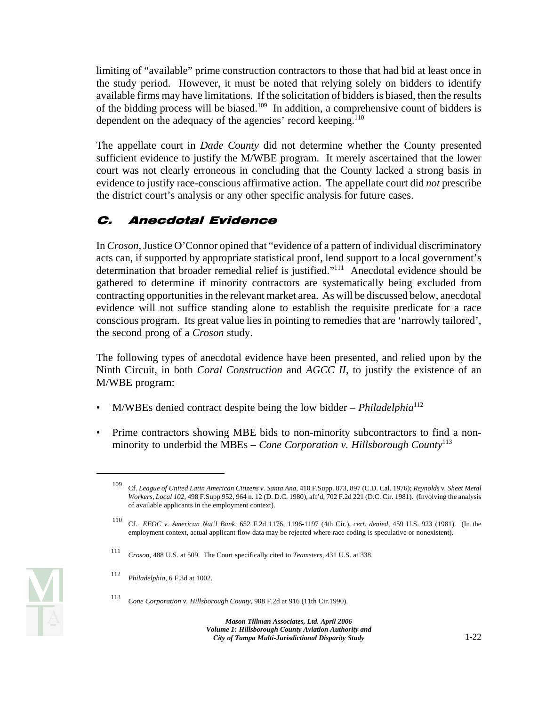limiting of "available" prime construction contractors to those that had bid at least once in the study period. However, it must be noted that relying solely on bidders to identify available firms may have limitations. If the solicitation of bidders is biased, then the results of the bidding process will be biased.<sup>109</sup> In addition, a comprehensive count of bidders is dependent on the adequacy of the agencies' record keeping.<sup>110</sup>

The appellate court in *Dade County* did not determine whether the County presented sufficient evidence to justify the M/WBE program. It merely ascertained that the lower court was not clearly erroneous in concluding that the County lacked a strong basis in evidence to justify race-conscious affirmative action. The appellate court did *not* prescribe the district court's analysis or any other specific analysis for future cases.

# C. Anecdotal Evidence

In *Croson*, Justice O'Connor opined that "evidence of a pattern of individual discriminatory acts can, if supported by appropriate statistical proof, lend support to a local government's determination that broader remedial relief is justified."111 Anecdotal evidence should be gathered to determine if minority contractors are systematically being excluded from contracting opportunities in the relevant market area. As will be discussed below, anecdotal evidence will not suffice standing alone to establish the requisite predicate for a race conscious program. Its great value lies in pointing to remedies that are 'narrowly tailored', the second prong of a *Croson* study.

The following types of anecdotal evidence have been presented, and relied upon by the Ninth Circuit, in both *Coral Construction* and *AGCC II*, to justify the existence of an M/WBE program:

- M/WBEs denied contract despite being the low bidder *Philadelphia*<sup>112</sup>
- Prime contractors showing MBE bids to non-minority subcontractors to find a nonminority to underbid the MBEs – *Cone Corporation v. Hillsborough County*<sup>113</sup>

- <sup>111</sup>*Croson*, 488 U.S. at 509. The Court specifically cited to *Teamsters*, 431 U.S. at 338.
- <sup>112</sup>*Philadelphia*, 6 F.3d at 1002.
- <sup>113</sup>*Cone Corporation v. Hillsborough County*, 908 F.2d at 916 (11th Cir.1990).



 109 Cf. *League of United Latin American Citizens v. Santa Ana*, 410 F.Supp. 873, 897 (C.D. Cal. 1976); *Reynolds v. Sheet Metal Workers, Local 102*, 498 F.Supp 952, 964 n. 12 (D. D.C. 1980), aff'd, 702 F.2d 221 (D.C. Cir. 1981). (Involving the analysis of available applicants in the employment context).

 110 Cf. *EEOC v. American Nat'l Bank*, 652 F.2d 1176, 1196-1197 (4th Cir.), *cert. denied*, 459 U.S. 923 (1981). (In the employment context, actual applicant flow data may be rejected where race coding is speculative or nonexistent).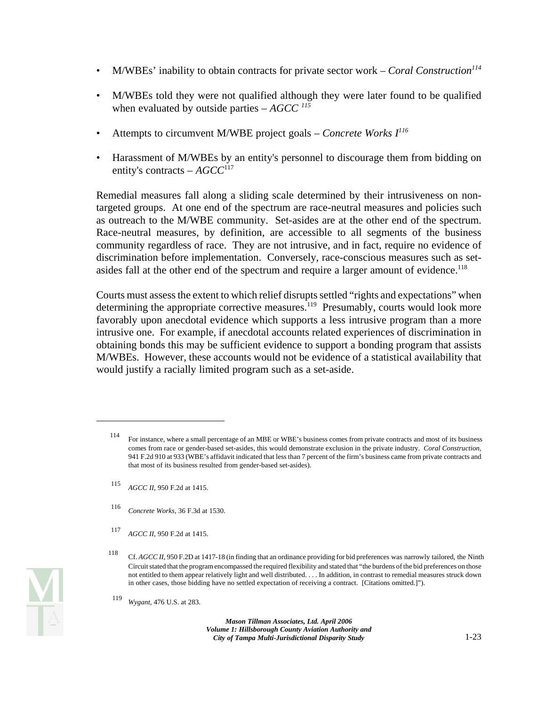- M/WBEs' inability to obtain contracts for private sector work *Coral Construction*<sup>114</sup>
- M/WBEs told they were not qualified although they were later found to be qualified when evaluated by outside parties – *AGCC 115*
- Attempts to circumvent M/WBE project goals *Concrete Works I116*
- Harassment of M/WBEs by an entity's personnel to discourage them from bidding on entity's contracts – *AGCC*<sup>117</sup>

Remedial measures fall along a sliding scale determined by their intrusiveness on nontargeted groups. At one end of the spectrum are race-neutral measures and policies such as outreach to the M/WBE community. Set-asides are at the other end of the spectrum. Race-neutral measures, by definition, are accessible to all segments of the business community regardless of race. They are not intrusive, and in fact, require no evidence of discrimination before implementation. Conversely, race-conscious measures such as setasides fall at the other end of the spectrum and require a larger amount of evidence.<sup>118</sup>

Courts must assess the extent to which relief disrupts settled "rights and expectations" when determining the appropriate corrective measures.<sup>119</sup> Presumably, courts would look more favorably upon anecdotal evidence which supports a less intrusive program than a more intrusive one. For example, if anecdotal accounts related experiences of discrimination in obtaining bonds this may be sufficient evidence to support a bonding program that assists M/WBEs. However, these accounts would not be evidence of a statistical availability that would justify a racially limited program such as a set-aside.

- <sup>115</sup>*AGCC II*, 950 F.2d at 1415.
- <sup>116</sup>*Concrete Works*, 36 F.3d at 1530.
- <sup>117</sup>*AGCC II*, 950 F.2d at 1415.



 comes from race or gender-based set-asides, this would demonstrate exclusion in the private industry. *Coral Construction*, 114 For instance, where a small percentage of an MBE or WBE's business comes from private contracts and most of its business 941 F.2d 910 at 933 (WBE's affidavit indicated that less than 7 percent of the firm's business came from private contracts and that most of its business resulted from gender-based set-asides).

<sup>118</sup> Cf. *AGCC II*, 950 F.2D at 1417-18 (in finding that an ordinance providing for bid preferences was narrowly tailored, the Ninth Circuit stated that the program encompassed the required flexibility and stated that "the burdens of the bid preferences on those not entitled to them appear relatively light and well distributed. . . . In addition, in contrast to remedial measures struck down in other cases, those bidding have no settled expectation of receiving a contract. [Citations omitted.]").

<sup>119</sup>*Wygant*, 476 U.S. at 283.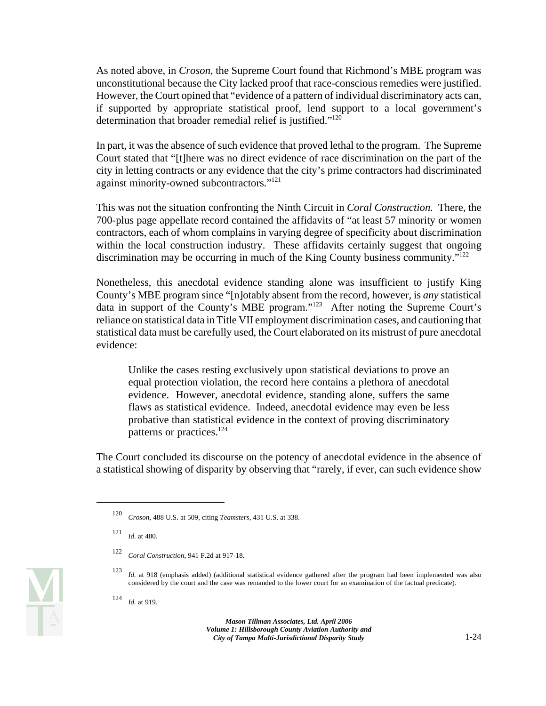As noted above, in *Croson*, the Supreme Court found that Richmond's MBE program was unconstitutional because the City lacked proof that race-conscious remedies were justified. However, the Court opined that "evidence of a pattern of individual discriminatory acts can, if supported by appropriate statistical proof, lend support to a local government's determination that broader remedial relief is justified."<sup>120</sup>

In part, it was the absence of such evidence that proved lethal to the program. The Supreme Court stated that "[t]here was no direct evidence of race discrimination on the part of the city in letting contracts or any evidence that the city's prime contractors had discriminated against minority-owned subcontractors."<sup>121</sup>

discrimination may be occurring in much of the King County business community." $122$ This was not the situation confronting the Ninth Circuit in *Coral Construction.* There, the 700-plus page appellate record contained the affidavits of "at least 57 minority or women contractors, each of whom complains in varying degree of specificity about discrimination within the local construction industry. These affidavits certainly suggest that ongoing

Nonetheless, this anecdotal evidence standing alone was insufficient to justify King County's MBE program since "[n]otably absent from the record, however, is *any* statistical data in support of the County's MBE program."123 After noting the Supreme Court's reliance on statistical data in Title VII employment discrimination cases, and cautioning that statistical data must be carefully used, the Court elaborated on its mistrust of pure anecdotal evidence:

Unlike the cases resting exclusively upon statistical deviations to prove an equal protection violation, the record here contains a plethora of anecdotal evidence. However, anecdotal evidence, standing alone, suffers the same flaws as statistical evidence. Indeed, anecdotal evidence may even be less probative than statistical evidence in the context of proving discriminatory patterns or practices.124

The Court concluded its discourse on the potency of anecdotal evidence in the absence of a statistical showing of disparity by observing that "rarely, if ever, can such evidence show

<sup>120</sup>*Croson*, 488 U.S. at 509, citing *Teamsters*, 431 U.S. at 338.

<sup>121</sup>*Id.* at 480.

<sup>122</sup>*Coral Construction*, 941 F.2d at 917-18.

<sup>123</sup>*Id.* at 918 (emphasis added) (additional statistical evidence gathered after the program had been implemented was also considered by the court and the case was remanded to the lower court for an examination of the factual predicate).

<sup>124</sup>*Id.* at 919.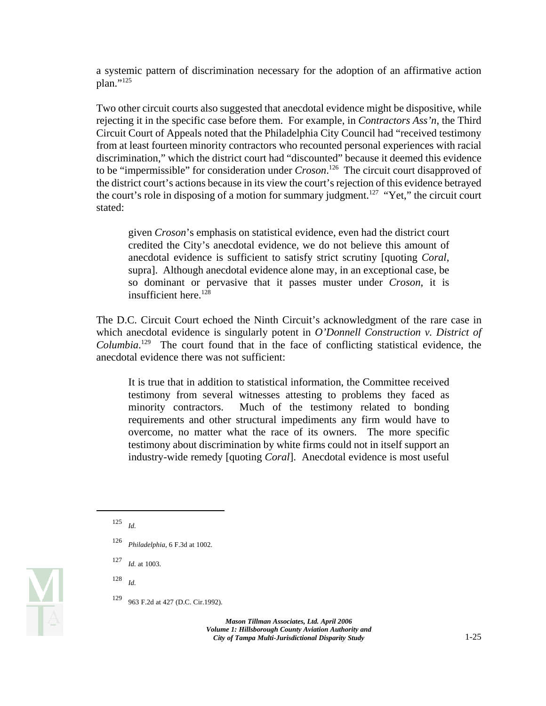a systemic pattern of discrimination necessary for the adoption of an affirmative action plan."<sup>125</sup>

Two other circuit courts also suggested that anecdotal evidence might be dispositive, while rejecting it in the specific case before them. For example, in *Contractors Ass'n*, the Third Circuit Court of Appeals noted that the Philadelphia City Council had "received testimony from at least fourteen minority contractors who recounted personal experiences with racial discrimination," which the district court had "discounted" because it deemed this evidence to be "impermissible" for consideration under *Croson*. 126 The circuit court disapproved of the district court's actions because in its view the court's rejection of this evidence betrayed the court's role in disposing of a motion for summary judgment.<sup>127</sup> "Yet," the circuit court stated:

given *Croson*'s emphasis on statistical evidence, even had the district court credited the City's anecdotal evidence, we do not believe this amount of anecdotal evidence is sufficient to satisfy strict scrutiny [quoting *Coral*, supra]. Although anecdotal evidence alone may, in an exceptional case, be so dominant or pervasive that it passes muster under *Croson*, it is insufficient here. $128$ 

The D.C. Circuit Court echoed the Ninth Circuit's acknowledgment of the rare case in which anecdotal evidence is singularly potent in *O'Donnell Construction v. District of*  Columbia.<sup>129</sup> The court found that in the face of conflicting statistical evidence, the anecdotal evidence there was not sufficient:

It is true that in addition to statistical information, the Committee received testimony from several witnesses attesting to problems they faced as minority contractors. Much of the testimony related to bonding requirements and other structural impediments any firm would have to overcome, no matter what the race of its owners. The more specific testimony about discrimination by white firms could not in itself support an industry-wide remedy [quoting *Coral*]. Anecdotal evidence is most useful

<sup>128</sup>*Id.* 



<sup>125</sup>*Id.* 

<sup>126</sup>*Philadelphia*, 6 F.3d at 1002.

<sup>127</sup>*Id.* at 1003.

<sup>129 963</sup> F.2d at 427 (D.C. Cir.1992).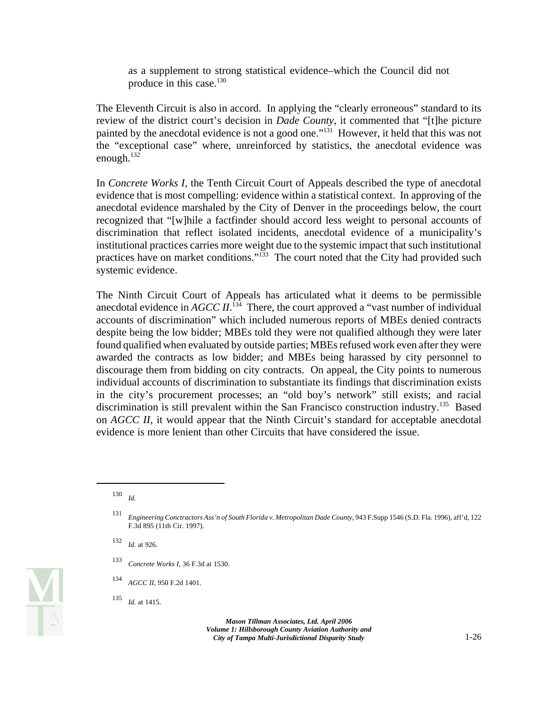as a supplement to strong statistical evidence–which the Council did not produce in this case.<sup>130</sup>

The Eleventh Circuit is also in accord. In applying the "clearly erroneous" standard to its review of the district court's decision in *Dade County*, it commented that "[t]he picture painted by the anecdotal evidence is not a good one."131 However, it held that this was not the "exceptional case" where, unreinforced by statistics, the anecdotal evidence was enough.<sup>132</sup>

In *Concrete Works I*, the Tenth Circuit Court of Appeals described the type of anecdotal evidence that is most compelling: evidence within a statistical context. In approving of the anecdotal evidence marshaled by the City of Denver in the proceedings below, the court recognized that "[w]hile a factfinder should accord less weight to personal accounts of discrimination that reflect isolated incidents, anecdotal evidence of a municipality's institutional practices carries more weight due to the systemic impact that such institutional practices have on market conditions."<sup>133</sup> The court noted that the City had provided such systemic evidence.

The Ninth Circuit Court of Appeals has articulated what it deems to be permissible anecdotal evidence in  $AGCC \, \textit{II}.^{134}$  There, the court approved a "vast number of individual accounts of discrimination" which included numerous reports of MBEs denied contracts despite being the low bidder; MBEs told they were not qualified although they were later found qualified when evaluated by outside parties; MBEs refused work even after they were awarded the contracts as low bidder; and MBEs being harassed by city personnel to discourage them from bidding on city contracts. On appeal, the City points to numerous individual accounts of discrimination to substantiate its findings that discrimination exists in the city's procurement processes; an "old boy's network" still exists; and racial discrimination is still prevalent within the San Francisco construction industry.<sup>135</sup> Based on *AGCC II*, it would appear that the Ninth Circuit's standard for acceptable anecdotal evidence is more lenient than other Circuits that have considered the issue.



 $130$  *Id.* 

<sup>131</sup>*Engineering Conctractors Ass'n of South Florida v. Metropolitan Dade County*, 943 F.Supp 1546 (S.D. Fla. 1996), aff'd, 122 F.3d 895 (11th Cir. 1997).

<sup>132</sup>*Id.* at 926.

<sup>133</sup>*Concrete Works I*, 36 F.3d at 1530.

<sup>134</sup>*AGCC II*, 950 F.2d 1401.

<sup>135</sup>*Id.* at 1415.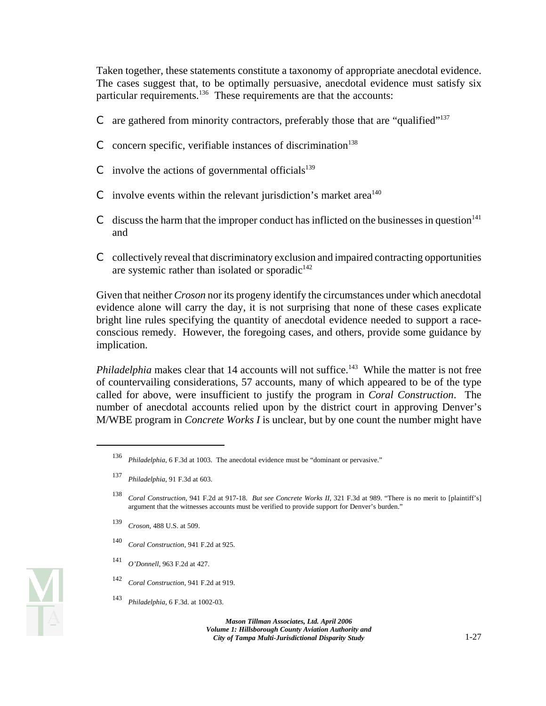Taken together, these statements constitute a taxonomy of appropriate anecdotal evidence. The cases suggest that, to be optimally persuasive, anecdotal evidence must satisfy six particular requirements.<sup>136</sup> These requirements are that the accounts:

- C are gathered from minority contractors, preferably those that are "qualified"<sup>137</sup>
- C concern specific, verifiable instances of discrimination<sup>138</sup>
- C involve the actions of governmental officials $139$
- C involve events within the relevant jurisdiction's market area<sup> $140$ </sup>
- C discuss the harm that the improper conduct has inflicted on the businesses in question $141$ and
- C collectively reveal that discriminatory exclusion and impaired contracting opportunities are systemic rather than isolated or sporadic $142$

Given that neither *Croson* nor its progeny identify the circumstances under which anecdotal evidence alone will carry the day, it is not surprising that none of these cases explicate bright line rules specifying the quantity of anecdotal evidence needed to support a raceconscious remedy. However, the foregoing cases, and others, provide some guidance by implication.

*Philadelphia* makes clear that 14 accounts will not suffice.<sup>143</sup> While the matter is not free of countervailing considerations, 57 accounts, many of which appeared to be of the type called for above, were insufficient to justify the program in *Coral Construction*. The number of anecdotal accounts relied upon by the district court in approving Denver's M/WBE program in *Concrete Works I* is unclear, but by one count the number might have

- <sup>139</sup>*Croson*, 488 U.S. at 509.
- <sup>140</sup>*Coral Construction*, 941 F.2d at 925.
- <sup>141</sup>*O'Donnell*, 963 F.2d at 427.
- <sup>142</sup>*Coral Construction*, 941 F.2d at 919.
- <sup>143</sup>*Philadelphia*, 6 F.3d. at 1002-03.



<sup>136</sup>*Philadelphia*, 6 F.3d at 1003. The anecdotal evidence must be "dominant or pervasive."

<sup>137</sup>*Philadelphia*, 91 F.3d at 603.

 <sup>138</sup>*Coral Construction*, 941 F.2d at 917-18. *But see Concrete Works II*, 321 F.3d at 989. "There is no merit to [plaintiff's] argument that the witnesses accounts must be verified to provide support for Denver's burden."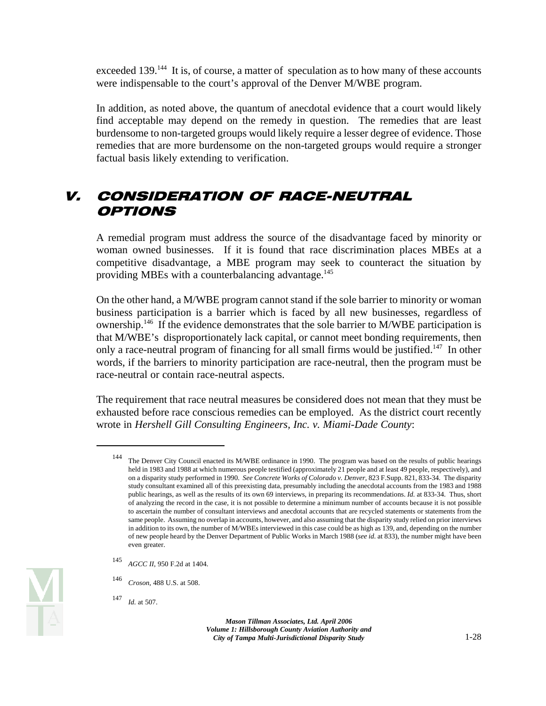exceeded 139.<sup>144</sup> It is, of course, a matter of speculation as to how many of these accounts were indispensable to the court's approval of the Denver M/WBE program.

In addition, as noted above, the quantum of anecdotal evidence that a court would likely find acceptable may depend on the remedy in question. The remedies that are least burdensome to non-targeted groups would likely require a lesser degree of evidence. Those remedies that are more burdensome on the non-targeted groups would require a stronger factual basis likely extending to verification.

# V. CONSIDERATION OF RACE-NEUTRAL OPTIONS

A remedial program must address the source of the disadvantage faced by minority or woman owned businesses. If it is found that race discrimination places MBEs at a competitive disadvantage, a MBE program may seek to counteract the situation by providing MBEs with a counterbalancing advantage.<sup>145</sup>

On the other hand, a M/WBE program cannot stand if the sole barrier to minority or woman business participation is a barrier which is faced by all new businesses, regardless of ownership.<sup>146</sup> If the evidence demonstrates that the sole barrier to M/WBE participation is that M/WBE's disproportionately lack capital, or cannot meet bonding requirements, then only a race-neutral program of financing for all small firms would be justified.<sup>147</sup> In other words, if the barriers to minority participation are race-neutral, then the program must be race-neutral or contain race-neutral aspects.

The requirement that race neutral measures be considered does not mean that they must be exhausted before race conscious remedies can be employed. As the district court recently wrote in *Hershell Gill Consulting Engineers, Inc. v. Miami-Dade County*:



 on a disparity study performed in 1990. *See Concrete Works of Colorado v. Denver*, 823 F.Supp. 821, 833-34. The disparity same people. Assuming no overlap in accounts, however, and also assuming that the disparity study relied on prior interviews 144 The Denver City Council enacted its M/WBE ordinance in 1990. The program was based on the results of public hearings held in 1983 and 1988 at which numerous people testified (approximately 21 people and at least 49 people, respectively), and study consultant examined all of this preexisting data, presumably including the anecdotal accounts from the 1983 and 1988 public hearings, as well as the results of its own 69 interviews, in preparing its recommendations. *Id.* at 833-34. Thus, short of analyzing the record in the case, it is not possible to determine a minimum number of accounts because it is not possible to ascertain the number of consultant interviews and anecdotal accounts that are recycled statements or statements from the in addition to its own, the number of M/WBEs interviewed in this case could be as high as 139, and, depending on the number of new people heard by the Denver Department of Public Works in March 1988 (*see id.* at 833), the number might have been even greater.

<sup>145</sup>*AGCC II*, 950 F.2d at 1404.

<sup>146</sup>*Croson*, 488 U.S. at 508.

<sup>147</sup>*Id.* at 507.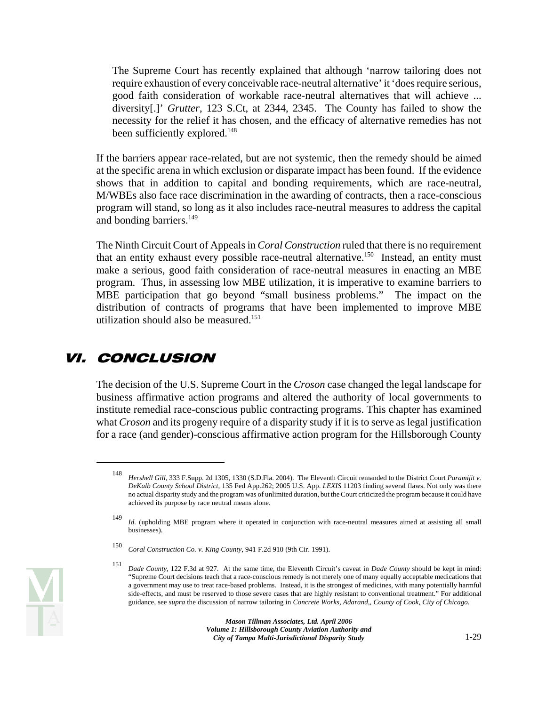The Supreme Court has recently explained that although 'narrow tailoring does not require exhaustion of every conceivable race-neutral alternative' it 'does require serious, good faith consideration of workable race-neutral alternatives that will achieve ... diversity[.]' *Grutter*, 123 S.Ct, at 2344, 2345. The County has failed to show the necessity for the relief it has chosen, and the efficacy of alternative remedies has not been sufficiently explored.<sup>148</sup>

If the barriers appear race-related, but are not systemic, then the remedy should be aimed at the specific arena in which exclusion or disparate impact has been found. If the evidence shows that in addition to capital and bonding requirements, which are race-neutral, M/WBEs also face race discrimination in the awarding of contracts, then a race-conscious program will stand, so long as it also includes race-neutral measures to address the capital and bonding barriers.<sup>149</sup>

The Ninth Circuit Court of Appeals in *Coral Construction* ruled that there is no requirement that an entity exhaust every possible race-neutral alternative.<sup>150</sup> Instead, an entity must make a serious, good faith consideration of race-neutral measures in enacting an MBE program. Thus, in assessing low MBE utilization, it is imperative to examine barriers to MBE participation that go beyond "small business problems." The impact on the distribution of contracts of programs that have been implemented to improve MBE utilization should also be measured.<sup>151</sup>

# VI. CONCLUSION

The decision of the U.S. Supreme Court in the *Croson* case changed the legal landscape for business affirmative action programs and altered the authority of local governments to institute remedial race-conscious public contracting programs. This chapter has examined what *Croson* and its progeny require of a disparity study if it is to serve as legal justification for a race (and gender)-conscious affirmative action program for the Hillsborough County



<sup>148</sup>*Hershell Gill*, 333 F.Supp. 2d 1305, 1330 (S.D.Fla. 2004). The Eleventh Circuit remanded to the District Court *Paramijit v. DeKalb County School District*, 135 Fed App.262; 2005 U.S. App. *LEXIS* 11203 finding several flaws. Not only was there no actual disparity study and the program was of unlimited duration, but the Court criticized the program because it could have achieved its purpose by race neutral means alone.

 <sup>149</sup>*Id.* (upholding MBE program where it operated in conjunction with race-neutral measures aimed at assisting all small businesses).

<sup>150</sup>*Coral Construction Co. v. King County*, 941 F.2d 910 (9th Cir. 1991).

<sup>151</sup>*Dade County*, 122 F.3d at 927. At the same time, the Eleventh Circuit's caveat in *Dade County* should be kept in mind: "Supreme Court decisions teach that a race-conscious remedy is not merely one of many equally acceptable medications that a government may use to treat race-based problems. Instead, it is the strongest of medicines, with many potentially harmful side-effects, and must be reserved to those severe cases that are highly resistant to conventional treatment." For additional guidance, see *supra* the discussion of narrow tailoring in *Concrete Works, Adarand,, County of Cook*, *City of Chicago.*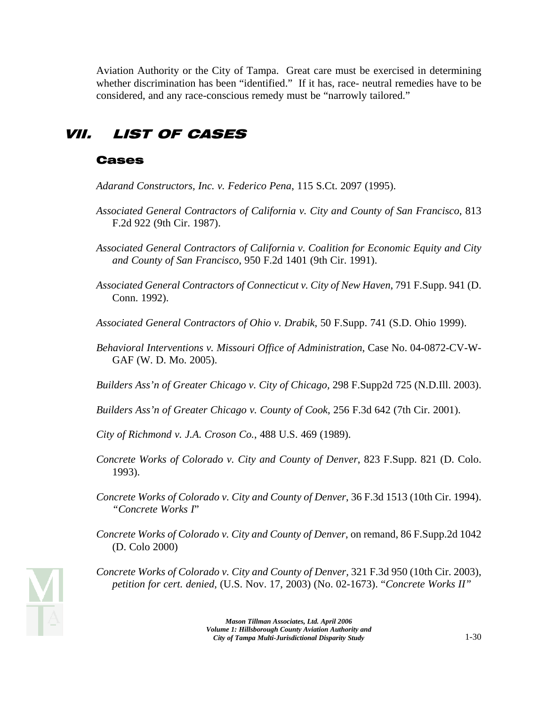Aviation Authority or the City of Tampa. Great care must be exercised in determining whether discrimination has been "identified." If it has, race- neutral remedies have to be considered, and any race-conscious remedy must be "narrowly tailored."

## VII. LIST OF CASES

#### Cases

- *Adarand Constructors, Inc. v. Federico Pena*, 115 S.Ct. 2097 (1995).
- *Associated General Contractors of California v. City and County of San Francisco*, 813 F.2d 922 (9th Cir. 1987).
- *Associated General Contractors of California v. Coalition for Economic Equity and City and County of San Francisco*, 950 F.2d 1401 (9th Cir. 1991).
- *Associated General Contractors of Connecticut v. City of New Haven*, 791 F.Supp. 941 (D. Conn. 1992).
- *Associated General Contractors of Ohio v. Drabik*, 50 F.Supp. 741 (S.D. Ohio 1999).
- *Behavioral Interventions v. Missouri Office of Administration*, Case No. 04-0872-CV-W-GAF (W. D. Mo. 2005).
- *Builders Ass'n of Greater Chicago v. City of Chicago,* 298 F.Supp2d 725 (N.D.Ill. 2003).
- *Builders Ass'n of Greater Chicago v. County of Cook*, 256 F.3d 642 (7th Cir. 2001).
- *City of Richmond v. J.A. Croson Co.*, 488 U.S. 469 (1989).
- *Concrete Works of Colorado v. City and County of Denver*, 823 F.Supp. 821 (D. Colo. 1993).
- *Concrete Works of Colorado v. City and County of Denver*, 36 F.3d 1513 (10th Cir. 1994). *"Concrete Works I*"
- *Concrete Works of Colorado v. City and County of Denver*, on remand, 86 F.Supp.2d 1042 (D. Colo 2000)



*Concrete Works of Colorado v. City and County of Denver,* 321 F.3d 950 (10th Cir. 2003), *petition for cert. denied*, (U.S. Nov. 17, 2003) (No. 02-1673). "*Concrete Works II"*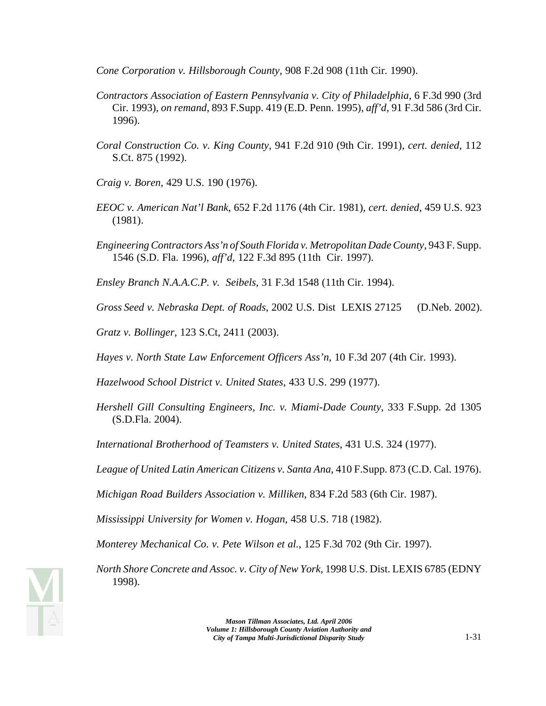*Cone Corporation v. Hillsborough County*, 908 F.2d 908 (11th Cir. 1990).

- *Contractors Association of Eastern Pennsylvania v. City of Philadelphia*, 6 F.3d 990 (3rd Cir. 1993), *on remand*, 893 F.Supp. 419 (E.D. Penn. 1995), *aff'd,* 91 F.3d 586 (3rd Cir. 1996).
- *Coral Construction Co. v. King County*, 941 F.2d 910 (9th Cir. 1991), *cert. denied*, 112 S.Ct. 875 (1992).
- *Craig v. Boren*, 429 U.S. 190 (1976).
- *EEOC v. American Nat'l Bank*, 652 F.2d 1176 (4th Cir. 1981), *cert. denied*, 459 U.S. 923 (1981).
- *Engineering Contractors Ass'n of South Florida v. Metropolitan Dade County*, 943 F. Supp. 1546 (S.D. Fla. 1996), *aff'd*, 122 F.3d 895 (11th Cir. 1997).

*Ensley Branch N.A.A.C.P. v. Seibels*, 31 F.3d 1548 (11th Cir. 1994).

*Gross Seed v. Nebraska Dept. of Roads*, 2002 U.S. Dist LEXIS 27125 (D.Neb. 2002).

*Gratz v. Bollinger,* 123 S.Ct, 2411 (2003).

*Hayes v. North State Law Enforcement Officers Ass'n*, 10 F.3d 207 (4th Cir. 1993).

*Hazelwood School District v. United States*, 433 U.S. 299 (1977).

*Hershell Gill Consulting Engineers, Inc. v. Miami-Dade County*, 333 F.Supp. 2d 1305 (S.D.Fla. 2004).

*International Brotherhood of Teamsters v. United States*, 431 U.S. 324 (1977).

*League of United Latin American Citizens v. Santa Ana*, 410 F.Supp. 873 (C.D. Cal. 1976).

*Michigan Road Builders Association v. Milliken*, 834 F.2d 583 (6th Cir. 1987).

*Mississippi University for Women v. Hogan*, 458 U.S. 718 (1982).

*Monterey Mechanical Co. v. Pete Wilson et al.*, 125 F.3d 702 (9th Cir. 1997).

*North Shore Concrete and Assoc. v. City of New York,* 1998 U.S. Dist. LEXIS 6785 (EDNY 1998).

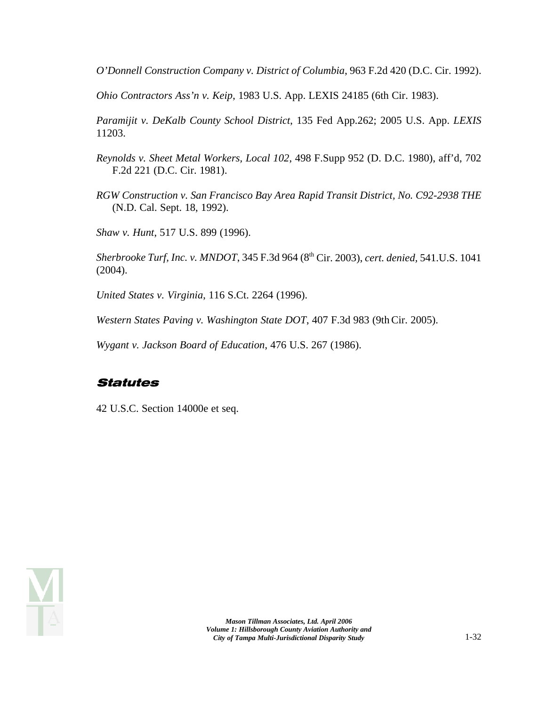*O'Donnell Construction Company v. District of Columbia*, 963 F.2d 420 (D.C. Cir. 1992).

*Ohio Contractors Ass'n v. Keip*, 1983 U.S. App. LEXIS 24185 (6th Cir. 1983).

*Paramijit v. DeKalb County School District*, 135 Fed App.262; 2005 U.S. App. *LEXIS*  11203.

- *Reynolds v. Sheet Metal Workers, Local 102*, 498 F.Supp 952 (D. D.C. 1980), aff'd, 702 F.2d 221 (D.C. Cir. 1981).
- *RGW Construction v. San Francisco Bay Area Rapid Transit District, No. C92-2938 THE*  (N.D. Cal. Sept. 18, 1992).

*Shaw v. Hunt*, 517 U.S. 899 (1996).

*Sherbrooke Turf, Inc. v. MNDOT*, 345 F.3d 964 (8th Cir. 2003), *cert. denied,* 541.U.S. 1041 (2004).

*United States v. Virginia*, 116 S.Ct. 2264 (1996).

*Western States Paving v. Washington State DOT*, 407 F.3d 983 (9th Cir. 2005).

*Wygant v. Jackson Board of Education*, 476 U.S. 267 (1986).

## Statutes

42 U.S.C. Section 14000e et seq.

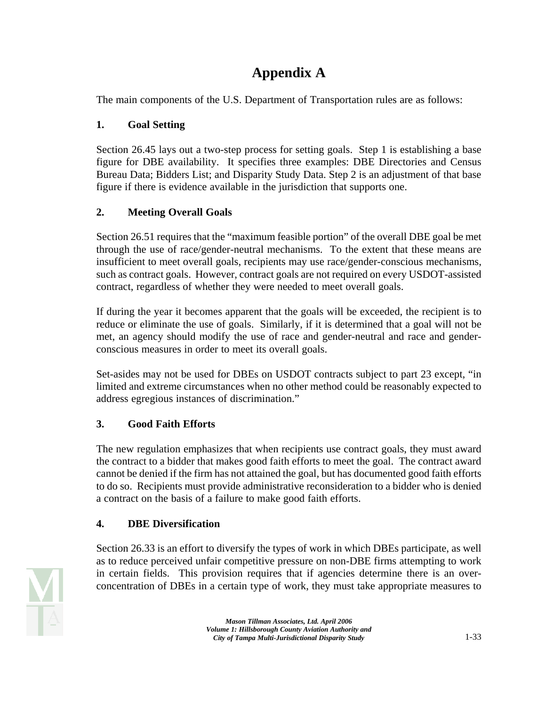## **Appendix A**

The main components of the U.S. Department of Transportation rules are as follows:

## **1. Goal Setting**

Section 26.45 lays out a two-step process for setting goals. Step 1 is establishing a base figure for DBE availability. It specifies three examples: DBE Directories and Census Bureau Data; Bidders List; and Disparity Study Data. Step 2 is an adjustment of that base figure if there is evidence available in the jurisdiction that supports one.

## **2. Meeting Overall Goals**

Section 26.51 requires that the "maximum feasible portion" of the overall DBE goal be met through the use of race/gender-neutral mechanisms. To the extent that these means are insufficient to meet overall goals, recipients may use race/gender-conscious mechanisms, such as contract goals. However, contract goals are not required on every USDOT-assisted contract, regardless of whether they were needed to meet overall goals.

If during the year it becomes apparent that the goals will be exceeded, the recipient is to reduce or eliminate the use of goals. Similarly, if it is determined that a goal will not be met, an agency should modify the use of race and gender-neutral and race and genderconscious measures in order to meet its overall goals.

Set-asides may not be used for DBEs on USDOT contracts subject to part 23 except, "in limited and extreme circumstances when no other method could be reasonably expected to address egregious instances of discrimination."

## **3. Good Faith Efforts**

The new regulation emphasizes that when recipients use contract goals, they must award the contract to a bidder that makes good faith efforts to meet the goal. The contract award cannot be denied if the firm has not attained the goal, but has documented good faith efforts to do so. Recipients must provide administrative reconsideration to a bidder who is denied a contract on the basis of a failure to make good faith efforts.

## **4. DBE Diversification**

Section 26.33 is an effort to diversify the types of work in which DBEs participate, as well as to reduce perceived unfair competitive pressure on non-DBE firms attempting to work in certain fields. This provision requires that if agencies determine there is an overconcentration of DBEs in a certain type of work, they must take appropriate measures to

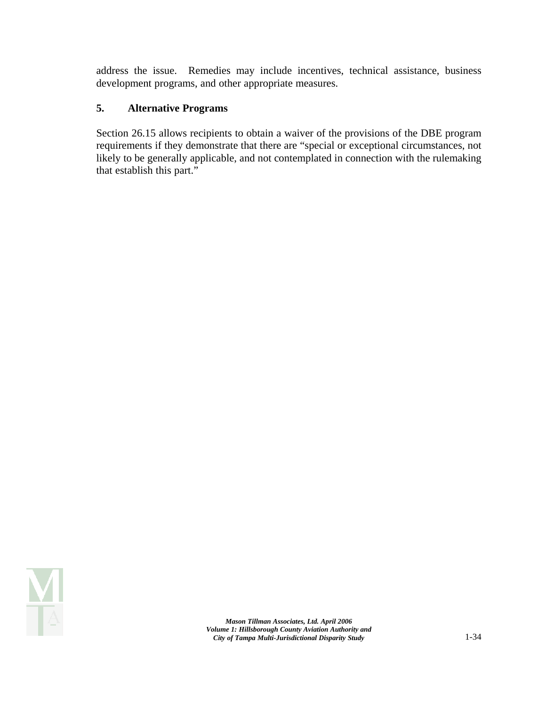address the issue. Remedies may include incentives, technical assistance, business development programs, and other appropriate measures.

#### **5. Alternative Programs**

Section 26.15 allows recipients to obtain a waiver of the provisions of the DBE program requirements if they demonstrate that there are "special or exceptional circumstances, not likely to be generally applicable, and not contemplated in connection with the rulemaking that establish this part."

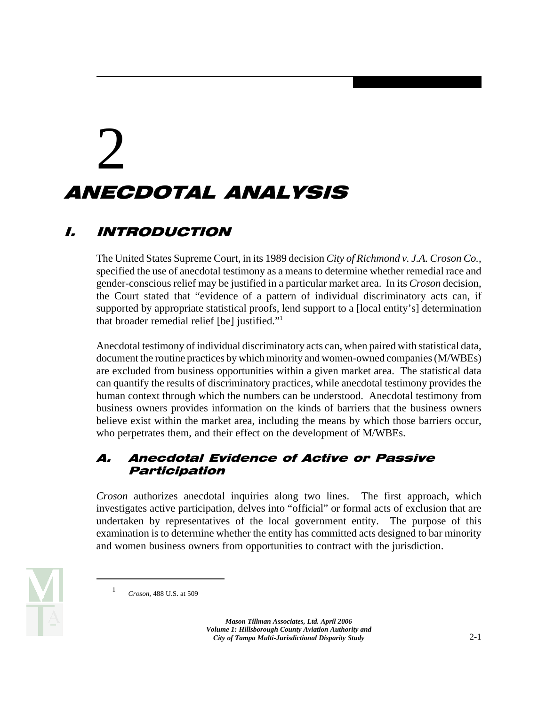# 2

## ANECDOTAL ANALYSIS

## I. INTRODUCTION

The United States Supreme Court, in its 1989 decision *City of Richmond v. J.A. Croson Co.*, specified the use of anecdotal testimony as a means to determine whether remedial race and gender-conscious relief may be justified in a particular market area. In its *Croson* decision, the Court stated that "evidence of a pattern of individual discriminatory acts can, if supported by appropriate statistical proofs, lend support to a [local entity's] determination that broader remedial relief [be] justified."1

Anecdotal testimony of individual discriminatory acts can, when paired with statistical data, document the routine practices by which minority and women-owned companies (M/WBEs) are excluded from business opportunities within a given market area. The statistical data can quantify the results of discriminatory practices, while anecdotal testimony provides the human context through which the numbers can be understood. Anecdotal testimony from business owners provides information on the kinds of barriers that the business owners believe exist within the market area, including the means by which those barriers occur, who perpetrates them, and their effect on the development of M/WBEs.

### A. Anecdotal Evidence of Active or Passive Participation

*Croson* authorizes anecdotal inquiries along two lines. The first approach, which investigates active participation, delves into "official" or formal acts of exclusion that are undertaken by representatives of the local government entity. The purpose of this examination is to determine whether the entity has committed acts designed to bar minority and women business owners from opportunities to contract with the jurisdiction.



*Croson*, 488 U.S. at 509 1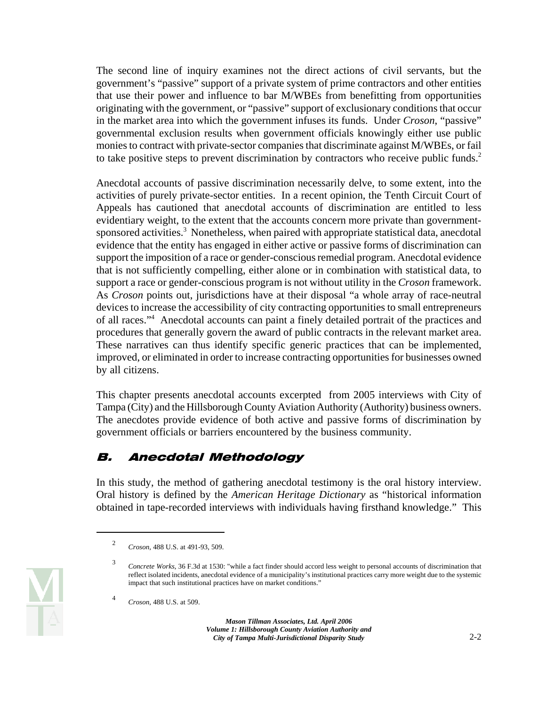The second line of inquiry examines not the direct actions of civil servants, but the government's "passive" support of a private system of prime contractors and other entities that use their power and influence to bar M/WBEs from benefitting from opportunities originating with the government, or "passive" support of exclusionary conditions that occur in the market area into which the government infuses its funds. Under *Croson*, "passive" governmental exclusion results when government officials knowingly either use public monies to contract with private-sector companies that discriminate against M/WBEs, or fail to take positive steps to prevent discrimination by contractors who receive public funds.<sup>2</sup>

Anecdotal accounts of passive discrimination necessarily delve, to some extent, into the activities of purely private-sector entities. In a recent opinion, the Tenth Circuit Court of Appeals has cautioned that anecdotal accounts of discrimination are entitled to less evidentiary weight, to the extent that the accounts concern more private than governmentsponsored activities.<sup>3</sup> Nonetheless, when paired with appropriate statistical data, anecdotal evidence that the entity has engaged in either active or passive forms of discrimination can support the imposition of a race or gender-conscious remedial program. Anecdotal evidence that is not sufficiently compelling, either alone or in combination with statistical data, to support a race or gender-conscious program is not without utility in the *Croson* framework. As *Croson* points out, jurisdictions have at their disposal "a whole array of race-neutral devices to increase the accessibility of city contracting opportunities to small entrepreneurs of all races."<sup>4</sup> Anecdotal accounts can paint a finely detailed portrait of the practices and procedures that generally govern the award of public contracts in the relevant market area. These narratives can thus identify specific generic practices that can be implemented, improved, or eliminated in order to increase contracting opportunities for businesses owned by all citizens.

This chapter presents anecdotal accounts excerpted from 2005 interviews with City of Tampa (City) and the Hillsborough County Aviation Authority (Authority) business owners. The anecdotes provide evidence of both active and passive forms of discrimination by government officials or barriers encountered by the business community.

## B. Anecdotal Methodology

In this study, the method of gathering anecdotal testimony is the oral history interview. Oral history is defined by the *American Heritage Dictionary* as "historical information obtained in tape-recorded interviews with individuals having firsthand knowledge." This



<sup>2</sup>*Croson*, 488 U.S. at 491-93, 509.

<sup>3</sup>*Concrete Works*, 36 F.3d at 1530: "while a fact finder should accord less weight to personal accounts of discrimination that reflect isolated incidents, anecdotal evidence of a municipality's institutional practices carry more weight due to the systemic impact that such institutional practices have on market conditions."

<sup>4</sup>*Croson*, 488 U.S. at 509.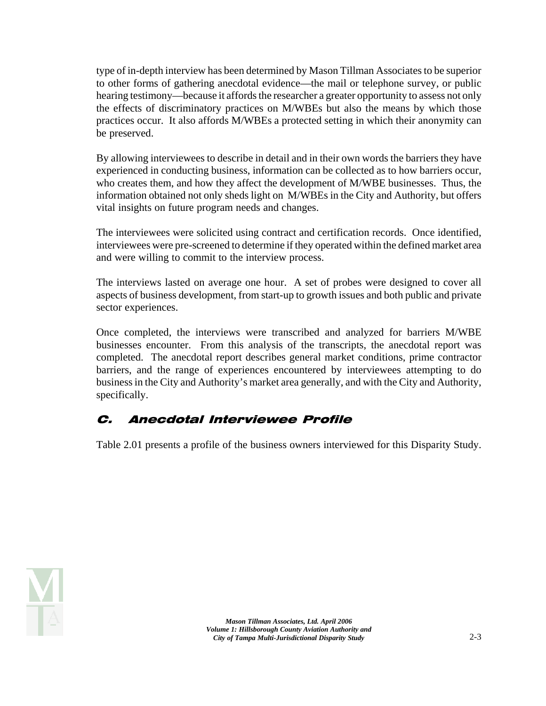type of in-depth interview has been determined by Mason Tillman Associates to be superior to other forms of gathering anecdotal evidence—the mail or telephone survey, or public hearing testimony—because it affords the researcher a greater opportunity to assess not only the effects of discriminatory practices on M/WBEs but also the means by which those practices occur. It also affords M/WBEs a protected setting in which their anonymity can be preserved.

By allowing interviewees to describe in detail and in their own words the barriers they have experienced in conducting business, information can be collected as to how barriers occur, who creates them, and how they affect the development of M/WBE businesses. Thus, the information obtained not only sheds light on M/WBEs in the City and Authority, but offers vital insights on future program needs and changes.

The interviewees were solicited using contract and certification records. Once identified, interviewees were pre-screened to determine if they operated within the defined market area and were willing to commit to the interview process.

The interviews lasted on average one hour. A set of probes were designed to cover all aspects of business development, from start-up to growth issues and both public and private sector experiences.

Once completed, the interviews were transcribed and analyzed for barriers M/WBE businesses encounter. From this analysis of the transcripts, the anecdotal report was completed. The anecdotal report describes general market conditions, prime contractor barriers, and the range of experiences encountered by interviewees attempting to do business in the City and Authority's market area generally, and with the City and Authority, specifically.

## C. Anecdotal Interviewee Profile

Table 2.01 presents a profile of the business owners interviewed for this Disparity Study.

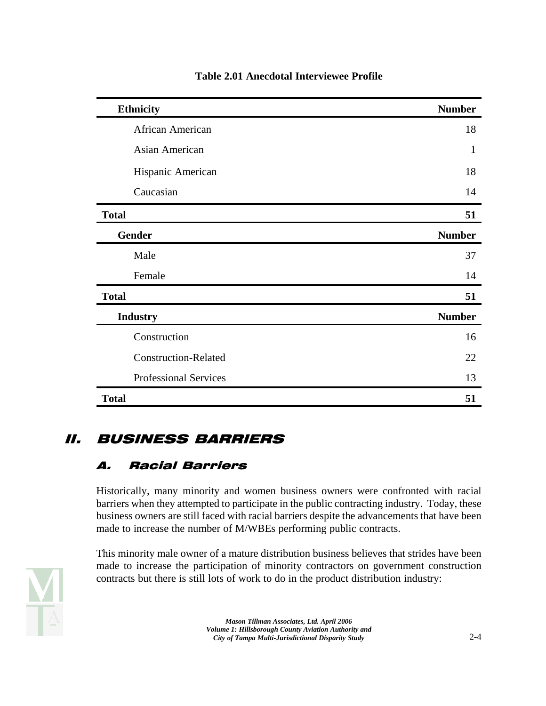| <b>Ethnicity</b>             | <b>Number</b> |
|------------------------------|---------------|
| African American             | 18            |
| Asian American               | 1             |
| Hispanic American            | 18            |
| Caucasian                    | 14            |
| <b>Total</b>                 | 51            |
| <b>Gender</b>                | <b>Number</b> |
| Male                         | 37            |
| Female                       | 14            |
| <b>Total</b>                 | 51            |
| <b>Industry</b>              | <b>Number</b> |
| Construction                 | 16            |
| <b>Construction-Related</b>  | 22            |
| <b>Professional Services</b> | 13            |
| <b>Total</b>                 | 51            |

#### **Table 2.01 Anecdotal Interviewee Profile**

## II. BUSINESS BARRIERS

## A. Racial Barriers

Historically, many minority and women business owners were confronted with racial barriers when they attempted to participate in the public contracting industry. Today, these business owners are still faced with racial barriers despite the advancements that have been made to increase the number of M/WBEs performing public contracts.



This minority male owner of a mature distribution business believes that strides have been made to increase the participation of minority contractors on government construction contracts but there is still lots of work to do in the product distribution industry: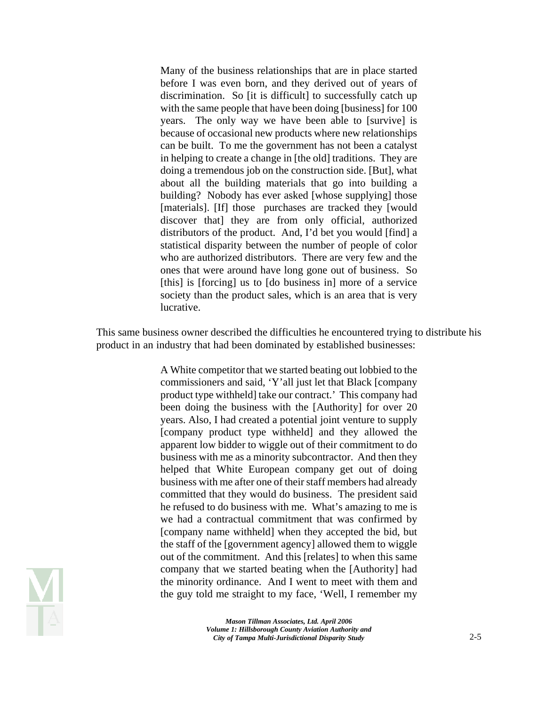Many of the business relationships that are in place started before I was even born, and they derived out of years of discrimination. So [it is difficult] to successfully catch up with the same people that have been doing [business] for 100 years. The only way we have been able to [survive] is because of occasional new products where new relationships can be built. To me the government has not been a catalyst in helping to create a change in [the old] traditions. They are doing a tremendous job on the construction side. [But], what about all the building materials that go into building a building? Nobody has ever asked [whose supplying] those [materials]. [If] those purchases are tracked they [would discover that] they are from only official, authorized distributors of the product. And, I'd bet you would [find] a statistical disparity between the number of people of color who are authorized distributors. There are very few and the ones that were around have long gone out of business. So [this] is [forcing] us to [do business in] more of a service society than the product sales, which is an area that is very lucrative.

This same business owner described the difficulties he encountered trying to distribute his product in an industry that had been dominated by established businesses:

> A White competitor that we started beating out lobbied to the commissioners and said, 'Y'all just let that Black [company product type withheld] take our contract.' This company had been doing the business with the [Authority] for over 20 years. Also, I had created a potential joint venture to supply [company product type withheld] and they allowed the apparent low bidder to wiggle out of their commitment to do business with me as a minority subcontractor. And then they helped that White European company get out of doing business with me after one of their staff members had already committed that they would do business. The president said he refused to do business with me. What's amazing to me is we had a contractual commitment that was confirmed by [company name withheld] when they accepted the bid, but the staff of the [government agency] allowed them to wiggle out of the commitment. And this [relates] to when this same company that we started beating when the [Authority] had the minority ordinance. And I went to meet with them and the guy told me straight to my face, 'Well, I remember my

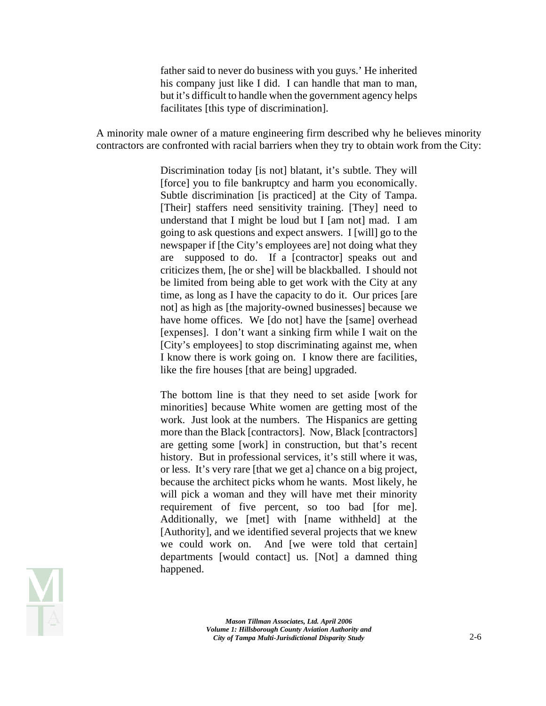father said to never do business with you guys.' He inherited his company just like I did. I can handle that man to man, but it's difficult to handle when the government agency helps facilitates [this type of discrimination].

A minority male owner of a mature engineering firm described why he believes minority contractors are confronted with racial barriers when they try to obtain work from the City:

> Discrimination today [is not] blatant, it's subtle. They will [force] you to file bankruptcy and harm you economically. Subtle discrimination [is practiced] at the City of Tampa. [Their] staffers need sensitivity training. [They] need to understand that I might be loud but I [am not] mad. I am going to ask questions and expect answers. I [will] go to the newspaper if [the City's employees are] not doing what they are supposed to do. If a [contractor] speaks out and criticizes them, [he or she] will be blackballed. I should not be limited from being able to get work with the City at any time, as long as I have the capacity to do it. Our prices [are not] as high as [the majority-owned businesses] because we have home offices. We [do not] have the [same] overhead [expenses]. I don't want a sinking firm while I wait on the [City's employees] to stop discriminating against me, when I know there is work going on. I know there are facilities, like the fire houses [that are being] upgraded.

> The bottom line is that they need to set aside [work for minorities] because White women are getting most of the work. Just look at the numbers. The Hispanics are getting more than the Black [contractors]. Now, Black [contractors] are getting some [work] in construction, but that's recent history. But in professional services, it's still where it was, or less. It's very rare [that we get a] chance on a big project, because the architect picks whom he wants. Most likely, he will pick a woman and they will have met their minority requirement of five percent, so too bad [for me]. Additionally, we [met] with [name withheld] at the [Authority], and we identified several projects that we knew we could work on. And [we were told that certain] departments [would contact] us. [Not] a damned thing happened.

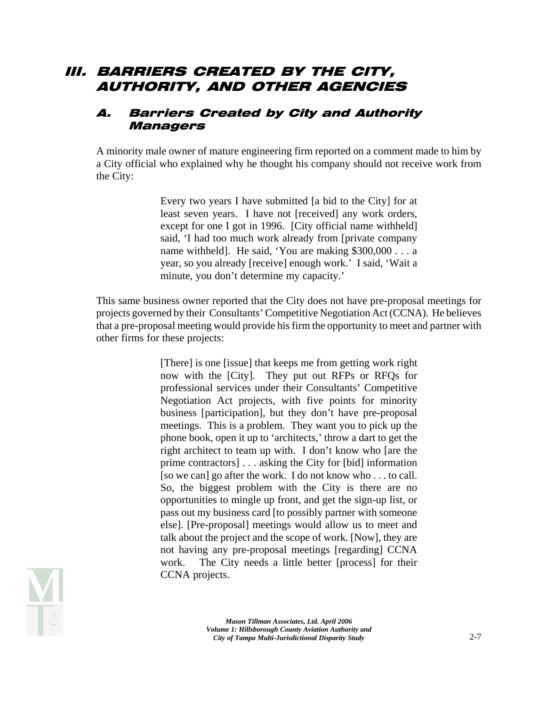## III. BARRIERS CREATED BY THE CITY, AUTHORITY, AND OTHER AGENCIES

#### A. Barriers Created by City and Authority Managers

A minority male owner of mature engineering firm reported on a comment made to him by a City official who explained why he thought his company should not receive work from the City:

> Every two years I have submitted [a bid to the City] for at least seven years. I have not [received] any work orders, except for one I got in 1996. [City official name withheld] said, 'I had too much work already from [private company name withheld]. He said, 'You are making \$300,000 . . . a year, so you already [receive] enough work.' I said, 'Wait a minute, you don't determine my capacity.'

This same business owner reported that the City does not have pre-proposal meetings for projects governed by their Consultants' Competitive Negotiation Act (CCNA). He believes that a pre-proposal meeting would provide his firm the opportunity to meet and partner with other firms for these projects:

> [There] is one [issue] that keeps me from getting work right now with the [City]. They put out RFPs or RFQs for professional services under their Consultants' Competitive Negotiation Act projects, with five points for minority business [participation], but they don't have pre-proposal meetings. This is a problem. They want you to pick up the phone book, open it up to 'architects,' throw a dart to get the right architect to team up with. I don't know who [are the prime contractors] . . . asking the City for [bid] information [so we can] go after the work. I do not know who . . . to call. So, the biggest problem with the City is there are no opportunities to mingle up front, and get the sign-up list, or pass out my business card [to possibly partner with someone else]. [Pre-proposal] meetings would allow us to meet and talk about the project and the scope of work. [Now], they are not having any pre-proposal meetings [regarding] CCNA work. The City needs a little better [process] for their CCNA projects.

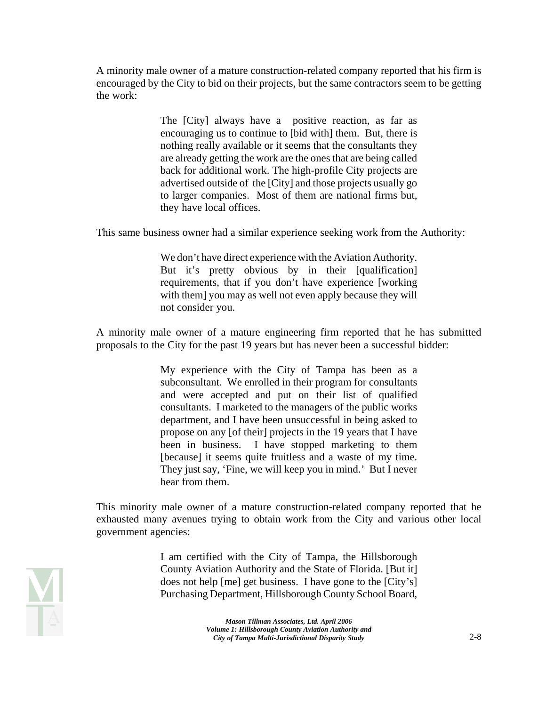A minority male owner of a mature construction-related company reported that his firm is encouraged by the City to bid on their projects, but the same contractors seem to be getting the work:

> The [City] always have a positive reaction, as far as encouraging us to continue to [bid with] them. But, there is nothing really available or it seems that the consultants they are already getting the work are the ones that are being called back for additional work. The high-profile City projects are advertised outside of the [City] and those projects usually go to larger companies. Most of them are national firms but, they have local offices.

This same business owner had a similar experience seeking work from the Authority:

We don't have direct experience with the Aviation Authority. But it's pretty obvious by in their [qualification] requirements, that if you don't have experience [working with them] you may as well not even apply because they will not consider you.

A minority male owner of a mature engineering firm reported that he has submitted proposals to the City for the past 19 years but has never been a successful bidder:

> My experience with the City of Tampa has been as a subconsultant. We enrolled in their program for consultants and were accepted and put on their list of qualified consultants. I marketed to the managers of the public works department, and I have been unsuccessful in being asked to propose on any [of their] projects in the 19 years that I have been in business. I have stopped marketing to them [because] it seems quite fruitless and a waste of my time. They just say, 'Fine, we will keep you in mind.' But I never hear from them.

This minority male owner of a mature construction-related company reported that he exhausted many avenues trying to obtain work from the City and various other local government agencies:

> I am certified with the City of Tampa, the Hillsborough County Aviation Authority and the State of Florida. [But it] does not help [me] get business. I have gone to the [City's] Purchasing Department, Hillsborough County School Board,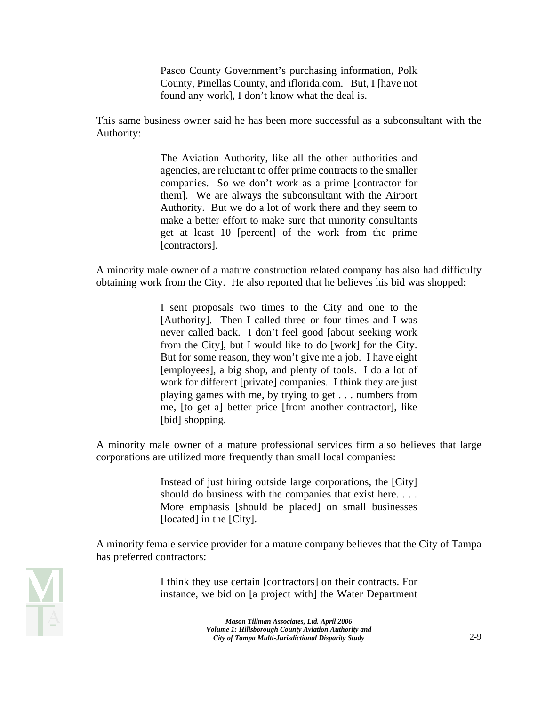Pasco County Government's purchasing information, Polk County, Pinellas County, and iflorida.com. But, I [have not found any work], I don't know what the deal is.

This same business owner said he has been more successful as a subconsultant with the Authority:

> The Aviation Authority, like all the other authorities and agencies, are reluctant to offer prime contracts to the smaller companies. So we don't work as a prime [contractor for them]. We are always the subconsultant with the Airport Authority. But we do a lot of work there and they seem to make a better effort to make sure that minority consultants get at least 10 [percent] of the work from the prime [contractors].

A minority male owner of a mature construction related company has also had difficulty obtaining work from the City. He also reported that he believes his bid was shopped:

> I sent proposals two times to the City and one to the [Authority]. Then I called three or four times and I was never called back. I don't feel good [about seeking work from the City], but I would like to do [work] for the City. But for some reason, they won't give me a job. I have eight [employees], a big shop, and plenty of tools. I do a lot of work for different [private] companies. I think they are just playing games with me, by trying to get . . . numbers from me, [to get a] better price [from another contractor], like [bid] shopping.

A minority male owner of a mature professional services firm also believes that large corporations are utilized more frequently than small local companies:

> Instead of just hiring outside large corporations, the [City] should do business with the companies that exist here. . . . More emphasis [should be placed] on small businesses [located] in the [City].

A minority female service provider for a mature company believes that the City of Tampa has preferred contractors:



I think they use certain [contractors] on their contracts. For instance, we bid on [a project with] the Water Department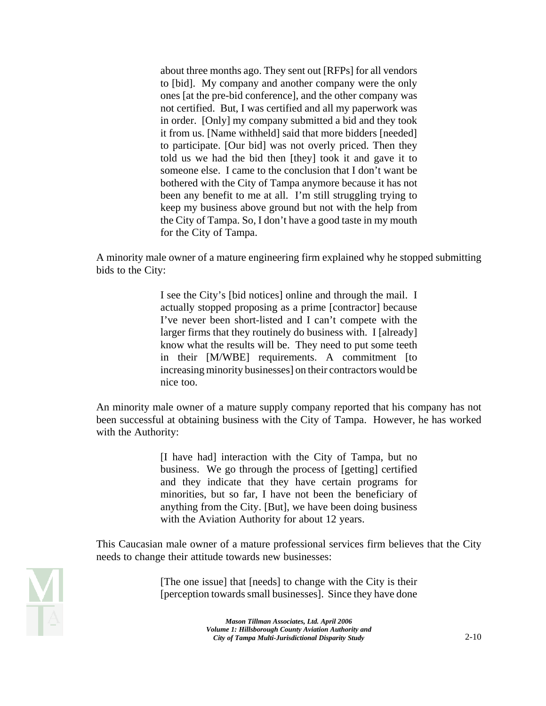about three months ago. They sent out [RFPs] for all vendors to [bid]. My company and another company were the only ones [at the pre-bid conference], and the other company was not certified. But, I was certified and all my paperwork was in order. [Only] my company submitted a bid and they took it from us. [Name withheld] said that more bidders [needed] to participate. [Our bid] was not overly priced. Then they told us we had the bid then [they] took it and gave it to someone else. I came to the conclusion that I don't want be bothered with the City of Tampa anymore because it has not been any benefit to me at all. I'm still struggling trying to keep my business above ground but not with the help from the City of Tampa. So, I don't have a good taste in my mouth for the City of Tampa.

A minority male owner of a mature engineering firm explained why he stopped submitting bids to the City:

> I see the City's [bid notices] online and through the mail. I actually stopped proposing as a prime [contractor] because I've never been short-listed and I can't compete with the larger firms that they routinely do business with. I [already] know what the results will be. They need to put some teeth in their [M/WBE] requirements. A commitment [to increasing minority businesses] on their contractors would be nice too.

An minority male owner of a mature supply company reported that his company has not been successful at obtaining business with the City of Tampa. However, he has worked with the Authority:

> [I have had] interaction with the City of Tampa, but no business. We go through the process of [getting] certified and they indicate that they have certain programs for minorities, but so far, I have not been the beneficiary of anything from the City. [But], we have been doing business with the Aviation Authority for about 12 years.

This Caucasian male owner of a mature professional services firm believes that the City needs to change their attitude towards new businesses:



[The one issue] that [needs] to change with the City is their [perception towards small businesses]. Since they have done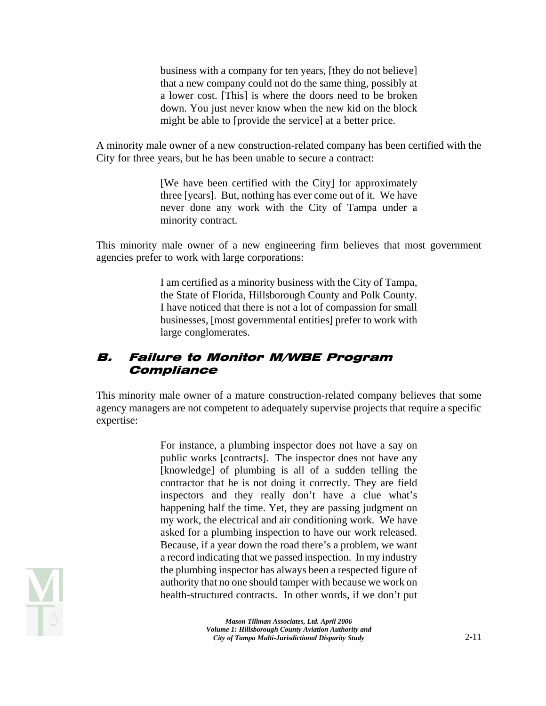business with a company for ten years, [they do not believe] that a new company could not do the same thing, possibly at a lower cost. [This] is where the doors need to be broken down. You just never know when the new kid on the block might be able to [provide the service] at a better price.

A minority male owner of a new construction-related company has been certified with the City for three years, but he has been unable to secure a contract:

> [We have been certified with the City] for approximately three [years]. But, nothing has ever come out of it. We have never done any work with the City of Tampa under a minority contract.

This minority male owner of a new engineering firm believes that most government agencies prefer to work with large corporations:

> I am certified as a minority business with the City of Tampa, the State of Florida, Hillsborough County and Polk County. I have noticed that there is not a lot of compassion for small businesses, [most governmental entities] prefer to work with large conglomerates.

#### B. Failure to Monitor M/WBE Program **Compliance**

This minority male owner of a mature construction-related company believes that some agency managers are not competent to adequately supervise projects that require a specific expertise:

> For instance, a plumbing inspector does not have a say on public works [contracts]. The inspector does not have any [knowledge] of plumbing is all of a sudden telling the contractor that he is not doing it correctly. They are field inspectors and they really don't have a clue what's happening half the time. Yet, they are passing judgment on my work, the electrical and air conditioning work. We have asked for a plumbing inspection to have our work released. Because, if a year down the road there's a problem, we want a record indicating that we passed inspection. In my industry the plumbing inspector has always been a respected figure of authority that no one should tamper with because we work on health-structured contracts. In other words, if we don't put

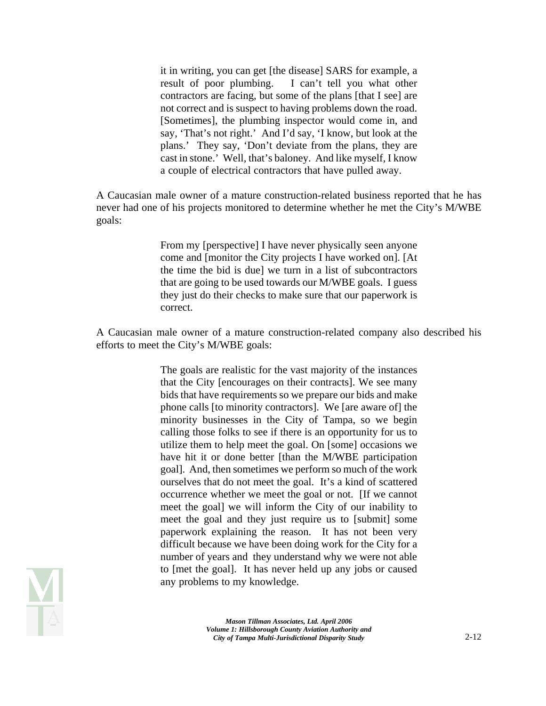it in writing, you can get [the disease] SARS for example, a result of poor plumbing. I can't tell you what other contractors are facing, but some of the plans [that I see] are not correct and is suspect to having problems down the road. [Sometimes], the plumbing inspector would come in, and say, 'That's not right.' And I'd say, 'I know, but look at the plans.' They say, 'Don't deviate from the plans, they are cast in stone.' Well, that's baloney. And like myself, I know a couple of electrical contractors that have pulled away.

A Caucasian male owner of a mature construction-related business reported that he has never had one of his projects monitored to determine whether he met the City's M/WBE goals:

> From my [perspective] I have never physically seen anyone come and [monitor the City projects I have worked on]. [At the time the bid is due] we turn in a list of subcontractors that are going to be used towards our M/WBE goals. I guess they just do their checks to make sure that our paperwork is correct.

A Caucasian male owner of a mature construction-related company also described his efforts to meet the City's M/WBE goals:

> The goals are realistic for the vast majority of the instances that the City [encourages on their contracts]. We see many bids that have requirements so we prepare our bids and make phone calls [to minority contractors]. We [are aware of] the minority businesses in the City of Tampa, so we begin calling those folks to see if there is an opportunity for us to utilize them to help meet the goal. On [some] occasions we have hit it or done better [than the M/WBE participation goal]. And, then sometimes we perform so much of the work ourselves that do not meet the goal. It's a kind of scattered occurrence whether we meet the goal or not. [If we cannot meet the goal] we will inform the City of our inability to meet the goal and they just require us to [submit] some paperwork explaining the reason. It has not been very difficult because we have been doing work for the City for a number of years and they understand why we were not able to [met the goal]. It has never held up any jobs or caused any problems to my knowledge.

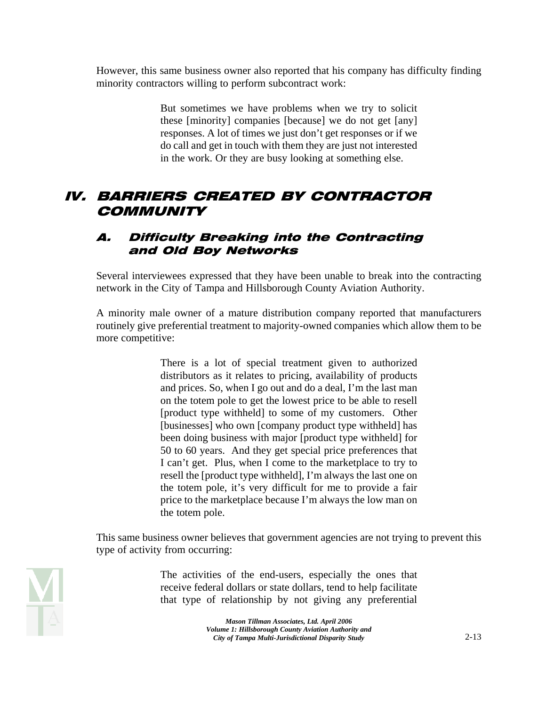However, this same business owner also reported that his company has difficulty finding minority contractors willing to perform subcontract work:

> But sometimes we have problems when we try to solicit these [minority] companies [because] we do not get [any] responses. A lot of times we just don't get responses or if we do call and get in touch with them they are just not interested in the work. Or they are busy looking at something else.

## IV. BARRIERS CREATED BY CONTRACTOR **COMMUNITY**

#### A. Difficulty Breaking into the Contracting and Old Boy Networks

Several interviewees expressed that they have been unable to break into the contracting network in the City of Tampa and Hillsborough County Aviation Authority.

A minority male owner of a mature distribution company reported that manufacturers routinely give preferential treatment to majority-owned companies which allow them to be more competitive:

> There is a lot of special treatment given to authorized distributors as it relates to pricing, availability of products and prices. So, when I go out and do a deal, I'm the last man on the totem pole to get the lowest price to be able to resell [product type withheld] to some of my customers. Other [businesses] who own [company product type withheld] has been doing business with major [product type withheld] for 50 to 60 years. And they get special price preferences that I can't get. Plus, when I come to the marketplace to try to resell the [product type withheld], I'm always the last one on the totem pole, it's very difficult for me to provide a fair price to the marketplace because I'm always the low man on the totem pole.

This same business owner believes that government agencies are not trying to prevent this type of activity from occurring:

> The activities of the end-users, especially the ones that receive federal dollars or state dollars, tend to help facilitate that type of relationship by not giving any preferential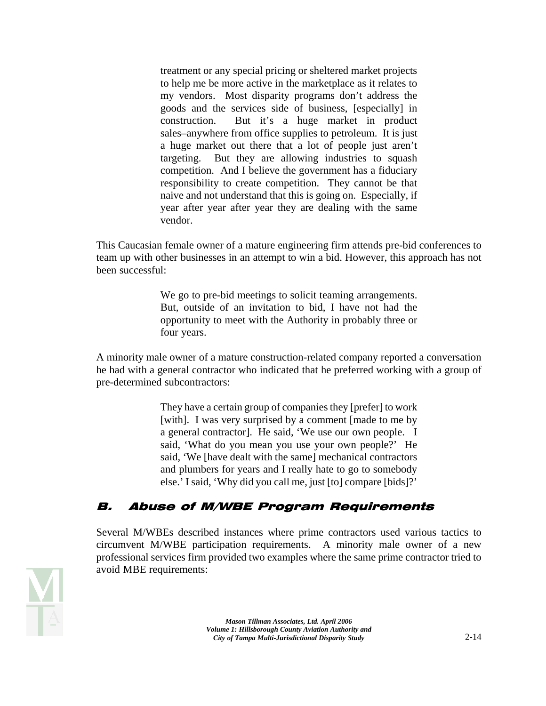treatment or any special pricing or sheltered market projects to help me be more active in the marketplace as it relates to my vendors. Most disparity programs don't address the goods and the services side of business, [especially] in construction. But it's a huge market in product sales–anywhere from office supplies to petroleum. It is just a huge market out there that a lot of people just aren't targeting. But they are allowing industries to squash competition. And I believe the government has a fiduciary responsibility to create competition. They cannot be that naive and not understand that this is going on. Especially, if year after year after year they are dealing with the same vendor.

This Caucasian female owner of a mature engineering firm attends pre-bid conferences to team up with other businesses in an attempt to win a bid. However, this approach has not been successful:

> We go to pre-bid meetings to solicit teaming arrangements. But, outside of an invitation to bid, I have not had the opportunity to meet with the Authority in probably three or four years.

A minority male owner of a mature construction-related company reported a conversation he had with a general contractor who indicated that he preferred working with a group of pre-determined subcontractors:

> They have a certain group of companies they [prefer] to work [with]. I was very surprised by a comment [made to me by a general contractor]. He said, 'We use our own people. I said, 'What do you mean you use your own people?' He said, 'We [have dealt with the same] mechanical contractors and plumbers for years and I really hate to go to somebody else.' I said, 'Why did you call me, just [to] compare [bids]?'

## B. Abuse of M/WBE Program Requirements

Several M/WBEs described instances where prime contractors used various tactics to circumvent M/WBE participation requirements. A minority male owner of a new professional services firm provided two examples where the same prime contractor tried to avoid MBE requirements:

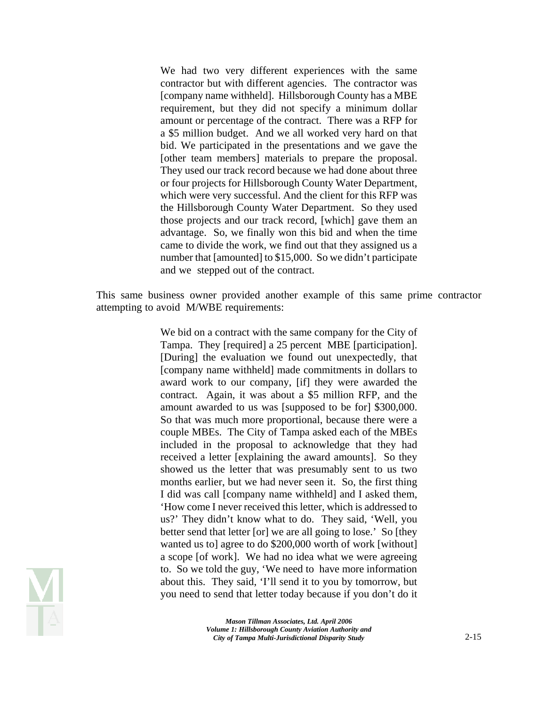We had two very different experiences with the same contractor but with different agencies. The contractor was [company name withheld]. Hillsborough County has a MBE requirement, but they did not specify a minimum dollar amount or percentage of the contract. There was a RFP for a \$5 million budget. And we all worked very hard on that bid. We participated in the presentations and we gave the [other team members] materials to prepare the proposal. They used our track record because we had done about three or four projects for Hillsborough County Water Department, which were very successful. And the client for this RFP was the Hillsborough County Water Department. So they used those projects and our track record, [which] gave them an advantage. So, we finally won this bid and when the time came to divide the work, we find out that they assigned us a number that [amounted] to \$15,000. So we didn't participate and we stepped out of the contract.

This same business owner provided another example of this same prime contractor attempting to avoid M/WBE requirements:

> We bid on a contract with the same company for the City of Tampa. They [required] a 25 percent MBE [participation]. [During] the evaluation we found out unexpectedly, that [company name withheld] made commitments in dollars to award work to our company, [if] they were awarded the contract. Again, it was about a \$5 million RFP, and the amount awarded to us was [supposed to be for] \$300,000. So that was much more proportional, because there were a couple MBEs. The City of Tampa asked each of the MBEs included in the proposal to acknowledge that they had received a letter [explaining the award amounts]. So they showed us the letter that was presumably sent to us two months earlier, but we had never seen it. So, the first thing I did was call [company name withheld] and I asked them, 'How come I never received this letter, which is addressed to us?' They didn't know what to do. They said, 'Well, you better send that letter [or] we are all going to lose.' So [they wanted us to] agree to do \$200,000 worth of work [without] a scope [of work]. We had no idea what we were agreeing to. So we told the guy, 'We need to have more information about this. They said, 'I'll send it to you by tomorrow, but you need to send that letter today because if you don't do it

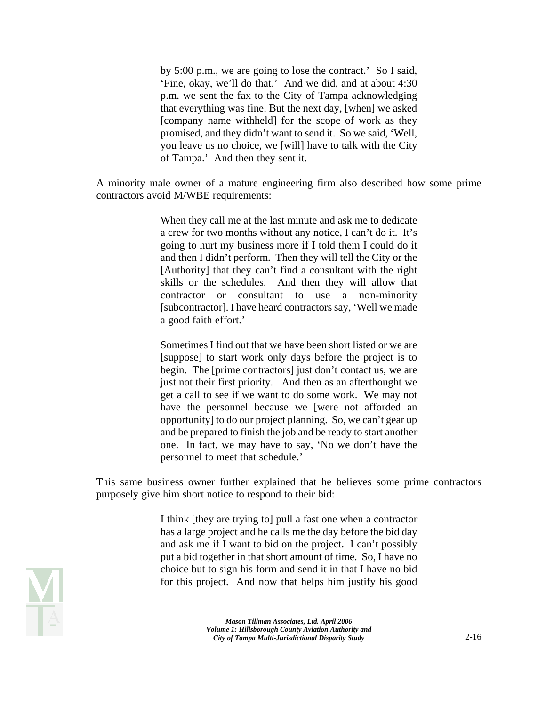by 5:00 p.m., we are going to lose the contract.' So I said, 'Fine, okay, we'll do that.' And we did, and at about 4:30 p.m. we sent the fax to the City of Tampa acknowledging that everything was fine. But the next day, [when] we asked [company name withheld] for the scope of work as they promised, and they didn't want to send it. So we said, 'Well, you leave us no choice, we [will] have to talk with the City of Tampa.' And then they sent it.

A minority male owner of a mature engineering firm also described how some prime contractors avoid M/WBE requirements:

> When they call me at the last minute and ask me to dedicate a crew for two months without any notice, I can't do it. It's going to hurt my business more if I told them I could do it and then I didn't perform. Then they will tell the City or the [Authority] that they can't find a consultant with the right skills or the schedules. And then they will allow that contractor or consultant to use a non-minority [subcontractor]. I have heard contractors say, 'Well we made a good faith effort.'

> Sometimes I find out that we have been short listed or we are [suppose] to start work only days before the project is to begin. The [prime contractors] just don't contact us, we are just not their first priority. And then as an afterthought we get a call to see if we want to do some work. We may not have the personnel because we [were not afforded an opportunity] to do our project planning. So, we can't gear up and be prepared to finish the job and be ready to start another one. In fact, we may have to say, 'No we don't have the personnel to meet that schedule.'

This same business owner further explained that he believes some prime contractors purposely give him short notice to respond to their bid:

> I think [they are trying to] pull a fast one when a contractor has a large project and he calls me the day before the bid day and ask me if I want to bid on the project. I can't possibly put a bid together in that short amount of time. So, I have no choice but to sign his form and send it in that I have no bid for this project. And now that helps him justify his good

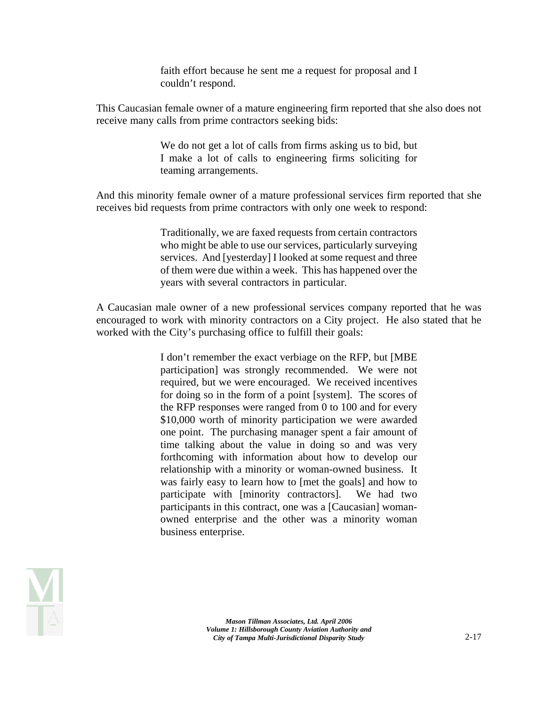faith effort because he sent me a request for proposal and I couldn't respond.

This Caucasian female owner of a mature engineering firm reported that she also does not receive many calls from prime contractors seeking bids:

> We do not get a lot of calls from firms asking us to bid, but I make a lot of calls to engineering firms soliciting for teaming arrangements.

And this minority female owner of a mature professional services firm reported that she receives bid requests from prime contractors with only one week to respond:

> Traditionally, we are faxed requests from certain contractors who might be able to use our services, particularly surveying services. And [yesterday] I looked at some request and three of them were due within a week. This has happened over the years with several contractors in particular.

A Caucasian male owner of a new professional services company reported that he was encouraged to work with minority contractors on a City project. He also stated that he worked with the City's purchasing office to fulfill their goals:

> I don't remember the exact verbiage on the RFP, but [MBE participation] was strongly recommended. We were not required, but we were encouraged. We received incentives for doing so in the form of a point [system]. The scores of the RFP responses were ranged from 0 to 100 and for every \$10,000 worth of minority participation we were awarded one point. The purchasing manager spent a fair amount of time talking about the value in doing so and was very forthcoming with information about how to develop our relationship with a minority or woman-owned business. It was fairly easy to learn how to [met the goals] and how to participate with [minority contractors]. We had two participants in this contract, one was a [Caucasian] womanowned enterprise and the other was a minority woman business enterprise.

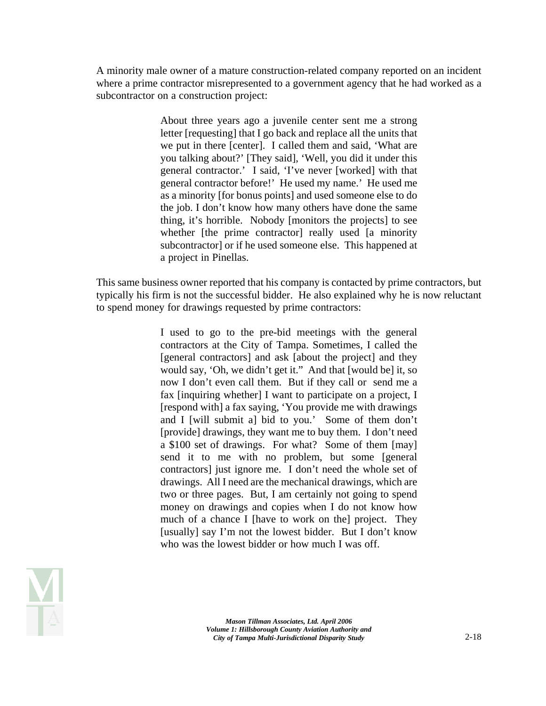A minority male owner of a mature construction-related company reported on an incident where a prime contractor misrepresented to a government agency that he had worked as a subcontractor on a construction project:

> About three years ago a juvenile center sent me a strong letter [requesting] that I go back and replace all the units that we put in there [center]. I called them and said, 'What are you talking about?' [They said], 'Well, you did it under this general contractor.' I said, 'I've never [worked] with that general contractor before!' He used my name.' He used me as a minority [for bonus points] and used someone else to do the job. I don't know how many others have done the same thing, it's horrible. Nobody [monitors the projects] to see whether [the prime contractor] really used [a minority] subcontractor] or if he used someone else. This happened at a project in Pinellas.

This same business owner reported that his company is contacted by prime contractors, but typically his firm is not the successful bidder. He also explained why he is now reluctant to spend money for drawings requested by prime contractors:

> I used to go to the pre-bid meetings with the general contractors at the City of Tampa. Sometimes, I called the [general contractors] and ask [about the project] and they would say, 'Oh, we didn't get it." And that [would be] it, so now I don't even call them. But if they call or send me a fax [inquiring whether] I want to participate on a project, I [respond with] a fax saying, 'You provide me with drawings and I [will submit a] bid to you.' Some of them don't [provide] drawings, they want me to buy them. I don't need a \$100 set of drawings. For what? Some of them [may] send it to me with no problem, but some [general contractors] just ignore me. I don't need the whole set of drawings. All I need are the mechanical drawings, which are two or three pages. But, I am certainly not going to spend money on drawings and copies when I do not know how much of a chance I [have to work on the] project. They [usually] say I'm not the lowest bidder. But I don't know who was the lowest bidder or how much I was off.

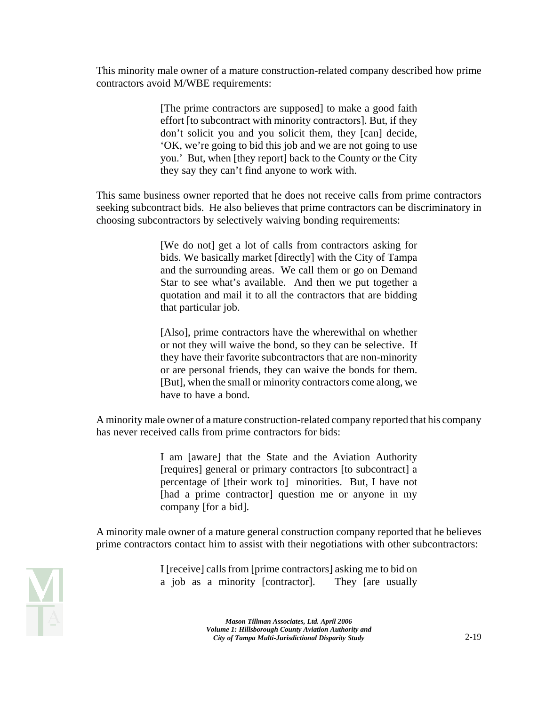This minority male owner of a mature construction-related company described how prime contractors avoid M/WBE requirements:

> [The prime contractors are supposed] to make a good faith effort [to subcontract with minority contractors]. But, if they don't solicit you and you solicit them, they [can] decide, 'OK, we're going to bid this job and we are not going to use you.' But, when [they report] back to the County or the City they say they can't find anyone to work with.

This same business owner reported that he does not receive calls from prime contractors seeking subcontract bids. He also believes that prime contractors can be discriminatory in choosing subcontractors by selectively waiving bonding requirements:

> [We do not] get a lot of calls from contractors asking for bids. We basically market [directly] with the City of Tampa and the surrounding areas. We call them or go on Demand Star to see what's available. And then we put together a quotation and mail it to all the contractors that are bidding that particular job.

> [Also], prime contractors have the wherewithal on whether or not they will waive the bond, so they can be selective. If they have their favorite subcontractors that are non-minority or are personal friends, they can waive the bonds for them. [But], when the small or minority contractors come along, we have to have a bond.

A minority male owner of a mature construction-related company reported that his company has never received calls from prime contractors for bids:

> I am [aware] that the State and the Aviation Authority [requires] general or primary contractors [to subcontract] a percentage of [their work to] minorities. But, I have not [had a prime contractor] question me or anyone in my company [for a bid].

A minority male owner of a mature general construction company reported that he believes prime contractors contact him to assist with their negotiations with other subcontractors:



I [receive] calls from [prime contractors] asking me to bid on a job as a minority [contractor]. They [are usually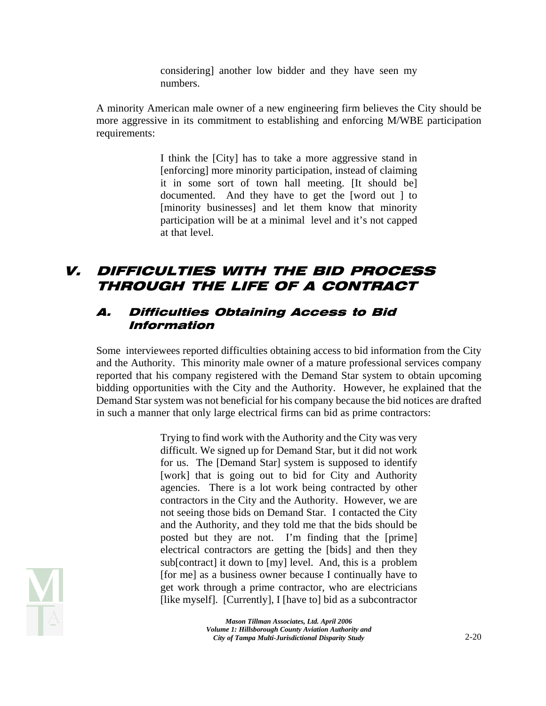considering] another low bidder and they have seen my numbers.

A minority American male owner of a new engineering firm believes the City should be more aggressive in its commitment to establishing and enforcing M/WBE participation requirements:

> I think the [City] has to take a more aggressive stand in [enforcing] more minority participation, instead of claiming it in some sort of town hall meeting. [It should be] documented. And they have to get the [word out ] to [minority businesses] and let them know that minority participation will be at a minimal level and it's not capped at that level.

## V. DIFFICULTIES WITH THE BID PROCESS THROUGH THE LIFE OF A CONTRACT

#### A. Difficulties Obtaining Access to Bid Information

Some interviewees reported difficulties obtaining access to bid information from the City and the Authority. This minority male owner of a mature professional services company reported that his company registered with the Demand Star system to obtain upcoming bidding opportunities with the City and the Authority. However, he explained that the Demand Star system was not beneficial for his company because the bid notices are drafted in such a manner that only large electrical firms can bid as prime contractors:

> Trying to find work with the Authority and the City was very difficult. We signed up for Demand Star, but it did not work for us. The [Demand Star] system is supposed to identify [work] that is going out to bid for City and Authority agencies. There is a lot work being contracted by other contractors in the City and the Authority. However, we are not seeing those bids on Demand Star. I contacted the City and the Authority, and they told me that the bids should be posted but they are not. I'm finding that the [prime] electrical contractors are getting the [bids] and then they sub[contract] it down to [my] level. And, this is a problem [for me] as a business owner because I continually have to get work through a prime contractor, who are electricians [like myself]. [Currently], I [have to] bid as a subcontractor

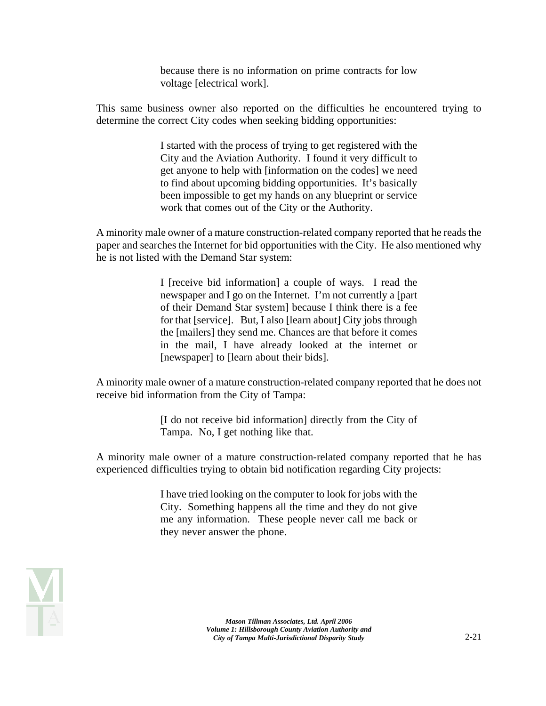because there is no information on prime contracts for low voltage [electrical work].

This same business owner also reported on the difficulties he encountered trying to determine the correct City codes when seeking bidding opportunities:

> I started with the process of trying to get registered with the City and the Aviation Authority. I found it very difficult to get anyone to help with [information on the codes] we need to find about upcoming bidding opportunities. It's basically been impossible to get my hands on any blueprint or service work that comes out of the City or the Authority.

A minority male owner of a mature construction-related company reported that he reads the paper and searches the Internet for bid opportunities with the City. He also mentioned why he is not listed with the Demand Star system:

> I [receive bid information] a couple of ways. I read the newspaper and I go on the Internet. I'm not currently a [part of their Demand Star system] because I think there is a fee for that [service]. But, I also [learn about] City jobs through the [mailers] they send me. Chances are that before it comes in the mail, I have already looked at the internet or [newspaper] to [learn about their bids].

A minority male owner of a mature construction-related company reported that he does not receive bid information from the City of Tampa:

> [I do not receive bid information] directly from the City of Tampa. No, I get nothing like that.

A minority male owner of a mature construction-related company reported that he has experienced difficulties trying to obtain bid notification regarding City projects:

> I have tried looking on the computer to look for jobs with the City. Something happens all the time and they do not give me any information. These people never call me back or they never answer the phone.

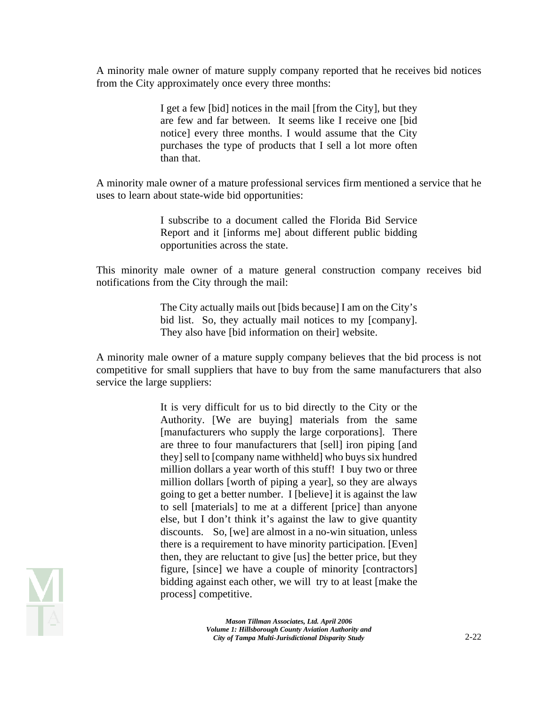A minority male owner of mature supply company reported that he receives bid notices from the City approximately once every three months:

> I get a few [bid] notices in the mail [from the City], but they are few and far between. It seems like I receive one [bid notice] every three months. I would assume that the City purchases the type of products that I sell a lot more often than that.

A minority male owner of a mature professional services firm mentioned a service that he uses to learn about state-wide bid opportunities:

> I subscribe to a document called the Florida Bid Service Report and it [informs me] about different public bidding opportunities across the state.

This minority male owner of a mature general construction company receives bid notifications from the City through the mail:

> The City actually mails out [bids because] I am on the City's bid list. So, they actually mail notices to my [company]. They also have [bid information on their] website.

A minority male owner of a mature supply company believes that the bid process is not competitive for small suppliers that have to buy from the same manufacturers that also service the large suppliers:

> discounts. So, [we] are almost in a no-win situation, unless It is very difficult for us to bid directly to the City or the Authority. [We are buying] materials from the same [manufacturers who supply the large corporations]. There are three to four manufacturers that [sell] iron piping [and they] sell to [company name withheld] who buys six hundred million dollars a year worth of this stuff! I buy two or three million dollars [worth of piping a year], so they are always going to get a better number. I [believe] it is against the law to sell [materials] to me at a different [price] than anyone else, but I don't think it's against the law to give quantity there is a requirement to have minority participation. [Even] then, they are reluctant to give [us] the better price, but they figure, [since] we have a couple of minority [contractors] bidding against each other, we will try to at least [make the process] competitive.

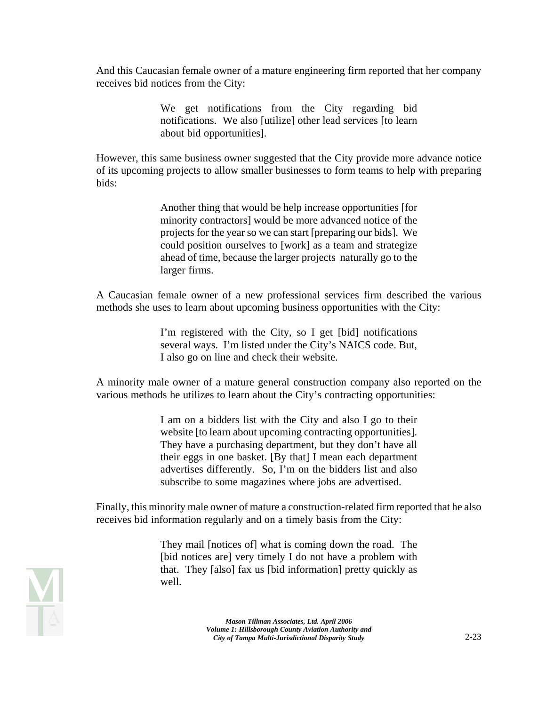And this Caucasian female owner of a mature engineering firm reported that her company receives bid notices from the City:

> We get notifications from the City regarding bid notifications. We also [utilize] other lead services [to learn about bid opportunities].

However, this same business owner suggested that the City provide more advance notice of its upcoming projects to allow smaller businesses to form teams to help with preparing bids:

> Another thing that would be help increase opportunities [for minority contractors] would be more advanced notice of the projects for the year so we can start [preparing our bids]. We could position ourselves to [work] as a team and strategize ahead of time, because the larger projects naturally go to the larger firms.

A Caucasian female owner of a new professional services firm described the various methods she uses to learn about upcoming business opportunities with the City:

> I'm registered with the City, so I get [bid] notifications several ways. I'm listed under the City's NAICS code. But, I also go on line and check their website.

A minority male owner of a mature general construction company also reported on the various methods he utilizes to learn about the City's contracting opportunities:

> I am on a bidders list with the City and also I go to their website [to learn about upcoming contracting opportunities]. They have a purchasing department, but they don't have all their eggs in one basket. [By that] I mean each department advertises differently. So, I'm on the bidders list and also subscribe to some magazines where jobs are advertised.

Finally, this minority male owner of mature a construction-related firm reported that he also receives bid information regularly and on a timely basis from the City:

> They mail [notices of] what is coming down the road. The [bid notices are] very timely I do not have a problem with that. They [also] fax us [bid information] pretty quickly as well.

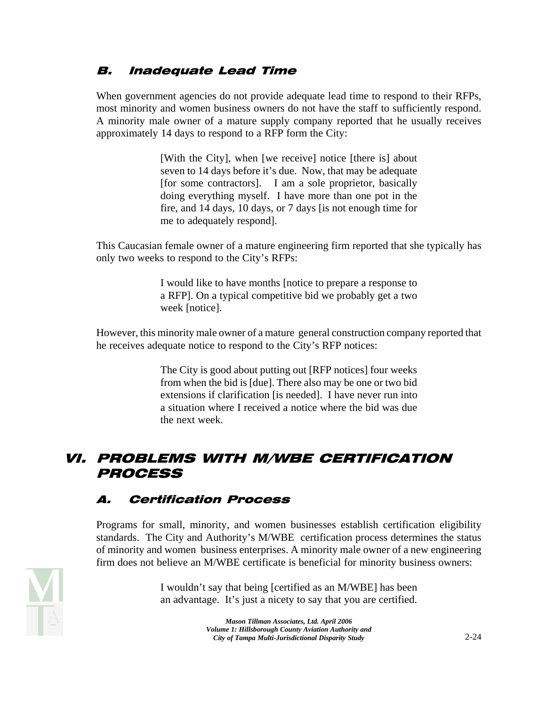## B. Inadequate Lead Time

When government agencies do not provide adequate lead time to respond to their RFPs, most minority and women business owners do not have the staff to sufficiently respond. A minority male owner of a mature supply company reported that he usually receives approximately 14 days to respond to a RFP form the City:

> [With the City], when [we receive] notice [there is] about seven to 14 days before it's due. Now, that may be adequate [for some contractors]. I am a sole proprietor, basically doing everything myself. I have more than one pot in the fire, and 14 days, 10 days, or 7 days [is not enough time for me to adequately respond].

This Caucasian female owner of a mature engineering firm reported that she typically has only two weeks to respond to the City's RFPs:

> I would like to have months [notice to prepare a response to a RFP]. On a typical competitive bid we probably get a two week [notice].

However, this minority male owner of a mature general construction company reported that he receives adequate notice to respond to the City's RFP notices:

> The City is good about putting out [RFP notices] four weeks from when the bid is [due]. There also may be one or two bid extensions if clarification [is needed]. I have never run into a situation where I received a notice where the bid was due the next week.

## VI. PROBLEMS WITH M/WBE CERTIFICATION **PROCESS**

## A. Certification Process

Programs for small, minority, and women businesses establish certification eligibility standards. The City and Authority's M/WBE certification process determines the status of minority and women business enterprises. A minority male owner of a new engineering firm does not believe an M/WBE certificate is beneficial for minority business owners:



I wouldn't say that being [certified as an M/WBE] has been an advantage. It's just a nicety to say that you are certified.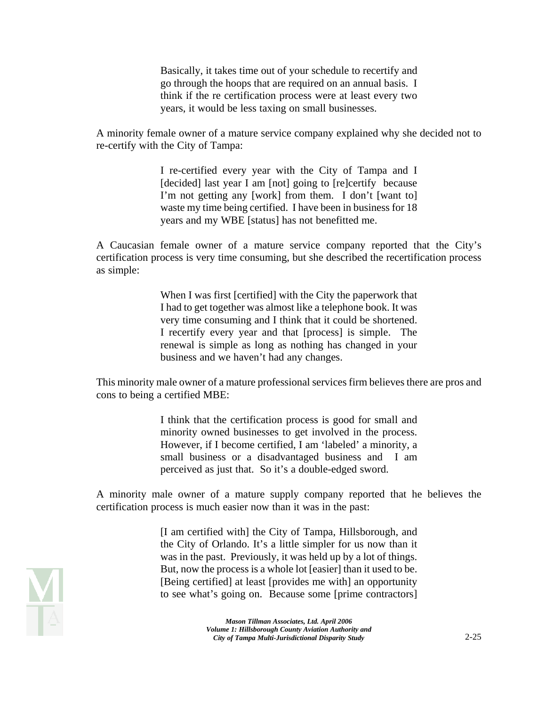Basically, it takes time out of your schedule to recertify and go through the hoops that are required on an annual basis. I think if the re certification process were at least every two years, it would be less taxing on small businesses.

A minority female owner of a mature service company explained why she decided not to re-certify with the City of Tampa:

> I re-certified every year with the City of Tampa and I [decided] last year I am [not] going to [re]certify because I'm not getting any [work] from them. I don't [want to] waste my time being certified. I have been in business for 18 years and my WBE [status] has not benefitted me.

A Caucasian female owner of a mature service company reported that the City's certification process is very time consuming, but she described the recertification process as simple:

> When I was first [certified] with the City the paperwork that I had to get together was almost like a telephone book. It was very time consuming and I think that it could be shortened. I recertify every year and that [process] is simple. The renewal is simple as long as nothing has changed in your business and we haven't had any changes.

This minority male owner of a mature professional services firm believes there are pros and cons to being a certified MBE:

> I think that the certification process is good for small and minority owned businesses to get involved in the process. However, if I become certified, I am 'labeled' a minority, a small business or a disadvantaged business and I am perceived as just that. So it's a double-edged sword.

A minority male owner of a mature supply company reported that he believes the certification process is much easier now than it was in the past:

> [I am certified with] the City of Tampa, Hillsborough, and the City of Orlando. It's a little simpler for us now than it was in the past. Previously, it was held up by a lot of things. But, now the process is a whole lot [easier] than it used to be. [Being certified] at least [provides me with] an opportunity to see what's going on. Because some [prime contractors]

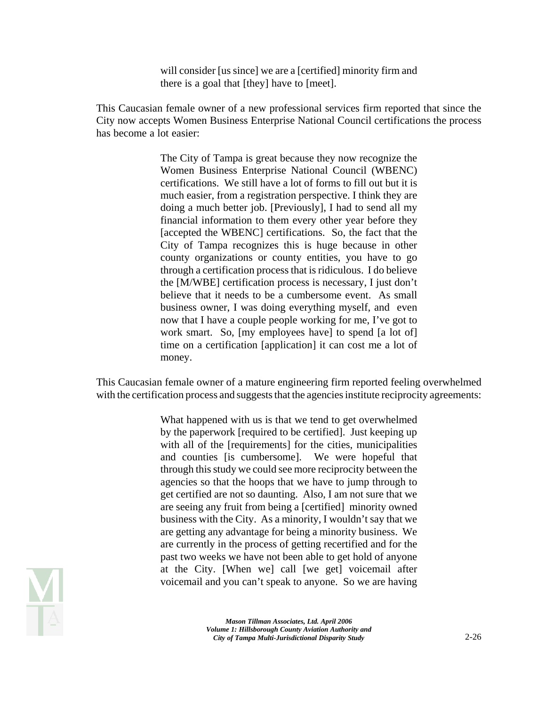will consider [us since] we are a [certified] minority firm and there is a goal that [they] have to [meet].

This Caucasian female owner of a new professional services firm reported that since the City now accepts Women Business Enterprise National Council certifications the process has become a lot easier:

> The City of Tampa is great because they now recognize the Women Business Enterprise National Council (WBENC) certifications. We still have a lot of forms to fill out but it is much easier, from a registration perspective. I think they are doing a much better job. [Previously], I had to send all my financial information to them every other year before they [accepted the WBENC] certifications. So, the fact that the City of Tampa recognizes this is huge because in other county organizations or county entities, you have to go through a certification process that is ridiculous. I do believe the [M/WBE] certification process is necessary, I just don't believe that it needs to be a cumbersome event. As small business owner, I was doing everything myself, and even now that I have a couple people working for me, I've got to work smart. So, [my employees have] to spend [a lot of] time on a certification [application] it can cost me a lot of money.

This Caucasian female owner of a mature engineering firm reported feeling overwhelmed with the certification process and suggests that the agencies institute reciprocity agreements:

> What happened with us is that we tend to get overwhelmed by the paperwork [required to be certified]. Just keeping up with all of the [requirements] for the cities, municipalities and counties [is cumbersome]. We were hopeful that through this study we could see more reciprocity between the agencies so that the hoops that we have to jump through to get certified are not so daunting. Also, I am not sure that we are seeing any fruit from being a [certified] minority owned business with the City. As a minority, I wouldn't say that we are getting any advantage for being a minority business. We are currently in the process of getting recertified and for the past two weeks we have not been able to get hold of anyone at the City. [When we] call [we get] voicemail after voicemail and you can't speak to anyone. So we are having

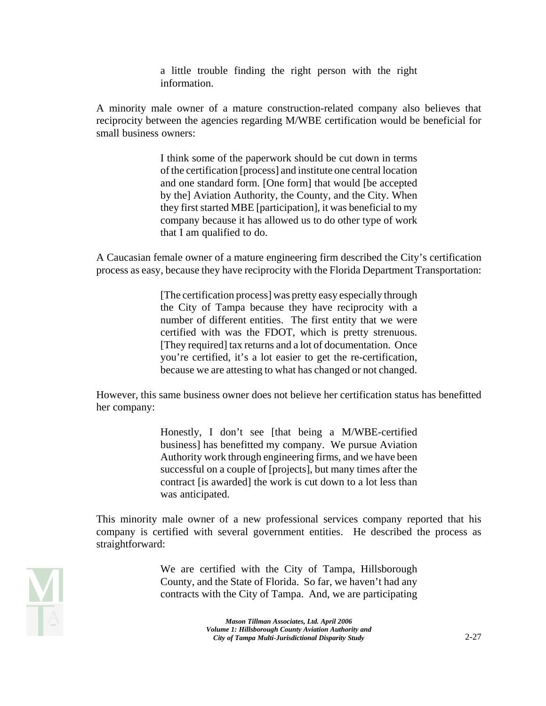a little trouble finding the right person with the right information.

A minority male owner of a mature construction-related company also believes that reciprocity between the agencies regarding M/WBE certification would be beneficial for small business owners:

> I think some of the paperwork should be cut down in terms of the certification [process] and institute one central location and one standard form. [One form] that would [be accepted by the] Aviation Authority, the County, and the City. When they first started MBE [participation], it was beneficial to my company because it has allowed us to do other type of work that I am qualified to do.

A Caucasian female owner of a mature engineering firm described the City's certification process as easy, because they have reciprocity with the Florida Department Transportation:

> [The certification process] was pretty easy especially through the City of Tampa because they have reciprocity with a number of different entities. The first entity that we were certified with was the FDOT, which is pretty strenuous. [They required] tax returns and a lot of documentation. Once you're certified, it's a lot easier to get the re-certification, because we are attesting to what has changed or not changed.

However, this same business owner does not believe her certification status has benefitted her company:

> Honestly, I don't see [that being a M/WBE-certified business] has benefitted my company. We pursue Aviation Authority work through engineering firms, and we have been successful on a couple of [projects], but many times after the contract [is awarded] the work is cut down to a lot less than was anticipated.

This minority male owner of a new professional services company reported that his company is certified with several government entities. He described the process as straightforward:

> We are certified with the City of Tampa, Hillsborough County, and the State of Florida. So far, we haven't had any contracts with the City of Tampa. And, we are participating

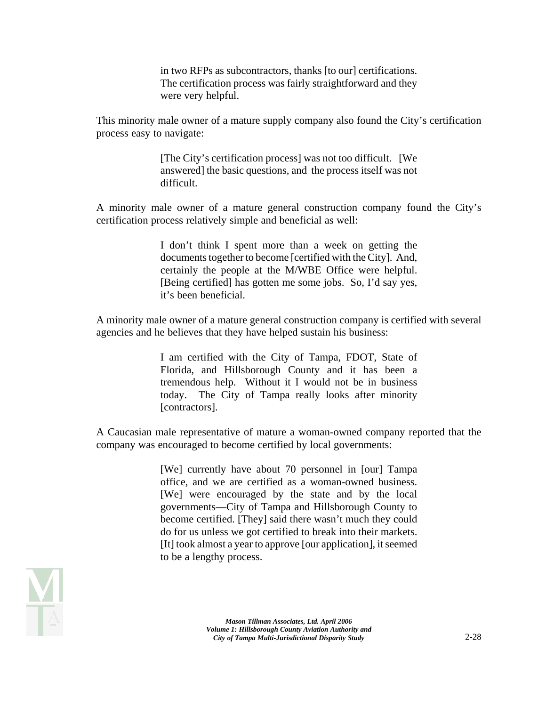in two RFPs as subcontractors, thanks [to our] certifications. The certification process was fairly straightforward and they were very helpful.

This minority male owner of a mature supply company also found the City's certification process easy to navigate:

> [The City's certification process] was not too difficult. [We answered] the basic questions, and the process itself was not difficult.

A minority male owner of a mature general construction company found the City's certification process relatively simple and beneficial as well:

> I don't think I spent more than a week on getting the documents together to become [certified with the City]. And, certainly the people at the M/WBE Office were helpful. [Being certified] has gotten me some jobs. So, I'd say yes, it's been beneficial.

A minority male owner of a mature general construction company is certified with several agencies and he believes that they have helped sustain his business:

> I am certified with the City of Tampa, FDOT, State of Florida, and Hillsborough County and it has been a tremendous help. Without it I would not be in business today. The City of Tampa really looks after minority [contractors].

A Caucasian male representative of mature a woman-owned company reported that the company was encouraged to become certified by local governments:

> [We] currently have about 70 personnel in [our] Tampa office, and we are certified as a woman-owned business. [We] were encouraged by the state and by the local governments—City of Tampa and Hillsborough County to become certified. [They] said there wasn't much they could do for us unless we got certified to break into their markets. [It] took almost a year to approve [our application], it seemed to be a lengthy process.

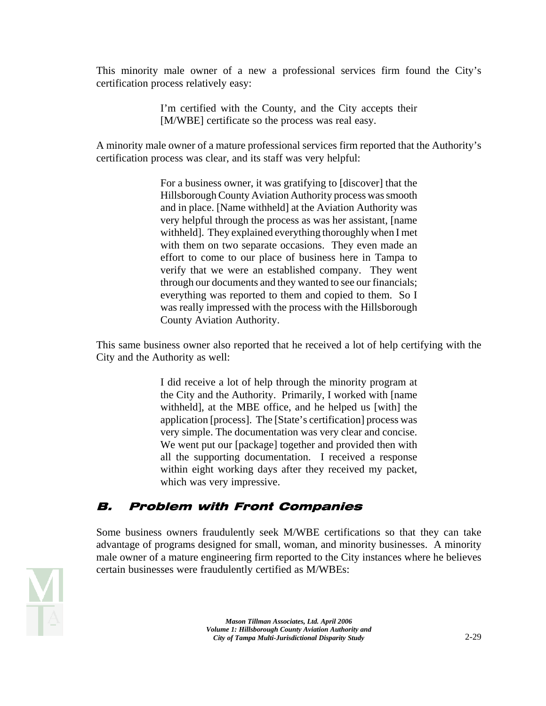This minority male owner of a new a professional services firm found the City's certification process relatively easy:

> I'm certified with the County, and the City accepts their [M/WBE] certificate so the process was real easy.

A minority male owner of a mature professional services firm reported that the Authority's certification process was clear, and its staff was very helpful:

> For a business owner, it was gratifying to [discover] that the Hillsborough County Aviation Authority process was smooth and in place. [Name withheld] at the Aviation Authority was very helpful through the process as was her assistant, [name withheld]. They explained everything thoroughly when I met with them on two separate occasions. They even made an effort to come to our place of business here in Tampa to verify that we were an established company. They went through our documents and they wanted to see our financials; everything was reported to them and copied to them. So I was really impressed with the process with the Hillsborough County Aviation Authority.

This same business owner also reported that he received a lot of help certifying with the City and the Authority as well:

> I did receive a lot of help through the minority program at the City and the Authority. Primarily, I worked with [name withheld], at the MBE office, and he helped us [with] the application [process]. The [State's certification] process was very simple. The documentation was very clear and concise. We went put our [package] together and provided then with all the supporting documentation. I received a response within eight working days after they received my packet, which was very impressive.

## B. Problem with Front Companies

Some business owners fraudulently seek M/WBE certifications so that they can take advantage of programs designed for small, woman, and minority businesses. A minority male owner of a mature engineering firm reported to the City instances where he believes certain businesses were fraudulently certified as M/WBEs:

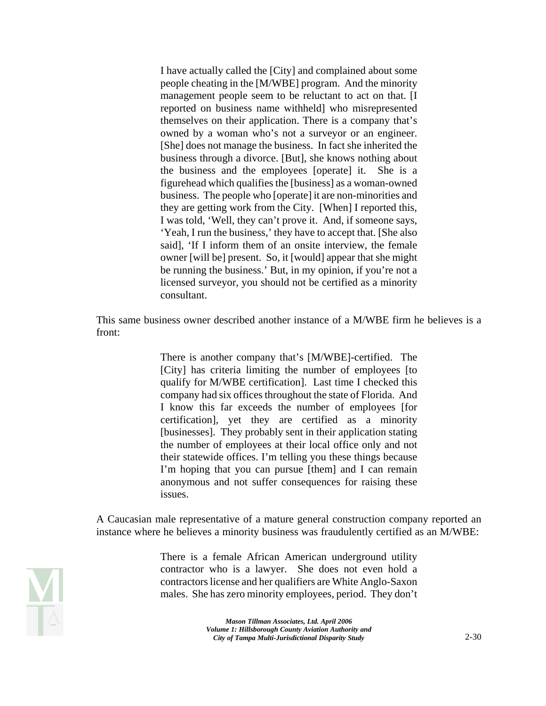I have actually called the [City] and complained about some people cheating in the [M/WBE] program. And the minority management people seem to be reluctant to act on that. [I reported on business name withheld] who misrepresented themselves on their application. There is a company that's owned by a woman who's not a surveyor or an engineer. [She] does not manage the business. In fact she inherited the business through a divorce. [But], she knows nothing about the business and the employees [operate] it. She is a figurehead which qualifies the [business] as a woman-owned business. The people who [operate] it are non-minorities and they are getting work from the City. [When] I reported this, I was told, 'Well, they can't prove it. And, if someone says, 'Yeah, I run the business,' they have to accept that. [She also said], 'If I inform them of an onsite interview, the female owner [will be] present. So, it [would] appear that she might be running the business.' But, in my opinion, if you're not a licensed surveyor, you should not be certified as a minority consultant.

This same business owner described another instance of a M/WBE firm he believes is a front:

> There is another company that's [M/WBE]-certified. The [City] has criteria limiting the number of employees [to qualify for M/WBE certification]. Last time I checked this company had six offices throughout the state of Florida. And I know this far exceeds the number of employees [for certification], yet they are certified as a minority [businesses]. They probably sent in their application stating the number of employees at their local office only and not their statewide offices. I'm telling you these things because I'm hoping that you can pursue [them] and I can remain anonymous and not suffer consequences for raising these issues.

A Caucasian male representative of a mature general construction company reported an instance where he believes a minority business was fraudulently certified as an M/WBE:

> There is a female African American underground utility contractor who is a lawyer. She does not even hold a contractors license and her qualifiers are White Anglo-Saxon males. She has zero minority employees, period. They don't

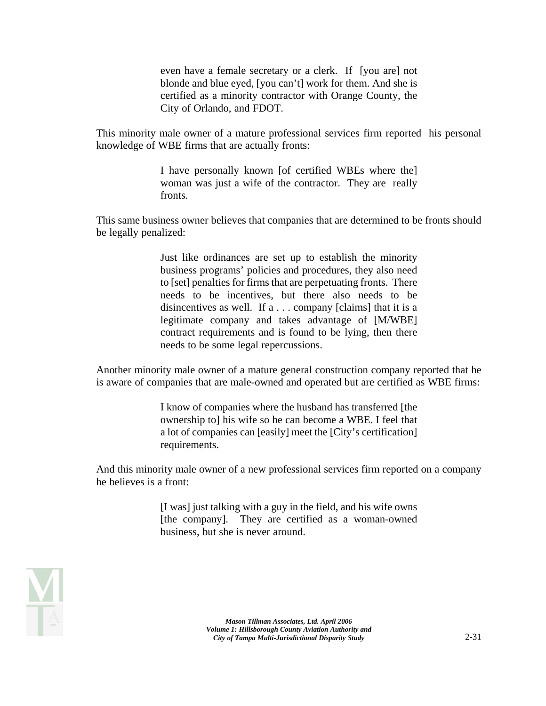even have a female secretary or a clerk. If [you are] not blonde and blue eyed, [you can't] work for them. And she is certified as a minority contractor with Orange County, the City of Orlando, and FDOT.

This minority male owner of a mature professional services firm reported his personal knowledge of WBE firms that are actually fronts:

> I have personally known [of certified WBEs where the] woman was just a wife of the contractor. They are really fronts.

This same business owner believes that companies that are determined to be fronts should be legally penalized:

> Just like ordinances are set up to establish the minority business programs' policies and procedures, they also need to [set] penalties for firms that are perpetuating fronts. There needs to be incentives, but there also needs to be disincentives as well. If a . . . company [claims] that it is a legitimate company and takes advantage of [M/WBE] contract requirements and is found to be lying, then there needs to be some legal repercussions.

Another minority male owner of a mature general construction company reported that he is aware of companies that are male-owned and operated but are certified as WBE firms:

> I know of companies where the husband has transferred [the ownership to] his wife so he can become a WBE. I feel that a lot of companies can [easily] meet the [City's certification] requirements.

And this minority male owner of a new professional services firm reported on a company he believes is a front:

> [I was] just talking with a guy in the field, and his wife owns [the company]. They are certified as a woman-owned business, but she is never around.

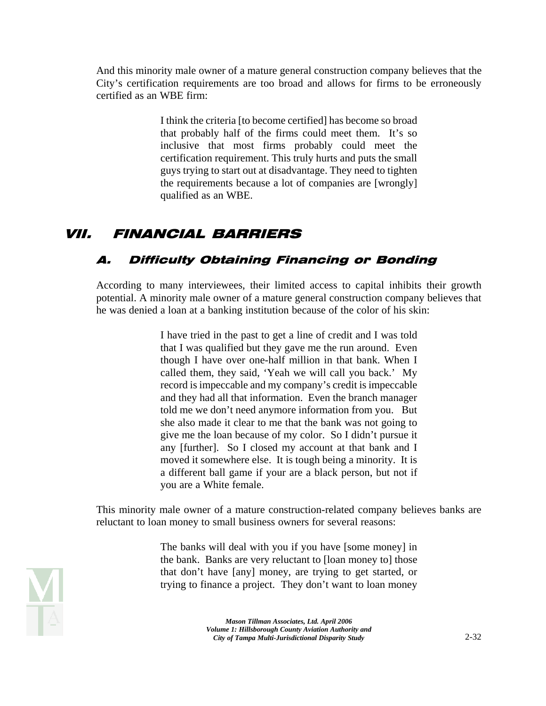And this minority male owner of a mature general construction company believes that the City's certification requirements are too broad and allows for firms to be erroneously certified as an WBE firm:

> I think the criteria [to become certified] has become so broad that probably half of the firms could meet them. It's so inclusive that most firms probably could meet the certification requirement. This truly hurts and puts the small guys trying to start out at disadvantage. They need to tighten the requirements because a lot of companies are [wrongly] qualified as an WBE.

# VII. FINANCIAL BARRIERS

## A. Difficulty Obtaining Financing or Bonding

According to many interviewees, their limited access to capital inhibits their growth potential. A minority male owner of a mature general construction company believes that he was denied a loan at a banking institution because of the color of his skin:

> I have tried in the past to get a line of credit and I was told that I was qualified but they gave me the run around. Even though I have over one-half million in that bank. When I called them, they said, 'Yeah we will call you back.' My record is impeccable and my company's credit is impeccable and they had all that information. Even the branch manager told me we don't need anymore information from you. But she also made it clear to me that the bank was not going to give me the loan because of my color. So I didn't pursue it any [further]. So I closed my account at that bank and I moved it somewhere else. It is tough being a minority. It is a different ball game if your are a black person, but not if you are a White female.

This minority male owner of a mature construction-related company believes banks are reluctant to loan money to small business owners for several reasons:

> The banks will deal with you if you have [some money] in the bank. Banks are very reluctant to [loan money to] those that don't have [any] money, are trying to get started, or trying to finance a project. They don't want to loan money

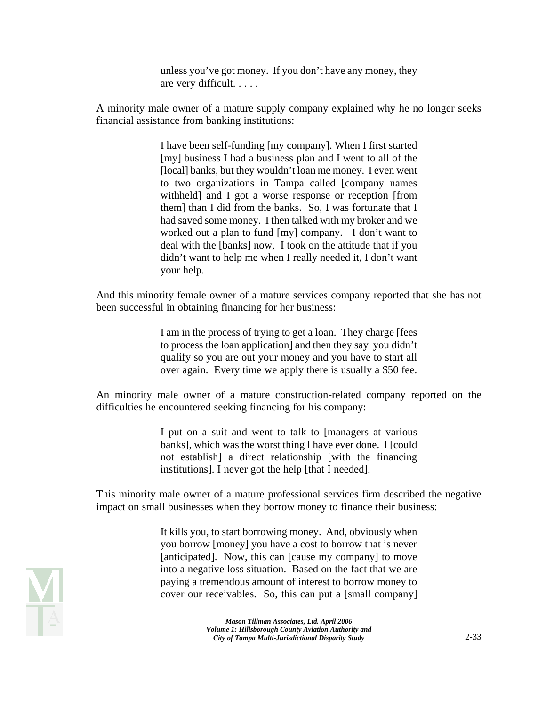unless you've got money. If you don't have any money, they are very difficult. . . . .

A minority male owner of a mature supply company explained why he no longer seeks financial assistance from banking institutions:

> I have been self-funding [my company]. When I first started [my] business I had a business plan and I went to all of the [local] banks, but they wouldn't loan me money. I even went to two organizations in Tampa called [company names withheld] and I got a worse response or reception [from them] than I did from the banks. So, I was fortunate that I had saved some money. I then talked with my broker and we worked out a plan to fund [my] company. I don't want to deal with the [banks] now, I took on the attitude that if you didn't want to help me when I really needed it, I don't want your help.

And this minority female owner of a mature services company reported that she has not been successful in obtaining financing for her business:

> I am in the process of trying to get a loan. They charge [fees to process the loan application] and then they say you didn't qualify so you are out your money and you have to start all over again. Every time we apply there is usually a \$50 fee.

An minority male owner of a mature construction-related company reported on the difficulties he encountered seeking financing for his company:

> I put on a suit and went to talk to [managers at various banks], which was the worst thing I have ever done. I [could not establish] a direct relationship [with the financing institutions]. I never got the help [that I needed].

This minority male owner of a mature professional services firm described the negative impact on small businesses when they borrow money to finance their business:

> It kills you, to start borrowing money. And, obviously when you borrow [money] you have a cost to borrow that is never [anticipated]. Now, this can [cause my company] to move into a negative loss situation. Based on the fact that we are paying a tremendous amount of interest to borrow money to cover our receivables. So, this can put a [small company]

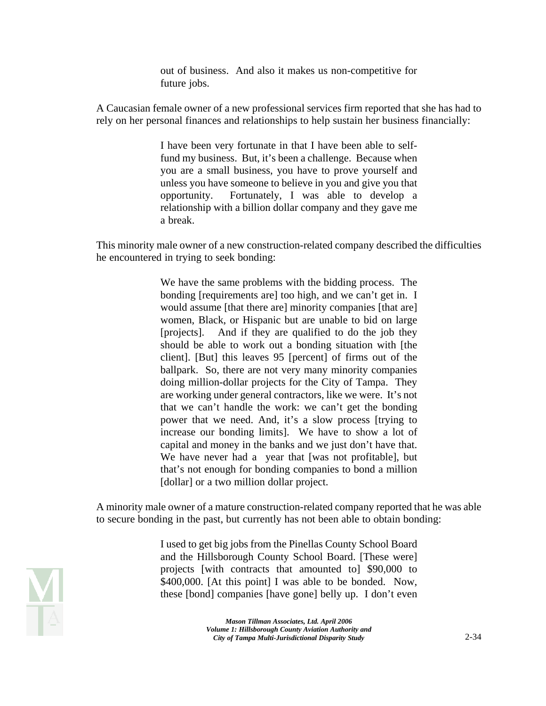out of business. And also it makes us non-competitive for future jobs.

A Caucasian female owner of a new professional services firm reported that she has had to rely on her personal finances and relationships to help sustain her business financially:

> I have been very fortunate in that I have been able to selffund my business. But, it's been a challenge. Because when you are a small business, you have to prove yourself and unless you have someone to believe in you and give you that opportunity. Fortunately, I was able to develop a relationship with a billion dollar company and they gave me a break.

This minority male owner of a new construction-related company described the difficulties he encountered in trying to seek bonding:

> We have the same problems with the bidding process. The bonding [requirements are] too high, and we can't get in. I would assume [that there are] minority companies [that are] women, Black, or Hispanic but are unable to bid on large [projects]. And if they are qualified to do the job they should be able to work out a bonding situation with [the client]. [But] this leaves 95 [percent] of firms out of the ballpark. So, there are not very many minority companies doing million-dollar projects for the City of Tampa. They are working under general contractors, like we were. It's not that we can't handle the work: we can't get the bonding power that we need. And, it's a slow process [trying to increase our bonding limits]. We have to show a lot of capital and money in the banks and we just don't have that. We have never had a year that [was not profitable], but that's not enough for bonding companies to bond a million [dollar] or a two million dollar project.

A minority male owner of a mature construction-related company reported that he was able to secure bonding in the past, but currently has not been able to obtain bonding:

> I used to get big jobs from the Pinellas County School Board and the Hillsborough County School Board. [These were] projects [with contracts that amounted to] \$90,000 to \$400,000. [At this point] I was able to be bonded. Now, these [bond] companies [have gone] belly up. I don't even

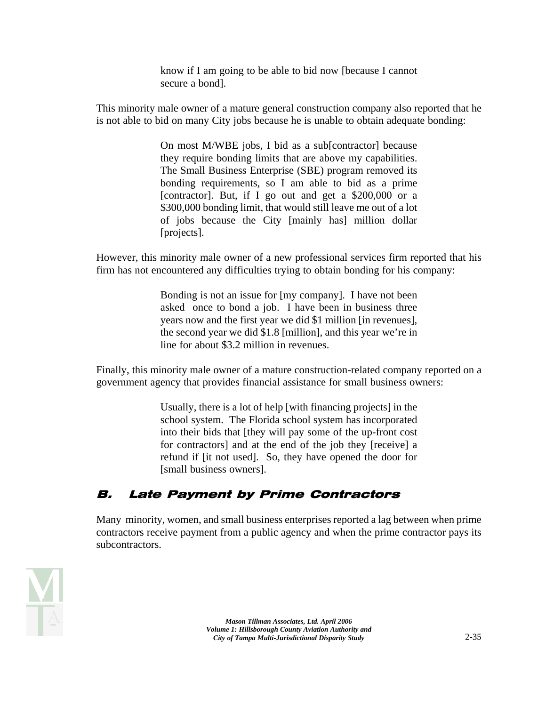know if I am going to be able to bid now [because I cannot secure a bond].

This minority male owner of a mature general construction company also reported that he is not able to bid on many City jobs because he is unable to obtain adequate bonding:

> On most M/WBE jobs, I bid as a sub[contractor] because they require bonding limits that are above my capabilities. The Small Business Enterprise (SBE) program removed its bonding requirements, so I am able to bid as a prime [contractor]. But, if I go out and get a \$200,000 or a \$300,000 bonding limit, that would still leave me out of a lot of jobs because the City [mainly has] million dollar [projects].

However, this minority male owner of a new professional services firm reported that his firm has not encountered any difficulties trying to obtain bonding for his company:

> Bonding is not an issue for [my company]. I have not been asked once to bond a job. I have been in business three years now and the first year we did \$1 million [in revenues], the second year we did \$1.8 [million], and this year we're in line for about \$3.2 million in revenues.

Finally, this minority male owner of a mature construction-related company reported on a government agency that provides financial assistance for small business owners:

> Usually, there is a lot of help [with financing projects] in the school system. The Florida school system has incorporated into their bids that [they will pay some of the up-front cost for contractors] and at the end of the job they [receive] a refund if [it not used]. So, they have opened the door for [small business owners].

### B. Late Payment by Prime Contractors

Many minority, women, and small business enterprises reported a lag between when prime contractors receive payment from a public agency and when the prime contractor pays its subcontractors.

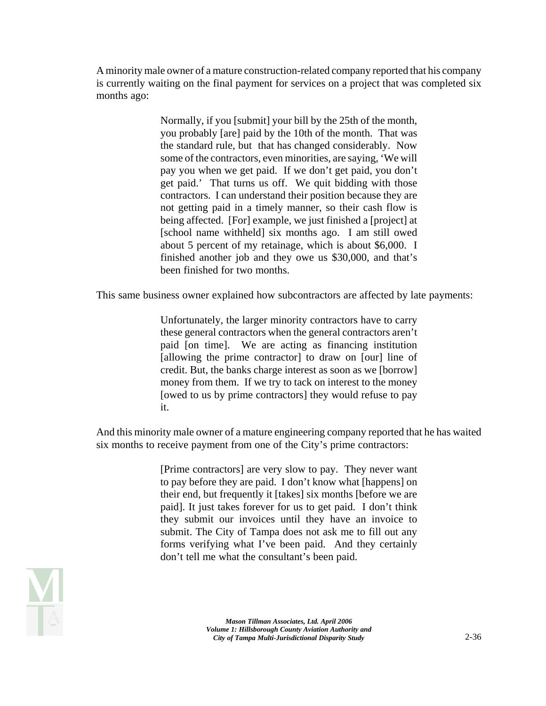A minority male owner of a mature construction-related company reported that his company is currently waiting on the final payment for services on a project that was completed six months ago:

> Normally, if you [submit] your bill by the 25th of the month, you probably [are] paid by the 10th of the month. That was the standard rule, but that has changed considerably. Now some of the contractors, even minorities, are saying, 'We will pay you when we get paid. If we don't get paid, you don't get paid.' That turns us off. We quit bidding with those contractors. I can understand their position because they are not getting paid in a timely manner, so their cash flow is being affected. [For] example, we just finished a [project] at [school name withheld] six months ago. I am still owed about 5 percent of my retainage, which is about \$6,000. I finished another job and they owe us \$30,000, and that's been finished for two months.

This same business owner explained how subcontractors are affected by late payments:

Unfortunately, the larger minority contractors have to carry these general contractors when the general contractors aren't paid [on time]. We are acting as financing institution [allowing the prime contractor] to draw on [our] line of credit. But, the banks charge interest as soon as we [borrow] money from them. If we try to tack on interest to the money [owed to us by prime contractors] they would refuse to pay it.

And this minority male owner of a mature engineering company reported that he has waited six months to receive payment from one of the City's prime contractors:

> [Prime contractors] are very slow to pay. They never want to pay before they are paid. I don't know what [happens] on their end, but frequently it [takes] six months [before we are paid]. It just takes forever for us to get paid. I don't think they submit our invoices until they have an invoice to submit. The City of Tampa does not ask me to fill out any forms verifying what I've been paid. And they certainly don't tell me what the consultant's been paid.

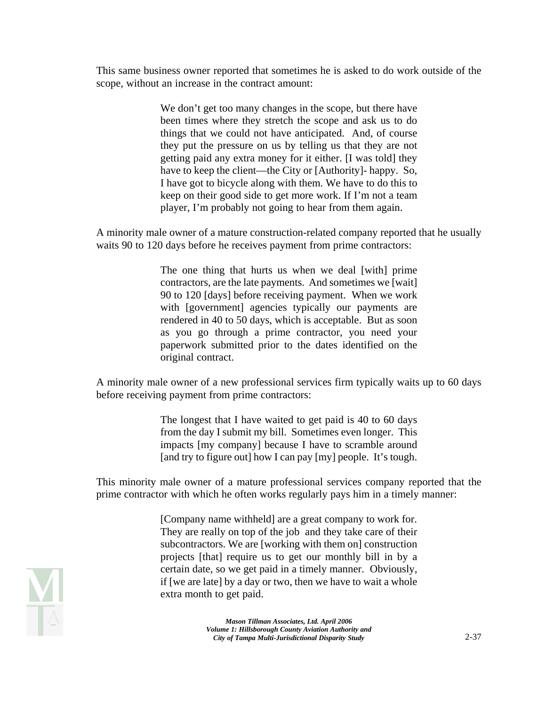This same business owner reported that sometimes he is asked to do work outside of the scope, without an increase in the contract amount:

> We don't get too many changes in the scope, but there have been times where they stretch the scope and ask us to do things that we could not have anticipated. And, of course they put the pressure on us by telling us that they are not getting paid any extra money for it either. [I was told] they have to keep the client—the City or [Authority]- happy. So, I have got to bicycle along with them. We have to do this to keep on their good side to get more work. If I'm not a team player, I'm probably not going to hear from them again.

A minority male owner of a mature construction-related company reported that he usually waits 90 to 120 days before he receives payment from prime contractors:

> The one thing that hurts us when we deal [with] prime contractors, are the late payments. And sometimes we [wait] 90 to 120 [days] before receiving payment. When we work with [government] agencies typically our payments are rendered in 40 to 50 days, which is acceptable. But as soon as you go through a prime contractor, you need your paperwork submitted prior to the dates identified on the original contract.

A minority male owner of a new professional services firm typically waits up to 60 days before receiving payment from prime contractors:

> The longest that I have waited to get paid is 40 to 60 days from the day I submit my bill. Sometimes even longer. This impacts [my company] because I have to scramble around [and try to figure out] how I can pay [my] people. It's tough.

This minority male owner of a mature professional services company reported that the prime contractor with which he often works regularly pays him in a timely manner:

> [Company name withheld] are a great company to work for. They are really on top of the job and they take care of their subcontractors. We are [working with them on] construction projects [that] require us to get our monthly bill in by a certain date, so we get paid in a timely manner. Obviously, if [we are late] by a day or two, then we have to wait a whole extra month to get paid.

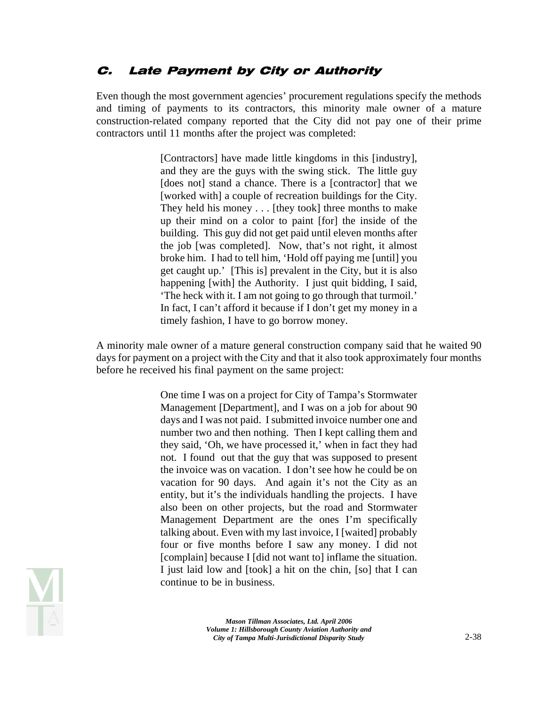### C. Late Payment by City or Authority

Even though the most government agencies' procurement regulations specify the methods and timing of payments to its contractors, this minority male owner of a mature construction-related company reported that the City did not pay one of their prime contractors until 11 months after the project was completed:

> [Contractors] have made little kingdoms in this [industry], and they are the guys with the swing stick. The little guy [does not] stand a chance. There is a [contractor] that we [worked with] a couple of recreation buildings for the City. They held his money . . . [they took] three months to make up their mind on a color to paint [for] the inside of the building. This guy did not get paid until eleven months after the job [was completed]. Now, that's not right, it almost broke him. I had to tell him, 'Hold off paying me [until] you get caught up.' [This is] prevalent in the City, but it is also happening [with] the Authority. I just quit bidding, I said, 'The heck with it. I am not going to go through that turmoil.' In fact, I can't afford it because if I don't get my money in a timely fashion, I have to go borrow money.

A minority male owner of a mature general construction company said that he waited 90 days for payment on a project with the City and that it also took approximately four months before he received his final payment on the same project:

> One time I was on a project for City of Tampa's Stormwater Management [Department], and I was on a job for about 90 days and I was not paid. I submitted invoice number one and number two and then nothing. Then I kept calling them and they said, 'Oh, we have processed it,' when in fact they had not. I found out that the guy that was supposed to present the invoice was on vacation. I don't see how he could be on vacation for 90 days. And again it's not the City as an entity, but it's the individuals handling the projects. I have also been on other projects, but the road and Stormwater Management Department are the ones I'm specifically talking about. Even with my last invoice, I [waited] probably four or five months before I saw any money. I did not [complain] because I [did not want to] inflame the situation. I just laid low and [took] a hit on the chin, [so] that I can continue to be in business.

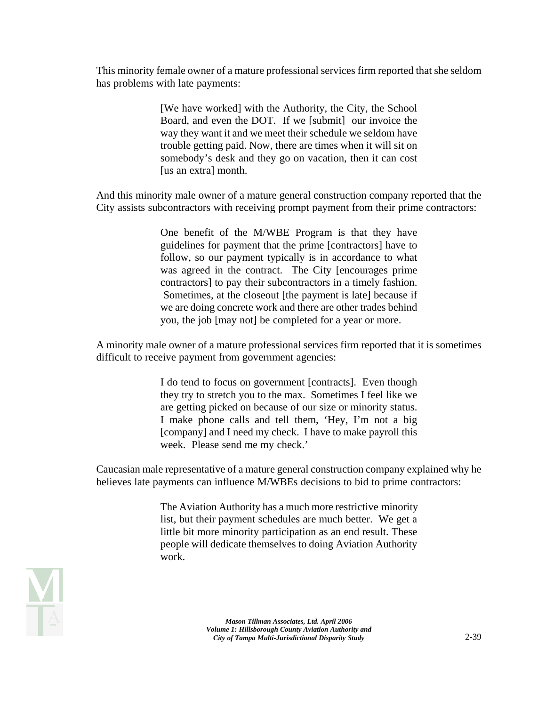This minority female owner of a mature professional services firm reported that she seldom has problems with late payments:

> [We have worked] with the Authority, the City, the School Board, and even the DOT. If we [submit] our invoice the way they want it and we meet their schedule we seldom have trouble getting paid. Now, there are times when it will sit on somebody's desk and they go on vacation, then it can cost [us an extra] month.

And this minority male owner of a mature general construction company reported that the City assists subcontractors with receiving prompt payment from their prime contractors:

> One benefit of the M/WBE Program is that they have guidelines for payment that the prime [contractors] have to follow, so our payment typically is in accordance to what was agreed in the contract. The City [encourages prime contractors] to pay their subcontractors in a timely fashion. Sometimes, at the closeout [the payment is late] because if we are doing concrete work and there are other trades behind you, the job [may not] be completed for a year or more.

A minority male owner of a mature professional services firm reported that it is sometimes difficult to receive payment from government agencies:

> I do tend to focus on government [contracts]. Even though they try to stretch you to the max. Sometimes I feel like we are getting picked on because of our size or minority status. I make phone calls and tell them, 'Hey, I'm not a big [company] and I need my check. I have to make payroll this week. Please send me my check.'

Caucasian male representative of a mature general construction company explained why he believes late payments can influence M/WBEs decisions to bid to prime contractors:

> The Aviation Authority has a much more restrictive minority list, but their payment schedules are much better. We get a little bit more minority participation as an end result. These people will dedicate themselves to doing Aviation Authority work.

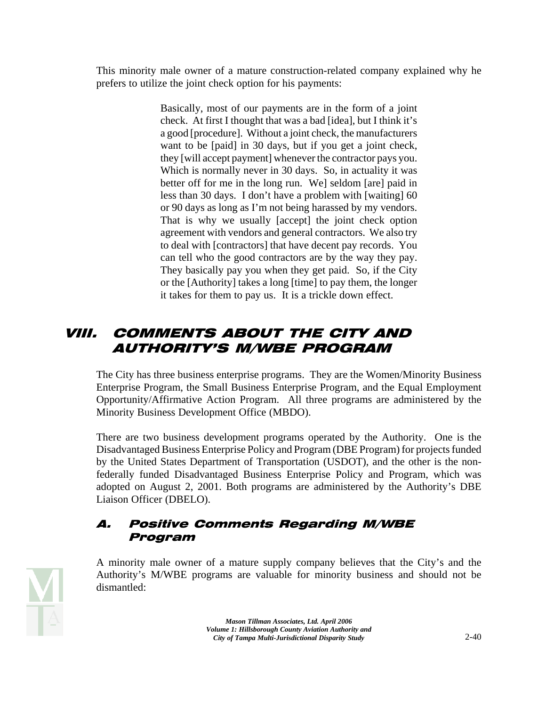This minority male owner of a mature construction-related company explained why he prefers to utilize the joint check option for his payments:

> Basically, most of our payments are in the form of a joint check. At first I thought that was a bad [idea], but I think it's a good [procedure]. Without a joint check, the manufacturers want to be [paid] in 30 days, but if you get a joint check, they [will accept payment] whenever the contractor pays you. Which is normally never in 30 days. So, in actuality it was better off for me in the long run. We] seldom [are] paid in less than 30 days. I don't have a problem with [waiting] 60 or 90 days as long as I'm not being harassed by my vendors. That is why we usually [accept] the joint check option agreement with vendors and general contractors. We also try to deal with [contractors] that have decent pay records. You can tell who the good contractors are by the way they pay. They basically pay you when they get paid. So, if the City or the [Authority] takes a long [time] to pay them, the longer it takes for them to pay us. It is a trickle down effect.

## VIII. COMMENTS ABOUT THE CITY AND AUTHORITY'S M/WBE PROGRAM

The City has three business enterprise programs. They are the Women/Minority Business Enterprise Program, the Small Business Enterprise Program, and the Equal Employment Opportunity/Affirmative Action Program. All three programs are administered by the Minority Business Development Office (MBDO).

There are two business development programs operated by the Authority. One is the Disadvantaged Business Enterprise Policy and Program (DBE Program) for projects funded by the United States Department of Transportation (USDOT), and the other is the nonfederally funded Disadvantaged Business Enterprise Policy and Program, which was adopted on August 2, 2001. Both programs are administered by the Authority's DBE Liaison Officer (DBELO).

#### A. Positive Comments Regarding M/WBE Program

A minority male owner of a mature supply company believes that the City's and the Authority's M/WBE programs are valuable for minority business and should not be dismantled:

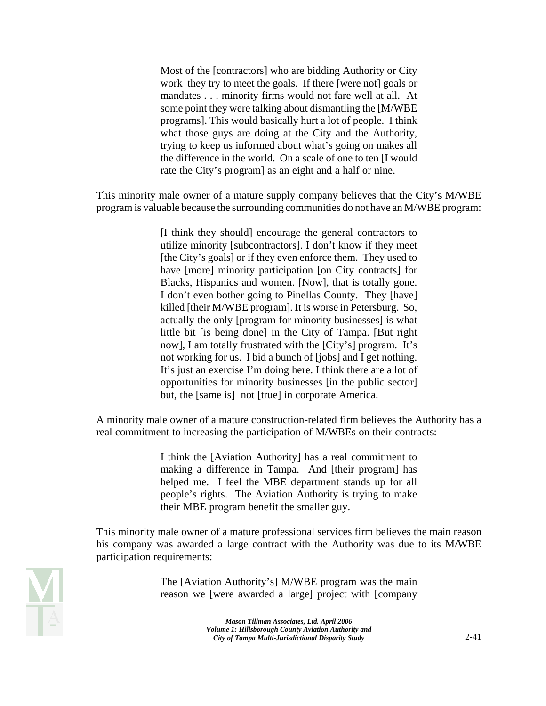Most of the [contractors] who are bidding Authority or City work they try to meet the goals. If there [were not] goals or mandates . . . minority firms would not fare well at all. At some point they were talking about dismantling the [M/WBE programs]. This would basically hurt a lot of people. I think what those guys are doing at the City and the Authority, trying to keep us informed about what's going on makes all the difference in the world. On a scale of one to ten [I would rate the City's program] as an eight and a half or nine.

This minority male owner of a mature supply company believes that the City's M/WBE program is valuable because the surrounding communities do not have an M/WBE program:

> [I think they should] encourage the general contractors to utilize minority [subcontractors]. I don't know if they meet [the City's goals] or if they even enforce them. They used to have [more] minority participation [on City contracts] for Blacks, Hispanics and women. [Now], that is totally gone. I don't even bother going to Pinellas County. They [have] killed [their M/WBE program]. It is worse in Petersburg. So, actually the only [program for minority businesses] is what little bit [is being done] in the City of Tampa. [But right now], I am totally frustrated with the [City's] program. It's not working for us. I bid a bunch of [jobs] and I get nothing. It's just an exercise I'm doing here. I think there are a lot of opportunities for minority businesses [in the public sector] but, the [same is] not [true] in corporate America.

A minority male owner of a mature construction-related firm believes the Authority has a real commitment to increasing the participation of M/WBEs on their contracts:

> I think the [Aviation Authority] has a real commitment to making a difference in Tampa. And [their program] has helped me. I feel the MBE department stands up for all people's rights. The Aviation Authority is trying to make their MBE program benefit the smaller guy.

This minority male owner of a mature professional services firm believes the main reason his company was awarded a large contract with the Authority was due to its M/WBE participation requirements:



The [Aviation Authority's] M/WBE program was the main reason we [were awarded a large] project with [company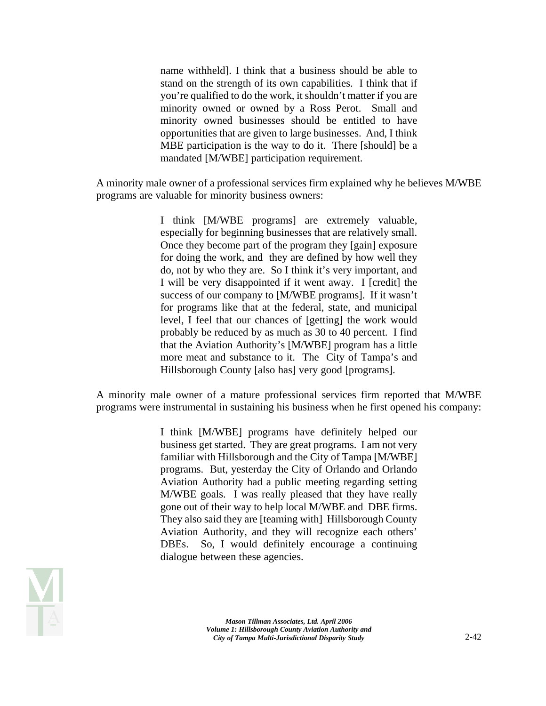name withheld]. I think that a business should be able to stand on the strength of its own capabilities. I think that if you're qualified to do the work, it shouldn't matter if you are minority owned or owned by a Ross Perot. Small and minority owned businesses should be entitled to have opportunities that are given to large businesses. And, I think MBE participation is the way to do it. There [should] be a mandated [M/WBE] participation requirement.

A minority male owner of a professional services firm explained why he believes M/WBE programs are valuable for minority business owners:

> I think [M/WBE programs] are extremely valuable, especially for beginning businesses that are relatively small. Once they become part of the program they [gain] exposure for doing the work, and they are defined by how well they do, not by who they are. So I think it's very important, and I will be very disappointed if it went away. I [credit] the success of our company to [M/WBE programs]. If it wasn't for programs like that at the federal, state, and municipal level, I feel that our chances of [getting] the work would probably be reduced by as much as 30 to 40 percent. I find that the Aviation Authority's [M/WBE] program has a little more meat and substance to it. The City of Tampa's and Hillsborough County [also has] very good [programs].

A minority male owner of a mature professional services firm reported that M/WBE programs were instrumental in sustaining his business when he first opened his company:

> I think [M/WBE] programs have definitely helped our business get started. They are great programs. I am not very familiar with Hillsborough and the City of Tampa [M/WBE] programs. But, yesterday the City of Orlando and Orlando Aviation Authority had a public meeting regarding setting M/WBE goals. I was really pleased that they have really gone out of their way to help local M/WBE and DBE firms. They also said they are [teaming with] Hillsborough County Aviation Authority, and they will recognize each others' DBEs. So, I would definitely encourage a continuing dialogue between these agencies.

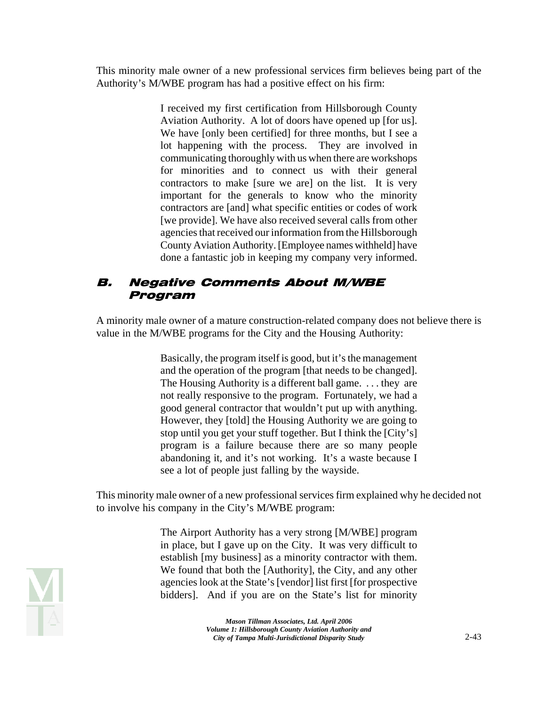This minority male owner of a new professional services firm believes being part of the Authority's M/WBE program has had a positive effect on his firm:

> I received my first certification from Hillsborough County Aviation Authority. A lot of doors have opened up [for us]. We have [only been certified] for three months, but I see a lot happening with the process. They are involved in communicating thoroughly with us when there are workshops for minorities and to connect us with their general contractors to make [sure we are] on the list. It is very important for the generals to know who the minority contractors are [and] what specific entities or codes of work [we provide]. We have also received several calls from other agencies that received our information from the Hillsborough County Aviation Authority. [Employee names withheld] have done a fantastic job in keeping my company very informed.

### B. Negative Comments About M/WBE Program

A minority male owner of a mature construction-related company does not believe there is value in the M/WBE programs for the City and the Housing Authority:

> Basically, the program itself is good, but it's the management and the operation of the program [that needs to be changed]. The Housing Authority is a different ball game. . . . they are not really responsive to the program. Fortunately, we had a good general contractor that wouldn't put up with anything. However, they [told] the Housing Authority we are going to stop until you get your stuff together. But I think the [City's] program is a failure because there are so many people abandoning it, and it's not working. It's a waste because I see a lot of people just falling by the wayside.

This minority male owner of a new professional services firm explained why he decided not to involve his company in the City's M/WBE program:

> The Airport Authority has a very strong [M/WBE] program in place, but I gave up on the City. It was very difficult to establish [my business] as a minority contractor with them. We found that both the [Authority], the City, and any other agencies look at the State's [vendor] list first [for prospective bidders]. And if you are on the State's list for minority



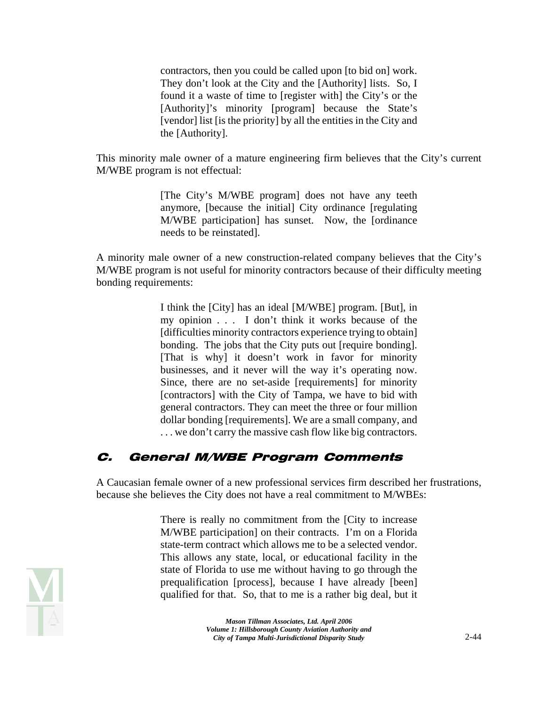contractors, then you could be called upon [to bid on] work. They don't look at the City and the [Authority] lists. So, I found it a waste of time to [register with] the City's or the [Authority]'s minority [program] because the State's [vendor] list [is the priority] by all the entities in the City and the [Authority].

This minority male owner of a mature engineering firm believes that the City's current M/WBE program is not effectual:

> [The City's M/WBE program] does not have any teeth anymore, [because the initial] City ordinance [regulating M/WBE participation] has sunset. Now, the [ordinance needs to be reinstated].

A minority male owner of a new construction-related company believes that the City's M/WBE program is not useful for minority contractors because of their difficulty meeting bonding requirements:

> I think the [City] has an ideal [M/WBE] program. [But], in my opinion . . . I don't think it works because of the [difficulties minority contractors experience trying to obtain] bonding. The jobs that the City puts out [require bonding]. [That is why] it doesn't work in favor for minority businesses, and it never will the way it's operating now. Since, there are no set-aside [requirements] for minority [contractors] with the City of Tampa, we have to bid with general contractors. They can meet the three or four million dollar bonding [requirements]. We are a small company, and . . . we don't carry the massive cash flow like big contractors.

#### C. General M/WBE Program Comments

A Caucasian female owner of a new professional services firm described her frustrations, because she believes the City does not have a real commitment to M/WBEs:

> There is really no commitment from the [City to increase M/WBE participation] on their contracts. I'm on a Florida state-term contract which allows me to be a selected vendor. This allows any state, local, or educational facility in the state of Florida to use me without having to go through the prequalification [process], because I have already [been] qualified for that. So, that to me is a rather big deal, but it

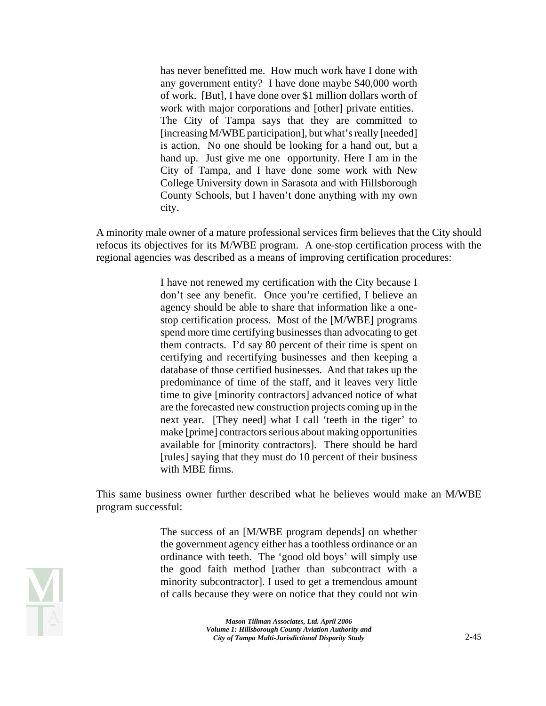has never benefitted me. How much work have I done with any government entity? I have done maybe \$40,000 worth of work. [But], I have done over \$1 million dollars worth of work with major corporations and [other] private entities. The City of Tampa says that they are committed to [increasing M/WBE participation], but what's really [needed] is action. No one should be looking for a hand out, but a hand up. Just give me one opportunity. Here I am in the City of Tampa, and I have done some work with New College University down in Sarasota and with Hillsborough County Schools, but I haven't done anything with my own city.

A minority male owner of a mature professional services firm believes that the City should refocus its objectives for its M/WBE program. A one-stop certification process with the regional agencies was described as a means of improving certification procedures:

> I have not renewed my certification with the City because I don't see any benefit. Once you're certified, I believe an agency should be able to share that information like a onestop certification process. Most of the [M/WBE] programs spend more time certifying businesses than advocating to get them contracts. I'd say 80 percent of their time is spent on certifying and recertifying businesses and then keeping a database of those certified businesses. And that takes up the predominance of time of the staff, and it leaves very little time to give [minority contractors] advanced notice of what are the forecasted new construction projects coming up in the next year. [They need] what I call 'teeth in the tiger' to make [prime] contractors serious about making opportunities available for [minority contractors]. There should be hard [rules] saying that they must do 10 percent of their business with MBE firms.

This same business owner further described what he believes would make an M/WBE program successful:

> The success of an [M/WBE program depends] on whether the government agency either has a toothless ordinance or an ordinance with teeth. The 'good old boys' will simply use the good faith method [rather than subcontract with a minority subcontractor]. I used to get a tremendous amount of calls because they were on notice that they could not win

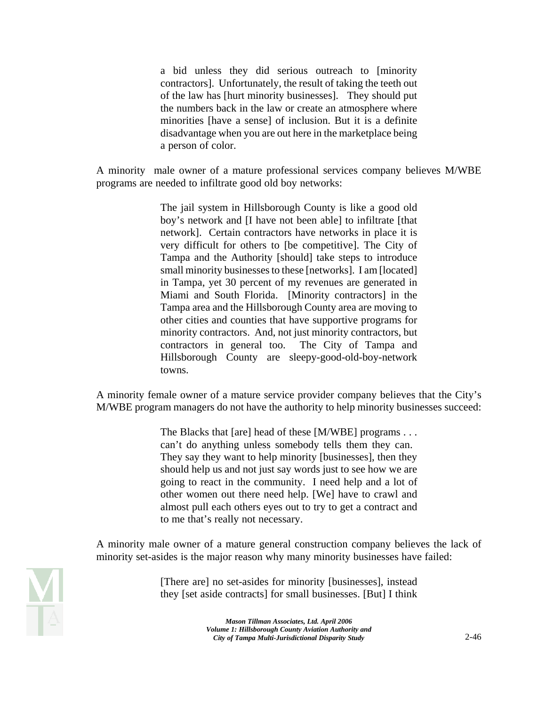a bid unless they did serious outreach to [minority contractors]. Unfortunately, the result of taking the teeth out of the law has [hurt minority businesses]. They should put the numbers back in the law or create an atmosphere where minorities [have a sense] of inclusion. But it is a definite disadvantage when you are out here in the marketplace being a person of color.

A minority male owner of a mature professional services company believes M/WBE programs are needed to infiltrate good old boy networks:

> The jail system in Hillsborough County is like a good old boy's network and [I have not been able] to infiltrate [that network]. Certain contractors have networks in place it is very difficult for others to [be competitive]. The City of Tampa and the Authority [should] take steps to introduce small minority businesses to these [networks]. I am [located] in Tampa, yet 30 percent of my revenues are generated in Miami and South Florida. [Minority contractors] in the Tampa area and the Hillsborough County area are moving to other cities and counties that have supportive programs for minority contractors. And, not just minority contractors, but contractors in general too. The City of Tampa and Hillsborough County are sleepy-good-old-boy-network towns.

A minority female owner of a mature service provider company believes that the City's M/WBE program managers do not have the authority to help minority businesses succeed:

> The Blacks that [are] head of these [M/WBE] programs . . . can't do anything unless somebody tells them they can. They say they want to help minority [businesses], then they should help us and not just say words just to see how we are going to react in the community. I need help and a lot of other women out there need help. [We] have to crawl and almost pull each others eyes out to try to get a contract and to me that's really not necessary.

A minority male owner of a mature general construction company believes the lack of minority set-asides is the major reason why many minority businesses have failed:



[There are] no set-asides for minority [businesses], instead they [set aside contracts] for small businesses. [But] I think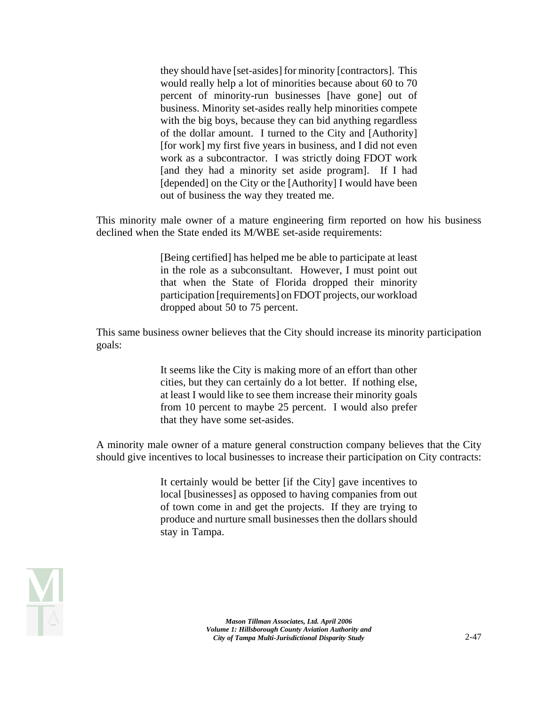they should have [set-asides] for minority [contractors]. This would really help a lot of minorities because about 60 to 70 percent of minority-run businesses [have gone] out of business. Minority set-asides really help minorities compete with the big boys, because they can bid anything regardless of the dollar amount. I turned to the City and [Authority] [for work] my first five years in business, and I did not even work as a subcontractor. I was strictly doing FDOT work [and they had a minority set aside program]. If I had [depended] on the City or the [Authority] I would have been out of business the way they treated me.

This minority male owner of a mature engineering firm reported on how his business declined when the State ended its M/WBE set-aside requirements:

> [Being certified] has helped me be able to participate at least in the role as a subconsultant. However, I must point out that when the State of Florida dropped their minority participation [requirements] on FDOT projects, our workload dropped about 50 to 75 percent.

This same business owner believes that the City should increase its minority participation goals:

> It seems like the City is making more of an effort than other cities, but they can certainly do a lot better. If nothing else, at least I would like to see them increase their minority goals from 10 percent to maybe 25 percent. I would also prefer that they have some set-asides.

A minority male owner of a mature general construction company believes that the City should give incentives to local businesses to increase their participation on City contracts:

> It certainly would be better [if the City] gave incentives to local [businesses] as opposed to having companies from out of town come in and get the projects. If they are trying to produce and nurture small businesses then the dollars should stay in Tampa.

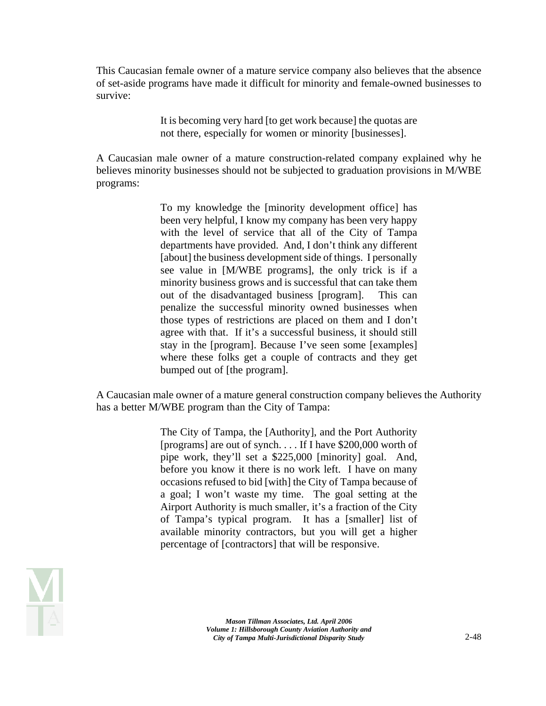This Caucasian female owner of a mature service company also believes that the absence of set-aside programs have made it difficult for minority and female-owned businesses to survive:

> It is becoming very hard [to get work because] the quotas are not there, especially for women or minority [businesses].

A Caucasian male owner of a mature construction-related company explained why he believes minority businesses should not be subjected to graduation provisions in M/WBE programs:

> To my knowledge the [minority development office] has been very helpful, I know my company has been very happy with the level of service that all of the City of Tampa departments have provided. And, I don't think any different [about] the business development side of things. I personally see value in [M/WBE programs], the only trick is if a minority business grows and is successful that can take them out of the disadvantaged business [program]. This can penalize the successful minority owned businesses when those types of restrictions are placed on them and I don't agree with that. If it's a successful business, it should still stay in the [program]. Because I've seen some [examples] where these folks get a couple of contracts and they get bumped out of [the program].

A Caucasian male owner of a mature general construction company believes the Authority has a better M/WBE program than the City of Tampa:

> The City of Tampa, the [Authority], and the Port Authority [programs] are out of synch. . . . If I have \$200,000 worth of pipe work, they'll set a \$225,000 [minority] goal. And, before you know it there is no work left. I have on many occasions refused to bid [with] the City of Tampa because of a goal; I won't waste my time. The goal setting at the Airport Authority is much smaller, it's a fraction of the City of Tampa's typical program. It has a [smaller] list of available minority contractors, but you will get a higher percentage of [contractors] that will be responsive.

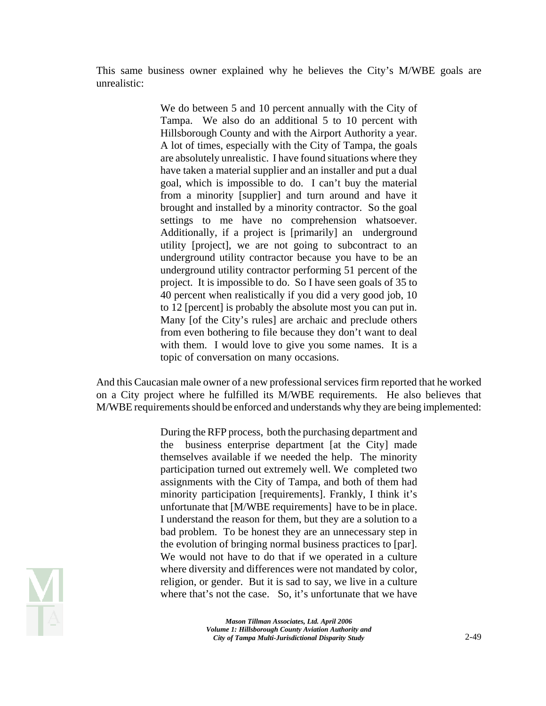This same business owner explained why he believes the City's M/WBE goals are unrealistic:

> We do between 5 and 10 percent annually with the City of Tampa. We also do an additional 5 to 10 percent with Hillsborough County and with the Airport Authority a year. A lot of times, especially with the City of Tampa, the goals are absolutely unrealistic. I have found situations where they have taken a material supplier and an installer and put a dual goal, which is impossible to do. I can't buy the material from a minority [supplier] and turn around and have it brought and installed by a minority contractor. So the goal settings to me have no comprehension whatsoever. Additionally, if a project is [primarily] an underground utility [project], we are not going to subcontract to an underground utility contractor because you have to be an underground utility contractor performing 51 percent of the project. It is impossible to do. So I have seen goals of 35 to 40 percent when realistically if you did a very good job, 10 to 12 [percent] is probably the absolute most you can put in. Many [of the City's rules] are archaic and preclude others from even bothering to file because they don't want to deal with them. I would love to give you some names. It is a topic of conversation on many occasions.

And this Caucasian male owner of a new professional services firm reported that he worked on a City project where he fulfilled its M/WBE requirements. He also believes that M/WBE requirements should be enforced and understands why they are being implemented:

> During the RFP process, both the purchasing department and the business enterprise department [at the City] made themselves available if we needed the help. The minority participation turned out extremely well. We completed two assignments with the City of Tampa, and both of them had minority participation [requirements]. Frankly, I think it's unfortunate that [M/WBE requirements] have to be in place. I understand the reason for them, but they are a solution to a bad problem. To be honest they are an unnecessary step in the evolution of bringing normal business practices to [par]. We would not have to do that if we operated in a culture where diversity and differences were not mandated by color, religion, or gender. But it is sad to say, we live in a culture where that's not the case. So, it's unfortunate that we have

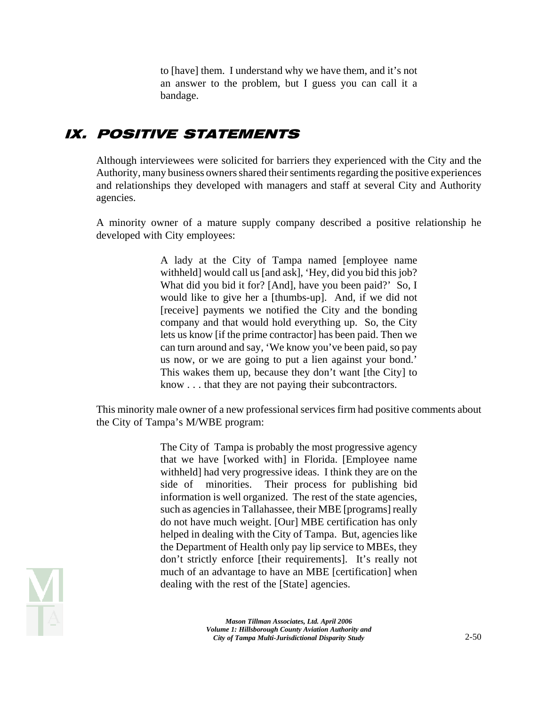to [have] them. I understand why we have them, and it's not an answer to the problem, but I guess you can call it a bandage.

### IX. POSITIVE STATEMENTS

Although interviewees were solicited for barriers they experienced with the City and the Authority, many business owners shared their sentiments regarding the positive experiences and relationships they developed with managers and staff at several City and Authority agencies.

A minority owner of a mature supply company described a positive relationship he developed with City employees:

> A lady at the City of Tampa named [employee name withheld] would call us [and ask], 'Hey, did you bid this job? What did you bid it for? [And], have you been paid?' So, I would like to give her a [thumbs-up]. And, if we did not [receive] payments we notified the City and the bonding company and that would hold everything up. So, the City lets us know [if the prime contractor] has been paid. Then we can turn around and say, 'We know you've been paid, so pay us now, or we are going to put a lien against your bond.' This wakes them up, because they don't want [the City] to know . . . that they are not paying their subcontractors.

This minority male owner of a new professional services firm had positive comments about the City of Tampa's M/WBE program:

> The City of Tampa is probably the most progressive agency that we have [worked with] in Florida. [Employee name withheld] had very progressive ideas. I think they are on the side of minorities. Their process for publishing bid information is well organized. The rest of the state agencies, such as agencies in Tallahassee, their MBE [programs] really do not have much weight. [Our] MBE certification has only helped in dealing with the City of Tampa. But, agencies like the Department of Health only pay lip service to MBEs, they don't strictly enforce [their requirements]. It's really not much of an advantage to have an MBE [certification] when dealing with the rest of the [State] agencies.

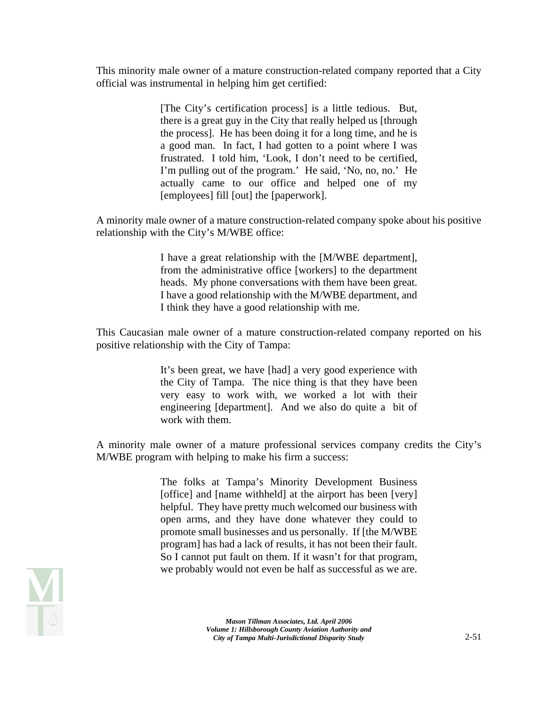This minority male owner of a mature construction-related company reported that a City official was instrumental in helping him get certified:

> [The City's certification process] is a little tedious. But, there is a great guy in the City that really helped us [through the process]. He has been doing it for a long time, and he is a good man. In fact, I had gotten to a point where I was frustrated. I told him, 'Look, I don't need to be certified, I'm pulling out of the program.' He said, 'No, no, no.' He actually came to our office and helped one of my [employees] fill [out] the [paperwork].

A minority male owner of a mature construction-related company spoke about his positive relationship with the City's M/WBE office:

> I have a great relationship with the [M/WBE department], from the administrative office [workers] to the department heads. My phone conversations with them have been great. I have a good relationship with the M/WBE department, and I think they have a good relationship with me.

This Caucasian male owner of a mature construction-related company reported on his positive relationship with the City of Tampa:

> It's been great, we have [had] a very good experience with the City of Tampa. The nice thing is that they have been very easy to work with, we worked a lot with their engineering [department]. And we also do quite a bit of work with them.

A minority male owner of a mature professional services company credits the City's M/WBE program with helping to make his firm a success:

> The folks at Tampa's Minority Development Business [office] and [name withheld] at the airport has been [very] helpful. They have pretty much welcomed our business with open arms, and they have done whatever they could to promote small businesses and us personally. If [the M/WBE program] has had a lack of results, it has not been their fault. So I cannot put fault on them. If it wasn't for that program, we probably would not even be half as successful as we are.

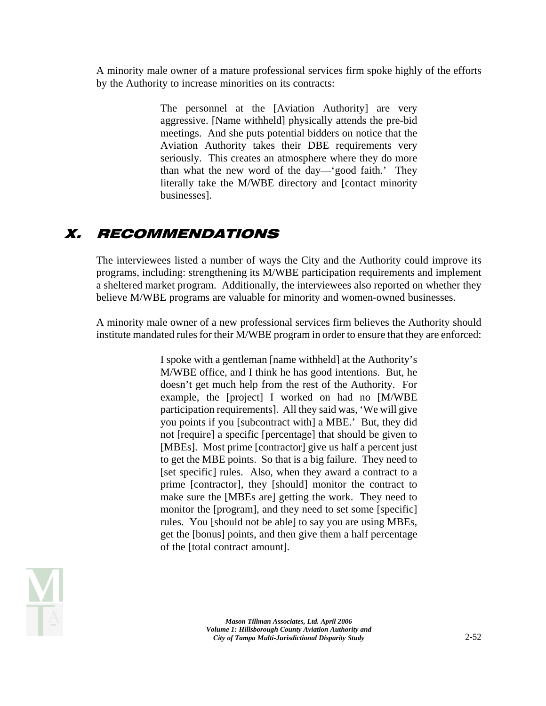A minority male owner of a mature professional services firm spoke highly of the efforts by the Authority to increase minorities on its contracts:

> The personnel at the [Aviation Authority] are very aggressive. [Name withheld] physically attends the pre-bid meetings. And she puts potential bidders on notice that the Aviation Authority takes their DBE requirements very seriously. This creates an atmosphere where they do more than what the new word of the day—'good faith.' They literally take the M/WBE directory and [contact minority businesses].

## X. RECOMMENDATIONS

The interviewees listed a number of ways the City and the Authority could improve its programs, including: strengthening its M/WBE participation requirements and implement a sheltered market program. Additionally, the interviewees also reported on whether they believe M/WBE programs are valuable for minority and women-owned businesses.

A minority male owner of a new professional services firm believes the Authority should institute mandated rules for their M/WBE program in order to ensure that they are enforced:

> I spoke with a gentleman [name withheld] at the Authority's M/WBE office, and I think he has good intentions. But, he doesn't get much help from the rest of the Authority. For example, the [project] I worked on had no [M/WBE participation requirements]. All they said was, 'We will give you points if you [subcontract with] a MBE.' But, they did not [require] a specific [percentage] that should be given to [MBEs]. Most prime [contractor] give us half a percent just to get the MBE points. So that is a big failure. They need to [set specific] rules. Also, when they award a contract to a prime [contractor], they [should] monitor the contract to make sure the [MBEs are] getting the work. They need to monitor the [program], and they need to set some [specific] rules. You [should not be able] to say you are using MBEs, get the [bonus] points, and then give them a half percentage of the [total contract amount].

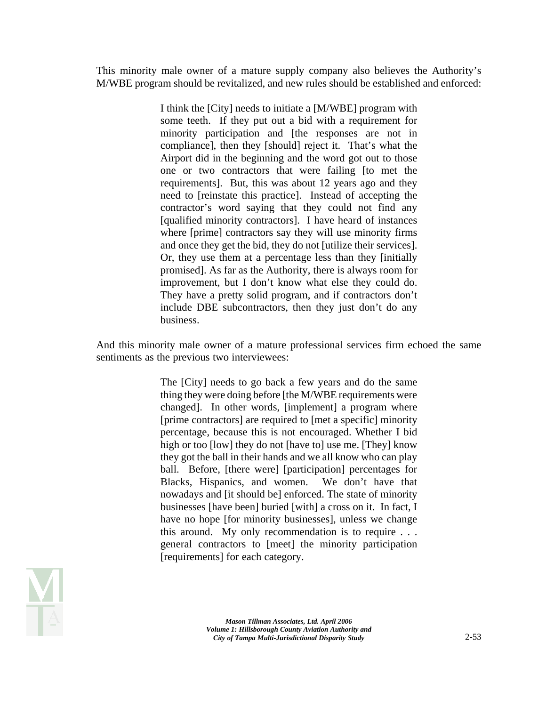This minority male owner of a mature supply company also believes the Authority's M/WBE program should be revitalized, and new rules should be established and enforced:

> I think the [City] needs to initiate a [M/WBE] program with some teeth. If they put out a bid with a requirement for minority participation and [the responses are not in compliance], then they [should] reject it. That's what the Airport did in the beginning and the word got out to those one or two contractors that were failing [to met the requirements]. But, this was about 12 years ago and they need to [reinstate this practice]. Instead of accepting the contractor's word saying that they could not find any [qualified minority contractors]. I have heard of instances where [prime] contractors say they will use minority firms and once they get the bid, they do not [utilize their services]. Or, they use them at a percentage less than they [initially promised]. As far as the Authority, there is always room for improvement, but I don't know what else they could do. They have a pretty solid program, and if contractors don't include DBE subcontractors, then they just don't do any business.

And this minority male owner of a mature professional services firm echoed the same sentiments as the previous two interviewees:

> The [City] needs to go back a few years and do the same thing they were doing before [the M/WBE requirements were changed]. In other words, [implement] a program where [prime contractors] are required to [met a specific] minority percentage, because this is not encouraged. Whether I bid high or too [low] they do not [have to] use me. [They] know they got the ball in their hands and we all know who can play ball. Before, [there were] [participation] percentages for Blacks, Hispanics, and women. We don't have that nowadays and [it should be] enforced. The state of minority businesses [have been] buried [with] a cross on it. In fact, I have no hope [for minority businesses], unless we change this around. My only recommendation is to require . . . general contractors to [meet] the minority participation [requirements] for each category.

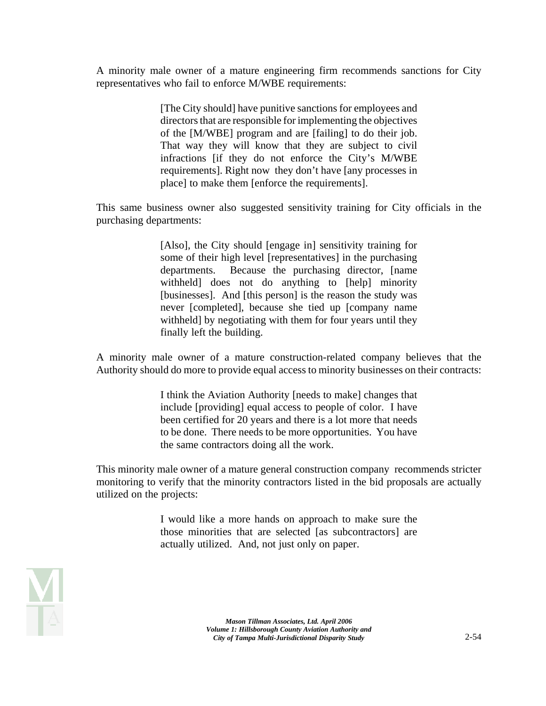A minority male owner of a mature engineering firm recommends sanctions for City representatives who fail to enforce M/WBE requirements:

> [The City should] have punitive sanctions for employees and directors that are responsible for implementing the objectives of the [M/WBE] program and are [failing] to do their job. That way they will know that they are subject to civil infractions [if they do not enforce the City's M/WBE requirements]. Right now they don't have [any processes in place] to make them [enforce the requirements].

This same business owner also suggested sensitivity training for City officials in the purchasing departments:

> [Also], the City should [engage in] sensitivity training for some of their high level [representatives] in the purchasing departments. Because the purchasing director, [name withheld] does not do anything to [help] minority [businesses]. And [this person] is the reason the study was never [completed], because she tied up [company name withheld] by negotiating with them for four years until they finally left the building.

A minority male owner of a mature construction-related company believes that the Authority should do more to provide equal access to minority businesses on their contracts:

> I think the Aviation Authority [needs to make] changes that include [providing] equal access to people of color. I have been certified for 20 years and there is a lot more that needs to be done. There needs to be more opportunities. You have the same contractors doing all the work.

This minority male owner of a mature general construction company recommends stricter monitoring to verify that the minority contractors listed in the bid proposals are actually utilized on the projects:

> I would like a more hands on approach to make sure the those minorities that are selected [as subcontractors] are actually utilized. And, not just only on paper.

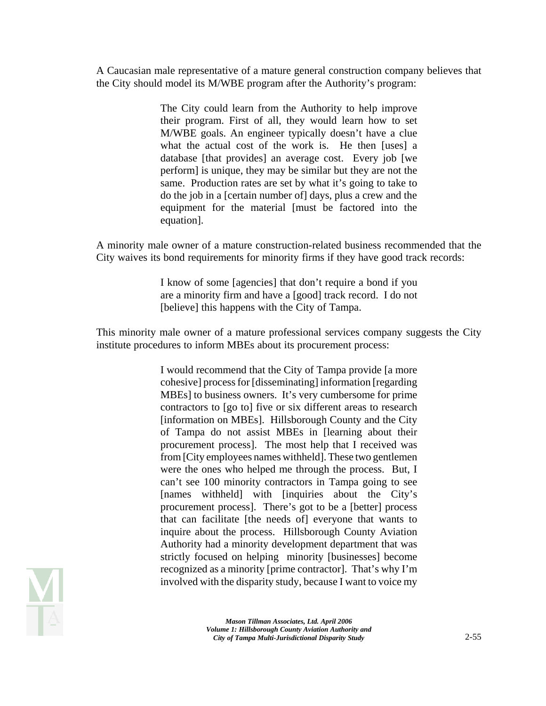A Caucasian male representative of a mature general construction company believes that the City should model its M/WBE program after the Authority's program:

> The City could learn from the Authority to help improve their program. First of all, they would learn how to set M/WBE goals. An engineer typically doesn't have a clue what the actual cost of the work is. He then [uses] a database [that provides] an average cost. Every job [we perform] is unique, they may be similar but they are not the same. Production rates are set by what it's going to take to do the job in a [certain number of] days, plus a crew and the equipment for the material [must be factored into the equation].

A minority male owner of a mature construction-related business recommended that the City waives its bond requirements for minority firms if they have good track records:

> I know of some [agencies] that don't require a bond if you are a minority firm and have a [good] track record. I do not [believe] this happens with the City of Tampa.

This minority male owner of a mature professional services company suggests the City institute procedures to inform MBEs about its procurement process:

> I would recommend that the City of Tampa provide [a more cohesive] process for [disseminating] information [regarding MBEs] to business owners. It's very cumbersome for prime contractors to [go to] five or six different areas to research [information on MBEs]. Hillsborough County and the City of Tampa do not assist MBEs in [learning about their procurement process]. The most help that I received was from [City employees names withheld]. These two gentlemen were the ones who helped me through the process. But, I can't see 100 minority contractors in Tampa going to see [names withheld] with [inquiries about the City's procurement process]. There's got to be a [better] process that can facilitate [the needs of] everyone that wants to inquire about the process. Hillsborough County Aviation Authority had a minority development department that was strictly focused on helping minority [businesses] become recognized as a minority [prime contractor]. That's why I'm involved with the disparity study, because I want to voice my

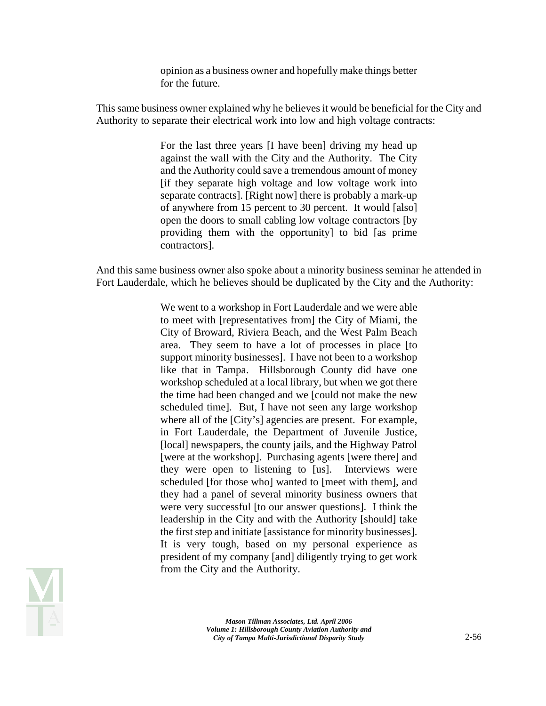opinion as a business owner and hopefully make things better for the future.

This same business owner explained why he believes it would be beneficial for the City and Authority to separate their electrical work into low and high voltage contracts:

> For the last three years [I have been] driving my head up against the wall with the City and the Authority. The City and the Authority could save a tremendous amount of money [if they separate high voltage and low voltage work into separate contracts]. [Right now] there is probably a mark-up of anywhere from 15 percent to 30 percent. It would [also] open the doors to small cabling low voltage contractors [by providing them with the opportunity] to bid [as prime contractors].

And this same business owner also spoke about a minority business seminar he attended in Fort Lauderdale, which he believes should be duplicated by the City and the Authority:

> We went to a workshop in Fort Lauderdale and we were able to meet with [representatives from] the City of Miami, the City of Broward, Riviera Beach, and the West Palm Beach area. They seem to have a lot of processes in place [to support minority businesses]. I have not been to a workshop like that in Tampa. Hillsborough County did have one workshop scheduled at a local library, but when we got there the time had been changed and we [could not make the new scheduled time]. But, I have not seen any large workshop where all of the [City's] agencies are present. For example, in Fort Lauderdale, the Department of Juvenile Justice, [local] newspapers, the county jails, and the Highway Patrol [were at the workshop]. Purchasing agents [were there] and they were open to listening to [us]. Interviews were scheduled [for those who] wanted to [meet with them], and they had a panel of several minority business owners that were very successful [to our answer questions]. I think the leadership in the City and with the Authority [should] take the first step and initiate [assistance for minority businesses]. It is very tough, based on my personal experience as president of my company [and] diligently trying to get work from the City and the Authority.

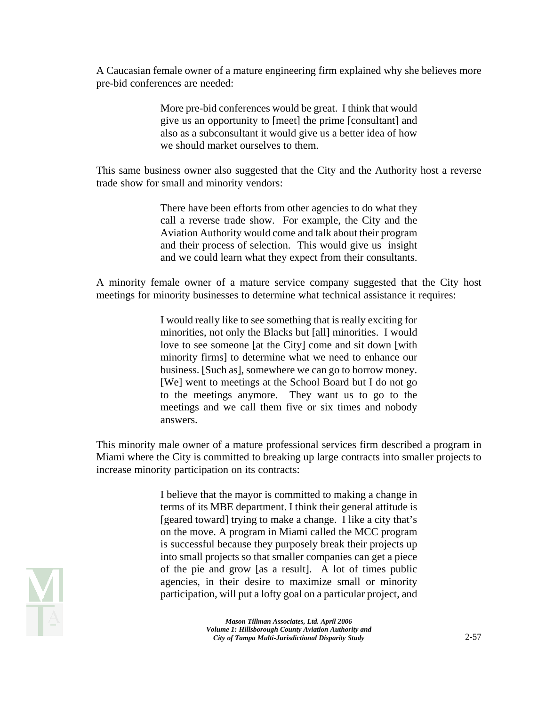A Caucasian female owner of a mature engineering firm explained why she believes more pre-bid conferences are needed:

> More pre-bid conferences would be great. I think that would give us an opportunity to [meet] the prime [consultant] and also as a subconsultant it would give us a better idea of how we should market ourselves to them.

This same business owner also suggested that the City and the Authority host a reverse trade show for small and minority vendors:

> There have been efforts from other agencies to do what they call a reverse trade show. For example, the City and the Aviation Authority would come and talk about their program and their process of selection. This would give us insight and we could learn what they expect from their consultants.

A minority female owner of a mature service company suggested that the City host meetings for minority businesses to determine what technical assistance it requires:

> I would really like to see something that is really exciting for minorities, not only the Blacks but [all] minorities. I would love to see someone [at the City] come and sit down [with minority firms] to determine what we need to enhance our business. [Such as], somewhere we can go to borrow money. [We] went to meetings at the School Board but I do not go to the meetings anymore. They want us to go to the meetings and we call them five or six times and nobody answers.

This minority male owner of a mature professional services firm described a program in Miami where the City is committed to breaking up large contracts into smaller projects to increase minority participation on its contracts:

> I believe that the mayor is committed to making a change in terms of its MBE department. I think their general attitude is [geared toward] trying to make a change. I like a city that's on the move. A program in Miami called the MCC program is successful because they purposely break their projects up into small projects so that smaller companies can get a piece of the pie and grow [as a result]. A lot of times public agencies, in their desire to maximize small or minority participation, will put a lofty goal on a particular project, and

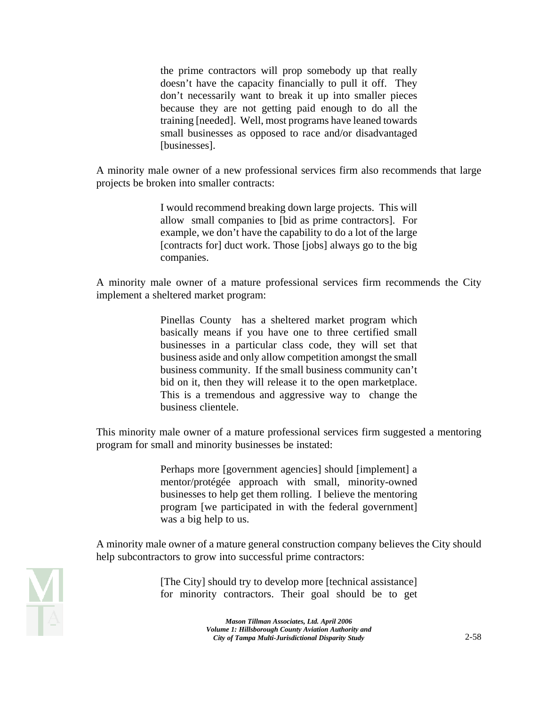the prime contractors will prop somebody up that really doesn't have the capacity financially to pull it off. They don't necessarily want to break it up into smaller pieces because they are not getting paid enough to do all the training [needed]. Well, most programs have leaned towards small businesses as opposed to race and/or disadvantaged [businesses].

A minority male owner of a new professional services firm also recommends that large projects be broken into smaller contracts:

> I would recommend breaking down large projects. This will allow small companies to [bid as prime contractors]. For example, we don't have the capability to do a lot of the large [contracts for] duct work. Those [jobs] always go to the big companies.

A minority male owner of a mature professional services firm recommends the City implement a sheltered market program:

> Pinellas County has a sheltered market program which basically means if you have one to three certified small businesses in a particular class code, they will set that business aside and only allow competition amongst the small business community. If the small business community can't bid on it, then they will release it to the open marketplace. This is a tremendous and aggressive way to change the business clientele.

This minority male owner of a mature professional services firm suggested a mentoring program for small and minority businesses be instated:

> Perhaps more [government agencies] should [implement] a mentor/protégée approach with small, minority-owned businesses to help get them rolling. I believe the mentoring program [we participated in with the federal government] was a big help to us.

A minority male owner of a mature general construction company believes the City should help subcontractors to grow into successful prime contractors:

> [The City] should try to develop more [technical assistance] for minority contractors. Their goal should be to get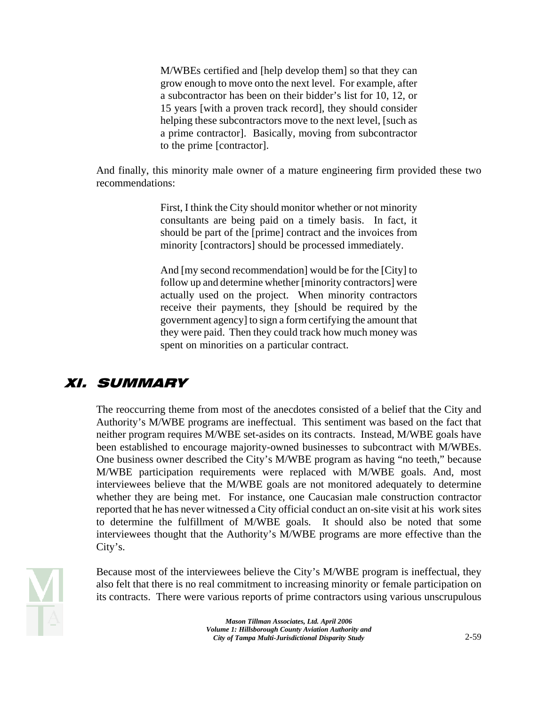M/WBEs certified and [help develop them] so that they can grow enough to move onto the next level. For example, after a subcontractor has been on their bidder's list for 10, 12, or 15 years [with a proven track record], they should consider helping these subcontractors move to the next level, [such as a prime contractor]. Basically, moving from subcontractor to the prime [contractor].

And finally, this minority male owner of a mature engineering firm provided these two recommendations:

> First, I think the City should monitor whether or not minority consultants are being paid on a timely basis. In fact, it should be part of the [prime] contract and the invoices from minority [contractors] should be processed immediately.

> And [my second recommendation] would be for the [City] to follow up and determine whether [minority contractors] were actually used on the project. When minority contractors receive their payments, they [should be required by the government agency] to sign a form certifying the amount that they were paid. Then they could track how much money was spent on minorities on a particular contract.

## XI. SUMMARY

The reoccurring theme from most of the anecdotes consisted of a belief that the City and Authority's M/WBE programs are ineffectual. This sentiment was based on the fact that neither program requires M/WBE set-asides on its contracts. Instead, M/WBE goals have been established to encourage majority-owned businesses to subcontract with M/WBEs. One business owner described the City's M/WBE program as having "no teeth," because M/WBE participation requirements were replaced with M/WBE goals. And, most interviewees believe that the M/WBE goals are not monitored adequately to determine whether they are being met. For instance, one Caucasian male construction contractor reported that he has never witnessed a City official conduct an on-site visit at his work sites to determine the fulfillment of M/WBE goals. It should also be noted that some interviewees thought that the Authority's M/WBE programs are more effective than the City's.



Because most of the interviewees believe the City's M/WBE program is ineffectual, they also felt that there is no real commitment to increasing minority or female participation on its contracts. There were various reports of prime contractors using various unscrupulous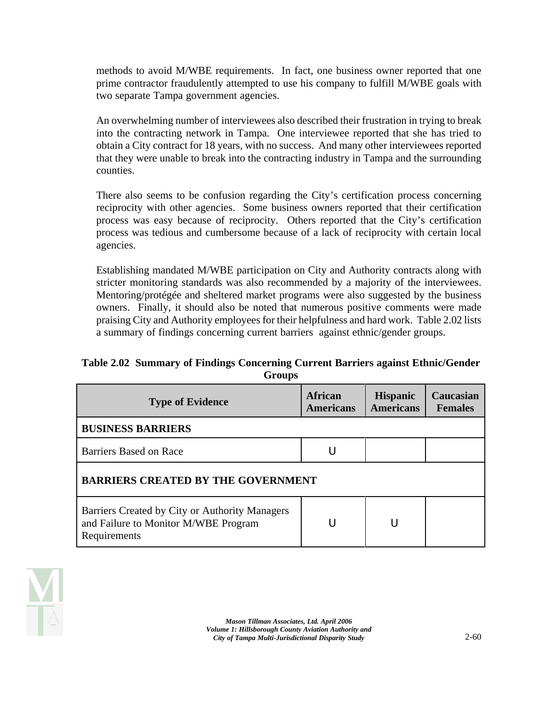methods to avoid M/WBE requirements. In fact, one business owner reported that one prime contractor fraudulently attempted to use his company to fulfill M/WBE goals with two separate Tampa government agencies.

An overwhelming number of interviewees also described their frustration in trying to break into the contracting network in Tampa. One interviewee reported that she has tried to obtain a City contract for 18 years, with no success. And many other interviewees reported that they were unable to break into the contracting industry in Tampa and the surrounding counties.

There also seems to be confusion regarding the City's certification process concerning reciprocity with other agencies. Some business owners reported that their certification process was easy because of reciprocity. Others reported that the City's certification process was tedious and cumbersome because of a lack of reciprocity with certain local agencies.

Establishing mandated M/WBE participation on City and Authority contracts along with stricter monitoring standards was also recommended by a majority of the interviewees. Mentoring/protégée and sheltered market programs were also suggested by the business owners. Finally, it should also be noted that numerous positive comments were made praising City and Authority employees for their helpfulness and hard work. Table 2.02 lists a summary of findings concerning current barriers against ethnic/gender groups.

#### **Table 2.02 Summary of Findings Concerning Current Barriers against Ethnic/Gender Groups**

| <b>Type of Evidence</b>                                                                                | <b>African</b><br><b>Americans</b> | <b>Hispanic</b><br><b>Americans</b> | Caucasian<br><b>Females</b> |  |
|--------------------------------------------------------------------------------------------------------|------------------------------------|-------------------------------------|-----------------------------|--|
| <b>BUSINESS BARRIERS</b>                                                                               |                                    |                                     |                             |  |
| Barriers Based on Race                                                                                 |                                    |                                     |                             |  |
| <b>BARRIERS CREATED BY THE GOVERNMENT</b>                                                              |                                    |                                     |                             |  |
| Barriers Created by City or Authority Managers<br>and Failure to Monitor M/WBE Program<br>Requirements |                                    |                                     |                             |  |